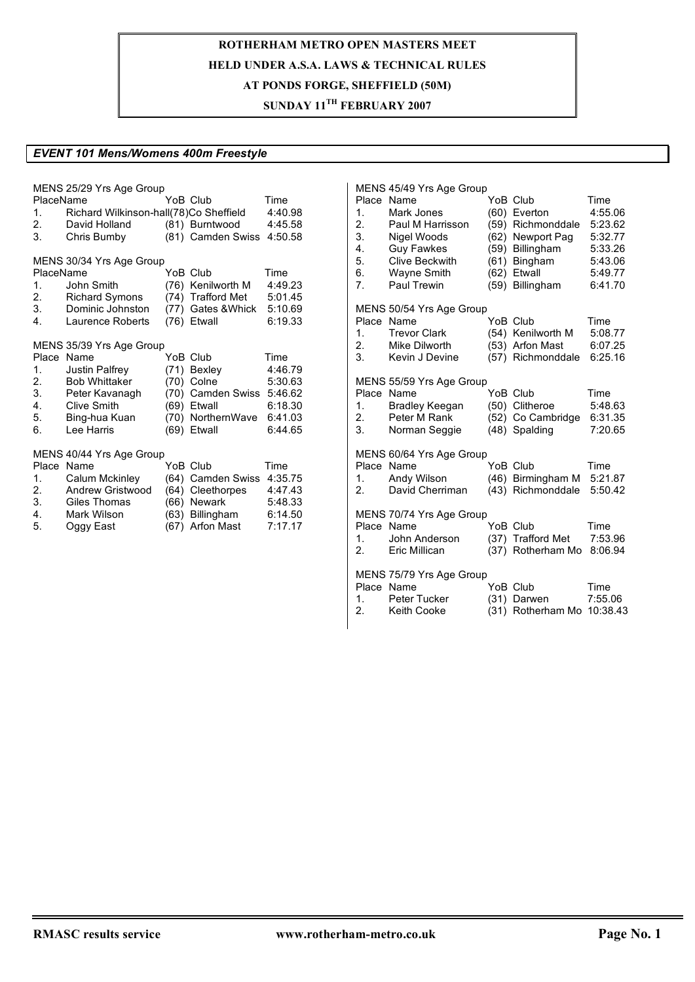### **SUNDAY 11TH FEBRUARY 2007**

#### *EVENT 101 Mens/Womens 400m Freestyle*

| PlaceName    | MENS 25/29 Yrs Age Group               |      | YoB Club           | Time    |
|--------------|----------------------------------------|------|--------------------|---------|
| 1.           | Richard Wilkinson-hall(78)Co Sheffield |      |                    | 4:40.98 |
| 2.           | David Holland                          |      | (81) Burntwood     | 4:45.58 |
| 3.           | Chris Bumby                            |      | (81) Camden Swiss  | 4:50.58 |
|              |                                        |      |                    |         |
|              | MENS 30/34 Yrs Age Group               |      |                    |         |
| PlaceName    |                                        |      | YoB Club           | Time    |
| 1.           | John Smith                             |      | (76) Kenilworth M  | 4:49.23 |
| 2.           | <b>Richard Symons</b>                  |      | (74) Trafford Met  | 5:01.45 |
| 3.           | Dominic Johnston                       |      | (77) Gates & Whick | 5:10.69 |
| $\mathbf{4}$ | Laurence Roberts                       |      | (76) Etwall        | 6:19.33 |
|              | MENS 35/39 Yrs Age Group               |      |                    |         |
| Place        | Name                                   |      | YoB Club           | Time    |
| 1.           | Justin Palfrey                         |      | (71) Bexley        | 4:46.79 |
| 2.           | <b>Bob Whittaker</b>                   |      | (70) Colne         | 5:30.63 |
| 3.           | Peter Kavanagh                         |      | (70) Camden Swiss  | 5:46.62 |
| 4.           | Clive Smith                            |      | (69) Etwall        | 6:18.30 |
| 5.           | Bing-hua Kuan                          |      | (70) NorthernWave  | 6:41.03 |
| 6.           | Lee Harris                             |      | (69) Etwall        | 6:44.65 |
|              |                                        |      |                    |         |
|              | MENS 40/44 Yrs Age Group               |      |                    |         |
|              | Place Name                             |      | YoB Club           | Time    |
| 1.           | Calum Mckinley                         |      | (64) Camden Swiss  | 4:35.75 |
| 2.           | Andrew Gristwood                       | (64) | Cleethorpes        | 4:47.43 |
| 3.           | Giles Thomas                           |      | (66) Newark        | 5:48.33 |
| 4.           | Mark Wilson                            |      | (63) Billingham    | 6:14.50 |
| 5.           | Oggy East                              |      | (67) Arfon Mast    | 7:17.17 |
|              |                                        |      |                    |         |

MENS 45/49 Yrs Age Group<br>Place Name YoB Club Place Name **YoB** Club Time 1. Mark Jones (60) Everton 4:55.06<br>2. Paul M Harrisson (59) Richmonddale 5:23.62 2. Paul M Harrisson (59) Richmonddale 5:23.62 3. Nigel Woods (62) Newport Pag 5:32.77 (59) Billingham 5:33.26 5. Clive Beckwith (61) Bingham 5:43.06 Wayne Smith 7. Paul Trewin (59) Billingham 6:41.70 MENS 50/54 Yrs Age Group Place Name **YoB** Club Time 1. Trevor Clark (54) Kenilworth M 5:08.77<br>2. Mike Dilworth (53) Arfon Mast 6:07.25 2. Mike Dilworth (53) Arfon Mast 6:07.25 3. Kevin J Devine (57) Richmonddale 6:25.16 MENS 55/59 Yrs Age Group<br>Place Name YoB Club Place Name **YoB Club** Time 1. Bradley Keegan (50) Clitheroe 5:48.63 2. Peter M Rank (52) Co Cambridge 6:31.35<br>3. Norman Seggie (48) Spalding 7:20.65 Norman Seggie (48) Spalding 7:20.65 MENS 60/64 Yrs Age Group Place Name  $\overline{Y}$  YoB Club Time<br>1. Andy Wilson (46) Birmingham M 5:21. 1. Andy Wilson (46) Birmingham M 5:21.87 2. David Cherriman (43) Richmonddale 5:50.42 MENS 70/74 Yrs Age Group Place Name **YoB** Club Time 1. John Anderson (37) Trafford Met 7:53.96<br>2. Eric Millican (37) Rotherham Mo 8:06.94 2. Eric Millican (37) Rotherham Mo 8:06.94 MENS 75/79 Yrs Age Group Place Name  $\overline{Y}$  YoB Club Time 1. Peter Tucker (31) Darwen 7:55.06 2. Keith Cooke (31) Rotherham Mo 10:38.43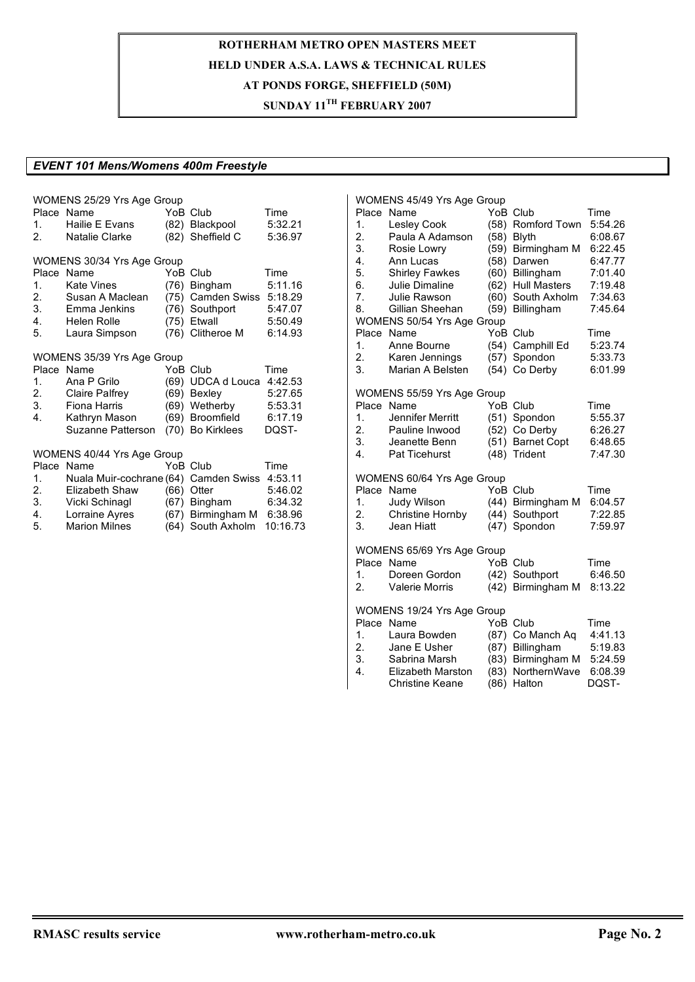## **SUNDAY 11TH FEBRUARY 2007**

### *EVENT 101 Mens/Womens 400m Freestyle*

| Place<br>1.<br>$2 -$                             | WOMENS 25/29 Yrs Age Group<br>Name<br>Hailie E Evans<br>Natalie Clarke                                                                                     |              | YoB Club<br>(82) Blackpool<br>(82) Sheffield C                                                     | Time<br>5:32.21<br>5:36.97                                  |
|--------------------------------------------------|------------------------------------------------------------------------------------------------------------------------------------------------------------|--------------|----------------------------------------------------------------------------------------------------|-------------------------------------------------------------|
| Place<br>1.<br>2.<br>3.<br>$4\overline{ }$<br>5. | WOMENS 30/34 Yrs Age Group<br>Name<br><b>Kate Vines</b><br>Susan A Maclean<br>Emma Jenkins<br>Helen Rolle<br>Laura Simpson                                 |              | YoB Club<br>(76) Bingham<br>(75) Camden Swiss<br>(76) Southport<br>(75) Etwall<br>(76) Clitheroe M | Time<br>5:11.16<br>5:18.29<br>5:47.07<br>5:50.49<br>6:14.93 |
| 1 <sup>1</sup><br>2.<br>3.<br>4.                 | WOMENS 35/39 Yrs Age Group<br>Place Name<br>Ana P Grilo<br><b>Claire Palfrey</b><br>Fiona Harris<br>Kathryn Mason<br>Suzanne Patterson                     | (69)         | YoB Club<br>UDCA d Louca<br>(69) Bexley<br>(69) Wetherby<br>(69) Broomfield<br>(70) Bo Kirklees    | Time<br>4:42.53<br>5:27.65<br>5:53.31<br>6:17.19<br>DQST-   |
| Place<br>1.<br>2.<br>3.<br>4.<br>5.              | WOMENS 40/44 Yrs Age Group<br>Name<br>Nuala Muir-cochrane (64) Camden Swiss 4:53.11<br>Elizabeth Shaw<br>Vicki Schinagl<br>Lorraine Ayres<br>Marion Milnes | (66)<br>(67) | YoB Club<br>Otter<br>Bingham<br>(67) Birmingham M<br>(64) South Axholm                             | Time<br>5:46.02<br>6:34.32<br>6:38.96<br>10:16.73           |

| 1.<br>2.<br>3.<br>4.<br>5.<br>6.<br>7.<br>8. | WOMENS 45/49 Yrs Age Group<br>Place Name<br>Lesley Cook<br>Paula A Adamson<br>Rosie Lowry<br>Ann Lucas<br><b>Shirley Fawkes</b><br>Julie Dimaline<br>Julie Rawson<br>Gillian Sheehan | (58)<br>(58)<br>(59)<br>(58)<br>(60)<br>(62)<br>(60)<br>(59) | YoB Club<br>Romford Town<br>Blyth<br>Birmingham M<br>Darwen<br>Billingham<br><b>Hull Masters</b><br>South Axholm<br>Billingham | Time<br>5:54.26<br>6:08.67<br>6:22.45<br>6:47.77<br>7:01.40<br>7:19.48<br>7:34.63<br>7:45.64 |
|----------------------------------------------|--------------------------------------------------------------------------------------------------------------------------------------------------------------------------------------|--------------------------------------------------------------|--------------------------------------------------------------------------------------------------------------------------------|----------------------------------------------------------------------------------------------|
| $\mathbf{1}$ .<br>2.<br>3.                   | WOMENS 50/54 Yrs Age Group<br>Place Name<br>Anne Bourne<br>Karen Jennings<br>Marian A Belsten                                                                                        | (54)<br>(57)<br>(54)                                         | YoB Club<br>Camphill Ed<br>Spondon<br>Co Derby                                                                                 | Time<br>5:23.74<br>5:33.73<br>6:01.99                                                        |
| Place<br>1.<br>2.<br>3.<br>4.                | WOMENS 55/59 Yrs Age Group<br>Name<br>Jennifer Merritt<br>Pauline Inwood<br>Jeanette Benn<br><b>Pat Ticehurst</b>                                                                    | (51)<br>(52)<br>(51)<br>(48)                                 | YoB Club<br>Spondon<br>Co Derby<br><b>Barnet Copt</b><br>Trident                                                               | Time<br>5:55.37<br>6:26.27<br>6:48.65<br>7:47.30                                             |
| Place<br>1.<br>2.<br>3.                      | WOMENS 60/64 Yrs Age Group<br>Name<br>Judy Wilson<br>Christine Hornby<br>Jean Hiatt                                                                                                  | (44)<br>(44)<br>(47)                                         | YoB Club<br>Birmingham M<br>Southport<br>Spondon                                                                               | Time<br>6:04.57<br>7:22.85<br>7:59.97                                                        |
| Place<br>1.<br>2.                            | WOMENS 65/69 Yrs Age Group<br>Name<br>Doreen Gordon<br><b>Valerie Morris</b>                                                                                                         | (42)                                                         | YoB Club<br>(42) Southport<br>Birmingham M                                                                                     | Time<br>6:46.50<br>8:13.22                                                                   |
| 1.<br>2.<br>3.<br>$\overline{4}$ .           | WOMENS 19/24 Yrs Age Group<br>Place Name<br>Laura Bowden<br>Jane E Usher<br>Sabrina Marsh<br><b>Elizabeth Marston</b><br><b>Christine Keane</b>                                      | (87)<br>(83)<br>(83)<br>(86)                                 | YoB Club<br>(87) Co Manch Aq<br>Billingham<br>Birmingham M<br>NorthernWave<br>Halton                                           | Time<br>4:41.13<br>5:19.83<br>5:24.59<br>6:08.39<br>DQST-                                    |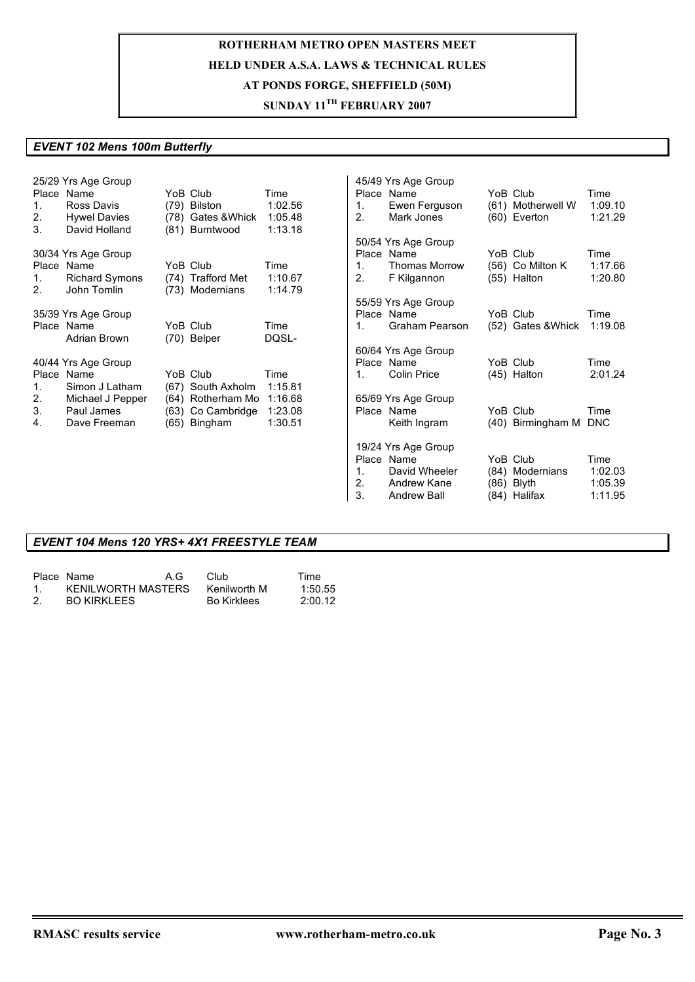## **SUNDAY 11TH FEBRUARY 2007**

#### *EVENT 102 Mens 100m Butterfly*

|         | 25/29 Yrs Age Group   |                    |         |    | 45/49 Yrs Age Group  |                       |         |
|---------|-----------------------|--------------------|---------|----|----------------------|-----------------------|---------|
|         | Place Name            | YoB Club           | Time    |    | Place Name           | YoB Club              | Time    |
| $1_{-}$ | Ross Davis            | (79) Bilston       | 1:02.56 | 1. | Ewen Ferguson        | (61) Motherwell W     | 1:09.10 |
| 2.      | <b>Hywel Davies</b>   | (78) Gates & Whick | 1:05.48 | 2. | Mark Jones           | $(60)$ Everton        | 1:21.29 |
| 3.      | David Holland         | (81) Burntwood     | 1:13.18 |    |                      |                       |         |
|         |                       |                    |         |    | 50/54 Yrs Age Group  |                       |         |
|         | 30/34 Yrs Age Group   |                    |         |    | Place Name           | YoB Club              | Time    |
|         | Place Name            | YoB Club           | Time    | 1. | <b>Thomas Morrow</b> | (56) Co Milton K      | 1:17.66 |
| 1.      | <b>Richard Symons</b> | (74) Trafford Met  | 1:10.67 | 2. | F Kilgannon          | $(55)$ Halton         | 1:20.80 |
| 2.      | John Tomlin           | (73) Modernians    | 1:14.79 |    |                      |                       |         |
|         |                       |                    |         |    | 55/59 Yrs Age Group  |                       |         |
|         | 35/39 Yrs Age Group   |                    |         |    | Place Name           | YoB Club              | Time    |
|         | Place Name            | YoB Club           | Time    | 1. | Graham Pearson       | (52) Gates & Whick    | 1:19.08 |
|         | Adrian Brown          | (70) Belper        | DQSL-   |    |                      |                       |         |
|         |                       |                    |         |    | 60/64 Yrs Age Group  |                       |         |
|         | 40/44 Yrs Age Group   |                    |         |    | Place Name           | YoB Club              | Time    |
|         | Place Name            | YoB Club           | Time    | 1. | Colin Price          | (45) Halton           | 2:01.24 |
| 1.      | Simon J Latham        | (67) South Axholm  | 1:15.81 |    |                      |                       |         |
| 2.      | Michael J Pepper      | (64) Rotherham Mo  | 1:16.68 |    | 65/69 Yrs Age Group  |                       |         |
| 3.      | Paul James            | (63) Co Cambridge  | 1:23.08 |    | Place Name           | YoB Club              | Time    |
| 4.      | Dave Freeman          | (65) Bingham       | 1:30.51 |    | Keith Ingram         | (40) Birmingham M DNC |         |
|         |                       |                    |         |    | 19/24 Yrs Age Group  |                       |         |
|         |                       |                    |         |    | Place Name           | YoB Club              | Time    |
|         |                       |                    |         | 1. | David Wheeler        | (84) Modernians       | 1:02.03 |
|         |                       |                    |         | 2. | Andrew Kane          | $(86)$ Blyth          | 1:05.39 |
|         |                       |                    |         | 3. | <b>Andrew Ball</b>   | (84) Halifax          | 1:11.95 |

#### *EVENT 104 Mens 120 YRS+ 4X1 FREESTYLE TEAM*

|           | Place Name         | A.G | – Club             | Time    |
|-----------|--------------------|-----|--------------------|---------|
| $1 \quad$ | KENILWORTH MASTERS |     | Kenilworth M       | 1:50.55 |
| 2.        | <b>BO KIRKLEES</b> |     | <b>Bo Kirklees</b> | 2:00.12 |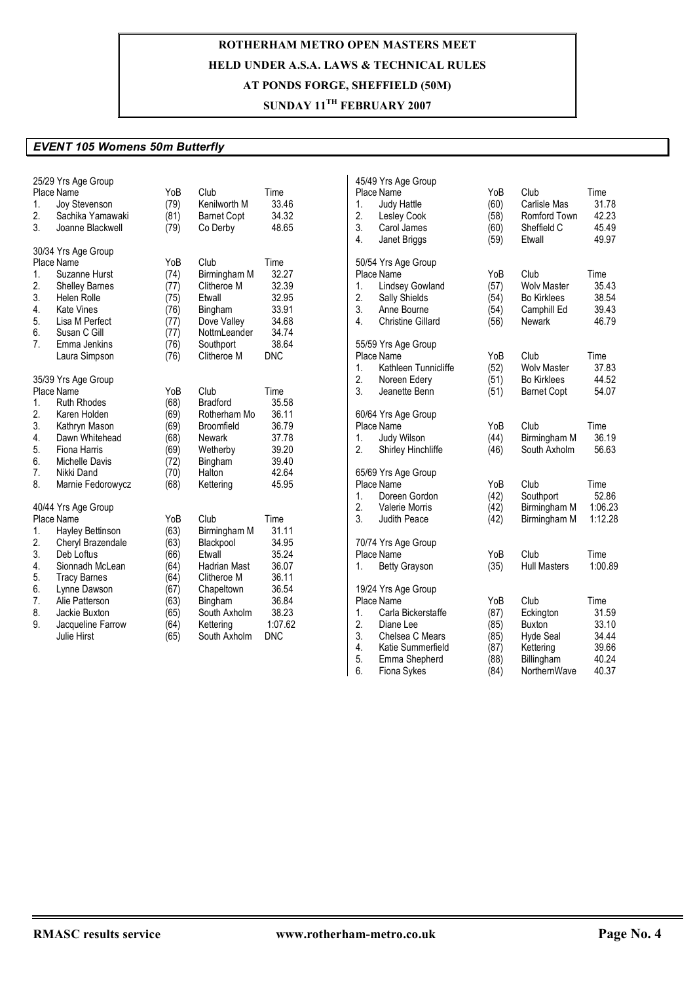## **SUNDAY 11TH FEBRUARY 2007**

### *EVENT 105 Womens 50m Butterfly*

|                | 25/29 Yrs Age Group             |      |                     |            | 45/49 Yrs Age Group                      |      |                     |         |
|----------------|---------------------------------|------|---------------------|------------|------------------------------------------|------|---------------------|---------|
|                | Place Name                      | YoB  | Club                | Time       | Place Name                               | YoB  | Club                | Time    |
| 1.             | Joy Stevenson                   | (79) | Kenilworth M        | 33.46      | $\mathbf{1}$ .<br>Judy Hattle            | (60) | Carlisle Mas        | 31.78   |
| 2.             | Sachika Yamawaki                | (81) | <b>Barnet Copt</b>  | 34.32      | 2.<br><b>Lesley Cook</b>                 | (58) | Romford Town        | 42.23   |
| 3.             | Joanne Blackwell                | (79) | Co Derby            | 48.65      | 3.<br>Carol James                        | (60) | Sheffield C         | 45.49   |
|                |                                 |      |                     |            | 4.<br>Janet Briggs                       | (59) | Etwall              | 49.97   |
|                | 30/34 Yrs Age Group             |      |                     |            |                                          |      |                     |         |
|                | Place Name                      | YoB  | Club                | Time       | 50/54 Yrs Age Group                      |      |                     |         |
| 1.             | Suzanne Hurst                   | (74) | Birmingham M        | 32.27      | Place Name                               | YoB  | Club                | Time    |
| 2.             | <b>Shelley Barnes</b>           | (77) | Clitheroe M         | 32.39      | <b>Lindsey Gowland</b><br>$\mathbf{1}$ . | (57) | <b>Wolv Master</b>  | 35.43   |
| 3.             | <b>Helen Rolle</b>              | (75) | Etwall              | 32.95      | 2.<br>Sally Shields                      | (54) | <b>Bo Kirklees</b>  | 38.54   |
| 4.             | <b>Kate Vines</b>               | (76) | Bingham             | 33.91      | 3.<br>Anne Bourne                        | (54) | Camphill Ed         | 39.43   |
| 5.             | Lisa M Perfect                  | (77) | Dove Valley         | 34.68      | 4.<br><b>Christine Gillard</b>           | (56) | <b>Newark</b>       | 46.79   |
| 6.             | Susan C Gill                    | (77) | NottmLeander        | 34.74      |                                          |      |                     |         |
| 7 <sup>1</sup> | Emma Jenkins                    | (76) | Southport           | 38.64      | 55/59 Yrs Age Group                      |      |                     |         |
|                | Laura Simpson                   | (76) | Clitheroe M         | <b>DNC</b> | Place Name                               | YoB  | Club                | Time    |
|                |                                 |      |                     |            | Kathleen Tunnicliffe<br>$\mathbf{1}$ .   | (52) | <b>Wolv Master</b>  | 37.83   |
|                | 35/39 Yrs Age Group             |      |                     |            | 2.<br>Noreen Edery                       | (51) | <b>Bo Kirklees</b>  | 44.52   |
|                | Place Name                      | YoB  | Club                | Time       | 3.<br>Jeanette Benn                      | (51) | <b>Barnet Copt</b>  | 54.07   |
| 1.             | <b>Ruth Rhodes</b>              | (68) | <b>Bradford</b>     | 35.58      |                                          |      |                     |         |
| 2.             | Karen Holden                    | (69) | Rotherham Mo        | 36.11      | 60/64 Yrs Age Group                      |      |                     |         |
| 3.             |                                 |      | Broomfield          | 36.79      | Place Name                               | YoB  | Club                | Time    |
| 4.             | Kathryn Mason<br>Dawn Whitehead | (69) | <b>Newark</b>       |            | $\mathbf{1}$ .                           |      |                     | 36.19   |
|                |                                 | (68) |                     | 37.78      | Judy Wilson                              | (44) | Birmingham M        |         |
| 5.             | Fiona Harris                    | (69) | Wetherby            | 39.20      | 2.<br>Shirley Hinchliffe                 | (46) | South Axholm        | 56.63   |
| 6.             | Michelle Davis                  | (72) | Bingham             | 39.40      |                                          |      |                     |         |
| 7.             | Nikki Dand                      | (70) | Halton              | 42.64      | 65/69 Yrs Age Group                      |      |                     |         |
| 8.             | Marnie Fedorowycz               | (68) | Kettering           | 45.95      | Place Name                               | YoB  | Club                | Time    |
|                |                                 |      |                     |            | $\mathbf{1}$ .<br>Doreen Gordon          | (42) | Southport           | 52.86   |
|                | 40/44 Yrs Age Group             |      |                     |            | 2.<br><b>Valerie Morris</b>              | (42) | Birmingham M        | 1:06.23 |
|                | Place Name                      | YoB  | Club                | Time       | 3.<br>Judith Peace                       | (42) | Birmingham M        | 1:12.28 |
| 1.             | Hayley Bettinson                | (63) | Birmingham M        | 31.11      |                                          |      |                     |         |
| 2.             | Cheryl Brazendale               | (63) | Blackpool           | 34.95      | 70/74 Yrs Age Group                      |      |                     |         |
| 3.             | Deb Loftus                      | (66) | Etwall              | 35.24      | Place Name                               | YoB  | Club                | Time    |
| 4.             | Sionnadh McLean                 | (64) | <b>Hadrian Mast</b> | 36.07      | <b>Betty Grayson</b><br>1.               | (35) | <b>Hull Masters</b> | 1:00.89 |
| 5.             | <b>Tracy Barnes</b>             | (64) | Clitheroe M         | 36.11      |                                          |      |                     |         |
| 6.             | Lynne Dawson                    | (67) | Chapeltown          | 36.54      | 19/24 Yrs Age Group                      |      |                     |         |
| 7.             | Alie Patterson                  | (63) | Bingham             | 36.84      | Place Name                               | YoB  | Club                | Time    |
| 8.             | Jackie Buxton                   | (65) | South Axholm        | 38.23      | Carla Bickerstaffe<br>1.                 | (87) | Eckington           | 31.59   |
| 9.             | Jacqueline Farrow               | (64) | Kettering           | 1:07.62    | 2.<br>Diane Lee                          | (85) | Buxton              | 33.10   |
|                | Julie Hirst                     | (65) | South Axholm        | <b>DNC</b> | 3.<br>Chelsea C Mears                    | (85) | <b>Hyde Seal</b>    | 34.44   |
|                |                                 |      |                     |            | 4.<br>Katie Summerfield                  | (87) | Kettering           | 39.66   |
|                |                                 |      |                     |            | 5.<br>Emma Shepherd                      | (88) | Billingham          | 40.24   |
|                |                                 |      |                     |            | 6.<br>Fiona Sykes                        | (84) | NorthernWave        | 40.37   |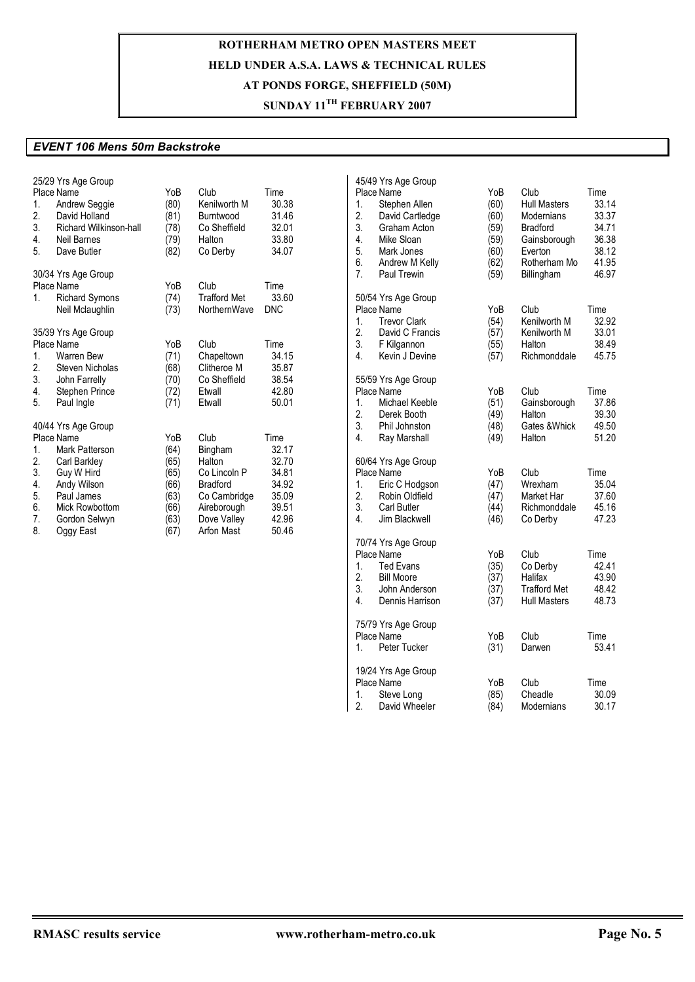## **SUNDAY 11TH FEBRUARY 2007**

#### *EVENT 106 Mens 50m Backstroke*

| 1.<br>2.<br>3.<br>4.<br>5.                   | 25/29 Yrs Age Group<br>Place Name<br><b>Andrew Seggie</b><br>David Holland<br>Richard Wilkinson-hall<br>Neil Barnes<br>Dave Butler                                    | YoB<br>(80)<br>(81)<br>(78)<br>(79)<br>(82)                         | Club<br>Kenilworth M<br>Burntwood<br>Co Sheffield<br>Halton<br>Co Derby                                                  | Time<br>30.38<br>31.46<br>32.01<br>33.80<br>34.07                            |
|----------------------------------------------|-----------------------------------------------------------------------------------------------------------------------------------------------------------------------|---------------------------------------------------------------------|--------------------------------------------------------------------------------------------------------------------------|------------------------------------------------------------------------------|
| 1.                                           | 30/34 Yrs Age Group<br>Place Name<br><b>Richard Symons</b><br>Neil Mclaughlin                                                                                         | YoB<br>(74)<br>(73)                                                 | Club<br><b>Trafford Met</b><br>NorthernWave                                                                              | Time<br>33.60<br><b>DNC</b>                                                  |
| 1.<br>2.<br>3.<br>4.<br>5.                   | 35/39 Yrs Age Group<br>Place Name<br>Warren Bew<br><b>Steven Nicholas</b><br>John Farrelly<br>Stephen Prince<br>Paul Ingle                                            | YoB<br>(71)<br>(68)<br>(70)<br>(72)<br>(71)                         | Club<br>Chapeltown<br>Clitheroe M<br>Co Sheffield<br>Etwall<br>Etwall                                                    | Time<br>34.15<br>35.87<br>38.54<br>42.80<br>50.01                            |
| 1.<br>2.<br>3.<br>4.<br>5.<br>6.<br>7.<br>8. | 40/44 Yrs Age Group<br>Place Name<br>Mark Patterson<br>Carl Barkley<br>Guy W Hird<br>Andy Wilson<br>Paul James<br><b>Mick Rowbottom</b><br>Gordon Selwyn<br>Oggy East | YoB<br>(64)<br>(65)<br>(65)<br>(66)<br>(63)<br>(66)<br>(63)<br>(67) | Club<br>Bingham<br>Halton<br>Co Lincoln P<br><b>Bradford</b><br>Co Cambridge<br>Aireborough<br>Dove Valley<br>Arfon Mast | Time<br>32.17<br>32.70<br>34.81<br>34.92<br>35.09<br>39.51<br>42.96<br>50.46 |

| 1.<br>$\overline{2}$ .<br>3.<br>4.<br>5.<br>6.<br>7. | 45/49 Yrs Age Group<br>Place Name<br>Stephen Allen<br>David Cartledge<br>Graham Acton<br>Mike Sloan<br>Mark Jones<br>Andrew M Kelly<br>Paul Trewin | YoB<br>(60)<br>(60)<br>(59)<br>(59)<br>(60)<br>(62)<br>(59) | Club<br><b>Hull Masters</b><br>Modernians<br><b>Bradford</b><br>Gainsborough<br>Everton<br>Rotherham Mo<br>Billingham | Time<br>33.14<br>33.37<br>34.71<br>36.38<br>38.12<br>41.95<br>46.97 |
|------------------------------------------------------|----------------------------------------------------------------------------------------------------------------------------------------------------|-------------------------------------------------------------|-----------------------------------------------------------------------------------------------------------------------|---------------------------------------------------------------------|
| 1.<br>2.<br>3.<br>4.                                 | 50/54 Yrs Age Group<br>Place Name<br><b>Trevor Clark</b><br>David C Francis<br>F Kilgannon<br>Kevin J Devine                                       | YoB<br>(54)<br>(57)<br>(55)<br>(57)                         | Club<br>Kenilworth M<br>Kenilworth M<br>Halton<br>Richmonddale                                                        | Time<br>32.92<br>33.01<br>38.49<br>45.75                            |
| 1.<br>2.<br>3.<br>4.                                 | 55/59 Yrs Age Group<br>Place Name<br>Michael Keeble<br>Derek Booth<br>Phil Johnston<br>Ray Marshall                                                | YoB<br>(51)<br>(49)<br>(48)<br>(49)                         | Club<br>Gainsborough<br>Halton<br>Gates & Whick<br>Halton                                                             | Time<br>37.86<br>39.30<br>49.50<br>51.20                            |
| 1.<br>2.<br>3.<br>4.                                 | 60/64 Yrs Age Group<br>Place Name<br>Eric C Hodgson<br>Robin Oldfield<br><b>Carl Butler</b><br>Jim Blackwell                                       | YoB<br>(47)<br>(47)<br>(44)<br>(46)                         | Club<br>Wrexham<br>Market Har<br>Richmonddale<br>Co Derby                                                             | Time<br>35.04<br>37.60<br>45.16<br>47.23                            |
| 1.<br>2.<br>3.<br>$\overline{4}$                     | 70/74 Yrs Age Group<br>Place Name<br><b>Ted Evans</b><br><b>Bill Moore</b><br>John Anderson<br>Dennis Harrison                                     | YoB<br>(35)<br>(37)<br>(37)<br>(37)                         | Club<br>Co Derby<br>Halifax<br><b>Trafford Met</b><br><b>Hull Masters</b>                                             | Time<br>42.41<br>43.90<br>48.42<br>48.73                            |
| 1.                                                   | 75/79 Yrs Age Group<br>Place Name<br>Peter Tucker                                                                                                  | YoB<br>(31)                                                 | Club<br>Darwen                                                                                                        | Time<br>53.41                                                       |
| 1.<br>2.                                             | 19/24 Yrs Age Group<br><b>Place Name</b><br>Steve Long<br>David Wheeler                                                                            | YoB<br>(85)<br>(84)                                         | Club<br>Cheadle<br>Modernians                                                                                         | Time<br>30.09<br>30.17                                              |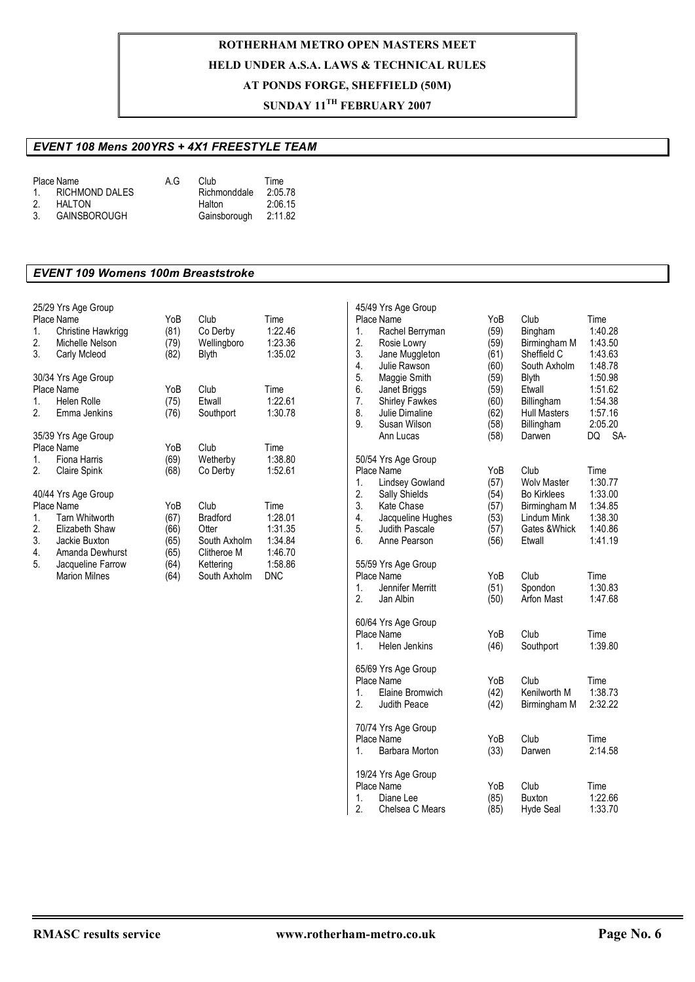### **SUNDAY 11TH FEBRUARY 2007**

### *EVENT 108 Mens 200YRS + 4X1 FREESTYLE TEAM*

|    | Place Name          | A G | Club         | Time    |
|----|---------------------|-----|--------------|---------|
|    | 1. RICHMOND DALES   |     | Richmonddale | 2:05.78 |
| 2. | <b>HALTON</b>       |     | Halton       | 2:06.15 |
| 3. | <b>GAINSBOROUGH</b> |     | Gainsborough | 2:11.82 |

#### *EVENT 109 Womens 100m Breaststroke*

| 25/29 Yrs Age Group<br>Place Name<br>1.<br>Christine Hawkrigg<br>2.<br>Michelle Nelson<br>3.<br>Carly Mcleod                                                                         | YoB<br>(81)<br>(79)<br>(82)                         | Club<br>Co Derby<br>Wellingboro<br>Blyth                                                     | Time<br>1:22.46<br>1:23.36<br>1:35.02                              |
|--------------------------------------------------------------------------------------------------------------------------------------------------------------------------------------|-----------------------------------------------------|----------------------------------------------------------------------------------------------|--------------------------------------------------------------------|
| 30/34 Yrs Age Group<br>Place Name<br>Helen Rolle<br>1.<br>2.<br>Emma Jenkins                                                                                                         | YoB<br>(75)<br>(76)                                 | Club<br>Etwall<br>Southport                                                                  | Time<br>1:22.61<br>1:30.78                                         |
| 35/39 Yrs Age Group<br>Place Name<br>1.<br>Fiona Harris<br>2.<br>Claire Spink                                                                                                        | YoB<br>(69)<br>(68)                                 | Club<br>Wetherby<br>Co Derby                                                                 | Time<br>1:38.80<br>1:52.61                                         |
| 40/44 Yrs Age Group<br>Place Name<br>1.<br>Tarn Whitworth<br>2.<br>Elizabeth Shaw<br>3.<br>Jackie Buxton<br>4.<br>Amanda Dewhurst<br>5.<br>Jacqueline Farrow<br><b>Marion Milnes</b> | YoB<br>(67)<br>(66)<br>(65)<br>(65)<br>(64)<br>(64) | Club<br><b>Bradford</b><br>Otter<br>South Axholm<br>Clitheroe M<br>Kettering<br>South Axholm | Time<br>1:28.01<br>1:31.35<br>1:34.84<br>1:46.70<br>1:58.86<br>DNC |

| 1.<br>2.<br>3.<br>4.<br>5.<br>6.<br>7.<br>8.<br>9. | 45/49 Yrs Age Group<br>Place Name<br>Rachel Berryman<br>Rosie Lowry<br>Jane Muggleton<br>Julie Rawson<br>Maggie Smith<br>Janet Briggs<br><b>Shirley Fawkes</b><br>Julie Dimaline<br>Susan Wilson<br>Ann Lucas | YoB<br>(59)<br>(59)<br>(61)<br>(60)<br>(59)<br>(59)<br>(60)<br>(62)<br>(58)<br>(58) | Club<br>Bingham<br>Birmingham M<br>Sheffield C<br>South Axholm<br><b>Blyth</b><br>Etwall<br>Billingham<br><b>Hull Masters</b><br>Billingham<br>Darwen | Time<br>1:40.28<br>1:43.50<br>1:43.63<br>1:48.78<br>1:50.98<br>1:51.62<br>1:54.38<br>1:57.16<br>2:05.20<br>SA-<br>DQ |
|----------------------------------------------------|---------------------------------------------------------------------------------------------------------------------------------------------------------------------------------------------------------------|-------------------------------------------------------------------------------------|-------------------------------------------------------------------------------------------------------------------------------------------------------|----------------------------------------------------------------------------------------------------------------------|
| 1.<br>2.<br>3.<br>4.<br>5.<br>6.                   | 50/54 Yrs Age Group<br>Place Name<br><b>Lindsey Gowland</b><br>Sally Shields<br>Kate Chase<br>Jacqueline Hughes<br>Judith Pascale<br>Anne Pearson                                                             | YoB<br>(57)<br>(54)<br>(57)<br>(53)<br>(57)<br>(56)                                 | Club<br><b>Wolv Master</b><br><b>Bo Kirklees</b><br>Birmingham M<br>Lindum Mink<br>Gates & Whick<br>Etwall                                            | Time<br>1:30.77<br>1:33.00<br>1:34.85<br>1:38.30<br>1:40.86<br>1:41.19                                               |
| 1.<br>2.                                           | 55/59 Yrs Age Group<br>Place Name<br>Jennifer Merritt<br>Jan Albin                                                                                                                                            | YoB<br>(51)<br>(50)                                                                 | Club<br>Spondon<br>Arfon Mast                                                                                                                         | Time<br>1:30.83<br>1:47.68                                                                                           |
| 1.                                                 | 60/64 Yrs Age Group<br>Place Name<br><b>Helen Jenkins</b>                                                                                                                                                     | YoB<br>(46)                                                                         | Club<br>Southport                                                                                                                                     | Time<br>1:39.80                                                                                                      |
| 1.<br>2.                                           | 65/69 Yrs Age Group<br>Place Name<br>Elaine Bromwich<br>Judith Peace                                                                                                                                          | YoB<br>(42)<br>(42)                                                                 | Club<br>Kenilworth M<br>Birmingham M                                                                                                                  | Time<br>1:38.73<br>2:32.22                                                                                           |
| 1.                                                 | 70/74 Yrs Age Group<br>Place Name<br>Barbara Morton                                                                                                                                                           | YoB<br>(33)                                                                         | Club<br>Darwen                                                                                                                                        | Time<br>2:14.58                                                                                                      |
| 1.<br>2.                                           | 19/24 Yrs Age Group<br>Place Name<br>Diane Lee<br>Chelsea C Mears                                                                                                                                             | YoB<br>(85)<br>(85)                                                                 | Club<br><b>Buxton</b><br><b>Hyde Seal</b>                                                                                                             | Time<br>1:22.66<br>1:33.70                                                                                           |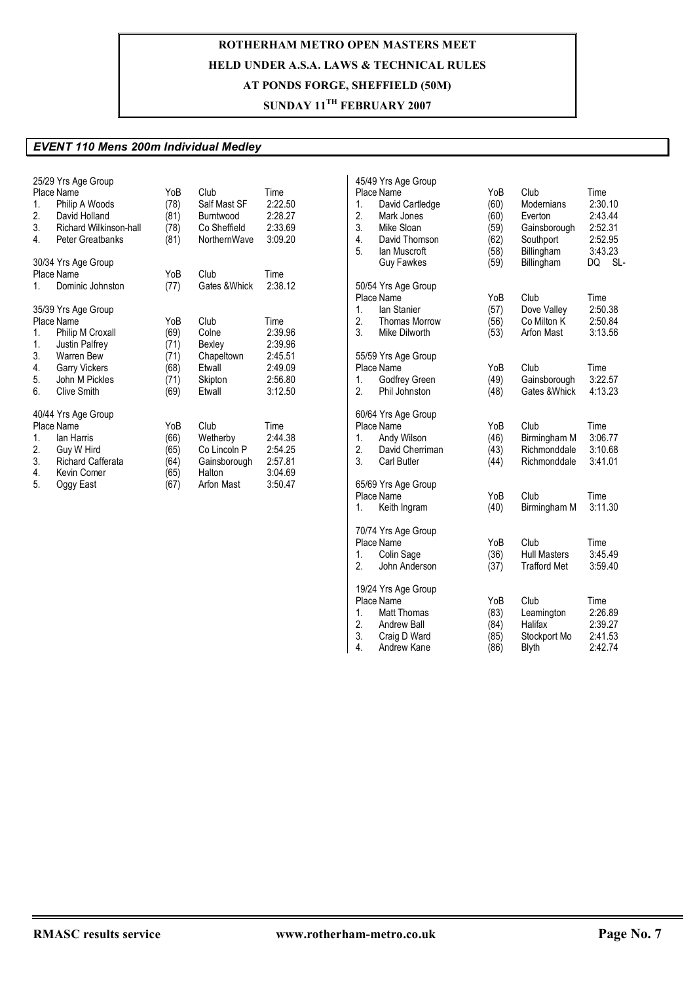## **SUNDAY 11TH FEBRUARY 2007**

### *EVENT 110 Mens 200m Individual Medley*

| 1.<br>2.<br>3.<br>4.             | 25/29 Yrs Age Group<br>Place Name<br>Philip A Woods<br>David Holland<br>Richard Wilkinson-hall<br>Peter Greatbanks                                    | YoB<br>(78)<br>(81)<br>(78)<br>(81)                 | Club<br>Salf Mast SF<br>Burntwood<br>Co Sheffield<br>NorthernWave        | Time<br>2:22.50<br>2:28.27<br>2:33.69<br>3:09.20                       |
|----------------------------------|-------------------------------------------------------------------------------------------------------------------------------------------------------|-----------------------------------------------------|--------------------------------------------------------------------------|------------------------------------------------------------------------|
| 1.                               | 30/34 Yrs Age Group<br>Place Name<br>Dominic Johnston                                                                                                 | YoB<br>(77)                                         | Club<br>Gates & Whick                                                    | Time<br>2:38.12                                                        |
| 1.<br>1.<br>3.<br>4.<br>5.<br>6. | 35/39 Yrs Age Group<br>Place Name<br>Philip M Croxall<br><b>Justin Palfrey</b><br>Warren Bew<br><b>Garry Vickers</b><br>John M Pickles<br>Clive Smith | YoB<br>(69)<br>(71)<br>(71)<br>(68)<br>(71)<br>(69) | Club<br>Colne<br>Bexley<br>Chapeltown<br>Etwall<br>Skipton<br>Etwall     | Time<br>2:39.96<br>2:39.96<br>2:45.51<br>2:49.09<br>2:56.80<br>3:12.50 |
| 1.<br>2.<br>3.<br>4.<br>5.       | 40/44 Yrs Age Group<br>Place Name<br>lan Harris<br>Guy W Hird<br><b>Richard Cafferata</b><br>Kevin Comer<br>Oggy East                                 | YoB<br>(66)<br>(65)<br>(64)<br>(65)<br>(67)         | Club<br>Wetherby<br>Co Lincoln P<br>Gainsborough<br>Halton<br>Arfon Mast | Time<br>2:44.38<br>2:54.25<br>2:57.81<br>3:04.69<br>3:50.47            |

| 1.<br>2.<br>3.<br>4.<br>5. | 45/49 Yrs Age Group<br>Place Name<br>David Cartledge<br>Mark Jones<br>Mike Sloan<br>David Thomson<br>lan Muscroft<br><b>Guy Fawkes</b> | YoB<br>(60)<br>(60)<br>(59)<br>(62)<br>(58)<br>(59) | Club<br><b>Modernians</b><br>Everton<br>Gainsborough<br>Southport<br>Billingham<br>Billingham | Time<br>2:30.10<br>2:43.44<br>2:52.31<br>2:52.95<br>3:43.23<br>DQ<br>SL- |
|----------------------------|----------------------------------------------------------------------------------------------------------------------------------------|-----------------------------------------------------|-----------------------------------------------------------------------------------------------|--------------------------------------------------------------------------|
| 1.<br>2.<br>3.             | 50/54 Yrs Age Group<br>Place Name<br>lan Stanier<br><b>Thomas Morrow</b><br>Mike Dilworth                                              | YoB<br>(57)<br>(56)<br>(53)                         | Club<br>Dove Valley<br>Co Milton K<br>Arfon Mast                                              | Time<br>2:50.38<br>2:50.84<br>3:13.56                                    |
| 1.<br>2.                   | 55/59 Yrs Age Group<br>Place Name<br>Godfrey Green<br>Phil Johnston                                                                    | YoB<br>(49)<br>(48)                                 | Club<br>Gainsborough<br>Gates & Whick                                                         | Time<br>3:22.57<br>4:13.23                                               |
| 1.<br>2.<br>3.             | 60/64 Yrs Age Group<br>Place Name<br>Andy Wilson<br>David Cherriman<br><b>Carl Butler</b>                                              | YoB<br>(46)<br>(43)<br>(44)                         | Club<br>Birmingham M<br>Richmonddale<br>Richmonddale                                          | Time<br>3:06.77<br>3:10.68<br>3:41.01                                    |
| 1.                         | 65/69 Yrs Age Group<br>Place Name<br>Keith Ingram                                                                                      | YoB<br>(40)                                         | Club<br>Birmingham M                                                                          | Time<br>3:11.30                                                          |
| 1.<br>2.                   | 70/74 Yrs Age Group<br>Place Name<br>Colin Sage<br>John Anderson                                                                       | YoB<br>(36)<br>(37)                                 | Club<br><b>Hull Masters</b><br><b>Trafford Met</b>                                            | Time<br>3:45.49<br>3:59.40                                               |
| 1.<br>2.<br>3.<br>4.       | 19/24 Yrs Age Group<br>Place Name<br><b>Matt Thomas</b><br><b>Andrew Ball</b><br>Craig D Ward<br>Andrew Kane                           | YoB<br>(83)<br>(84)<br>(85)<br>(86)                 | Club<br>Leamington<br>Halifax<br>Stockport Mo<br><b>Blyth</b>                                 | Time<br>2:26.89<br>2:39.27<br>2:41.53<br>2:42.74                         |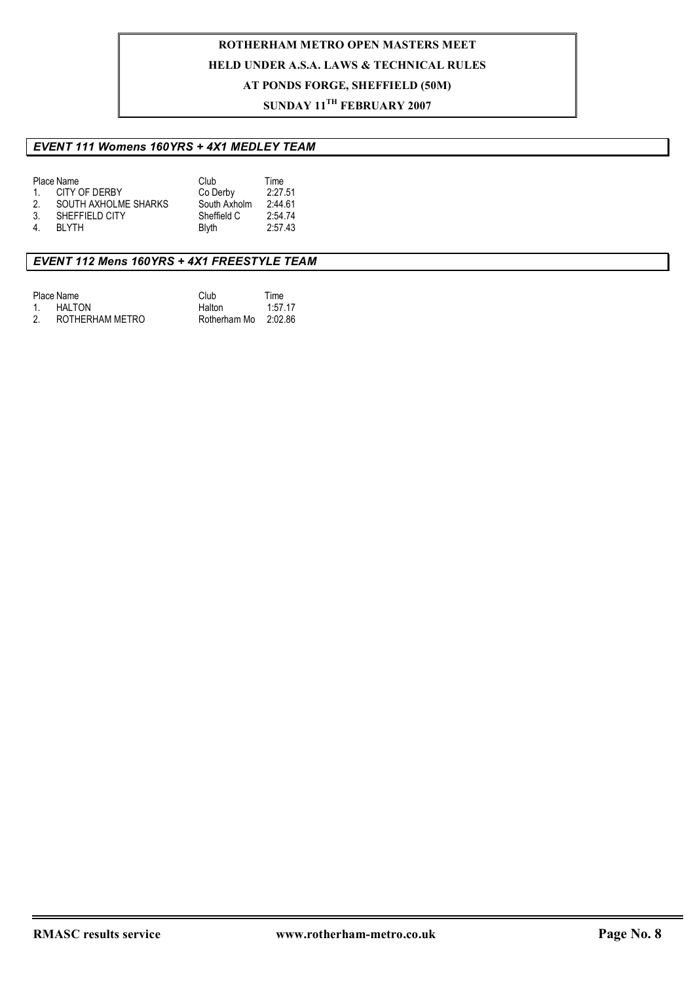### **SUNDAY 11TH FEBRUARY 2007**

### *EVENT 111 Womens 160YRS + 4X1 MEDLEY TEAM*

|                | Place Name           | Club         | Time    |
|----------------|----------------------|--------------|---------|
| 1              | CITY OF DERBY        | Co Derby     | 2:27.51 |
| 2.             | SOUTH AXHOLME SHARKS | South Axholm | 2:44.61 |
| -3.            | SHEFFIELD CITY       | Sheffield C  | 2:54.74 |
| $\overline{4}$ | <b>BI YTH</b>        | <b>Blyth</b> | 2:57.43 |
|                |                      |              |         |

### *EVENT 112 Mens 160YRS + 4X1 FREESTYLE TEAM*

| Place Name      | Club         | Time    |
|-----------------|--------------|---------|
| HALTON          | Halton       | 1:57.17 |
| ROTHERHAM METRO | Rotherham Mo | 2:02.86 |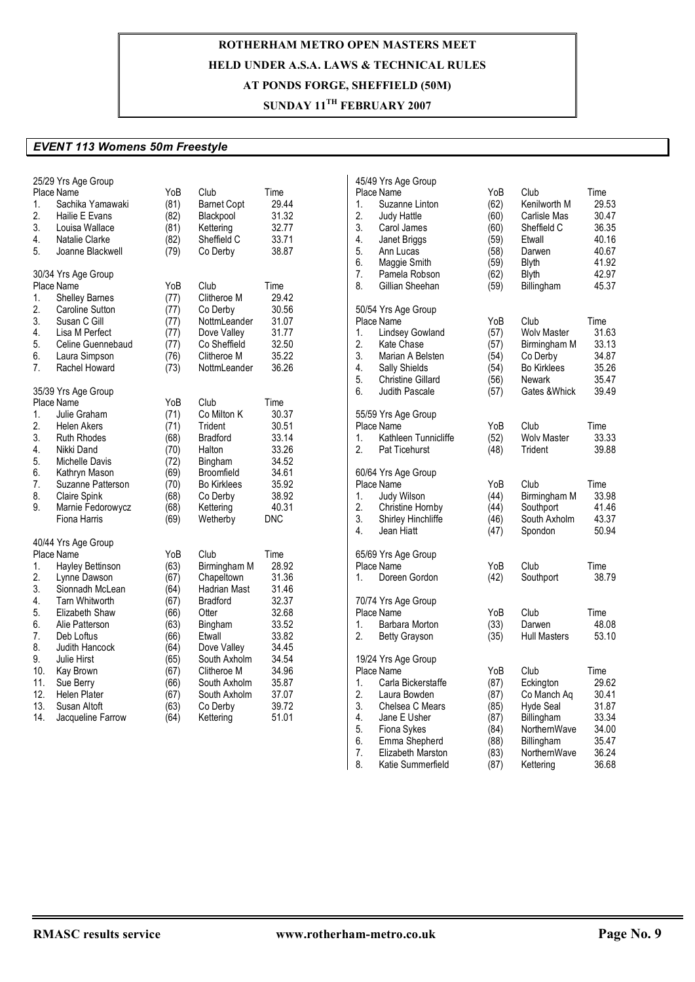## **SUNDAY 11TH FEBRUARY 2007**

#### *EVENT 113 Womens 50m Freestyle*

| Place Name<br>YoB<br>Club<br>Time<br>Place Name<br>YoB<br>Club<br>Time<br>29.53<br>Sachika Yamawaki<br>(81)<br><b>Barnet Copt</b><br>29.44<br>(62)<br>Kenilworth M<br>1.<br>1.<br>Suzanne Linton<br>2.<br>(82)<br>31.32<br>2.<br>30.47<br>Hailie E Evans<br>Blackpool<br>Judy Hattle<br>(60)<br>Carlisle Mas<br>3.<br>3.<br>36.35<br>Louisa Wallace<br>(81)<br>Kettering<br>32.77<br>Carol James<br>(60)<br>Sheffield C<br>4.<br>(82)<br>Sheffield C<br>33.71<br>4.<br>40.16<br>Natalie Clarke<br>Janet Briggs<br>(59)<br>Etwall<br>5.<br>5.<br>(79)<br>38.87<br>Ann Lucas<br>(58)<br>Darwen<br>40.67<br>Joanne Blackwell<br>Co Derby<br>6.<br>41.92<br>Maggie Smith<br><b>Blyth</b><br>(59)<br>7.<br>42.97<br>(62)<br><b>Blyth</b><br>30/34 Yrs Age Group<br>Pamela Robson<br>8.<br>45.37<br>YoB<br>Club<br>Time<br>Gillian Sheehan<br>(59)<br>Billingham<br>Place Name<br>29.42<br><b>Shelley Barnes</b><br>(77)<br>Clitheroe M<br>1.<br>2.<br>(77)<br>30.56<br><b>Caroline Sutton</b><br>Co Derby<br>50/54 Yrs Age Group<br>3.<br>Susan C Gill<br>NottmLeander<br>31.07<br>Place Name<br>YoB<br>Club<br>Time<br>(77)<br>31.63<br>4.<br>Lisa M Perfect<br>(77)<br>Dove Valley<br>31.77<br><b>Lindsey Gowland</b><br>(57)<br><b>Wolv Master</b><br>1.<br>2.<br>5.<br>Co Sheffield<br>32.50<br>33.13<br>Celine Guennebaud<br>(77)<br>Kate Chase<br>(57)<br>Birmingham M<br>35.22<br>3.<br>34.87<br>6.<br>Laura Simpson<br>(76)<br>Clitheroe M<br>Co Derby<br>Marian A Belsten<br>(54)<br>36.26<br>4.<br>35.26<br>7.<br>Rachel Howard<br>(73)<br>NottmLeander<br>Sally Shields<br><b>Bo Kirklees</b><br>(54)<br>5.<br>35.47<br><b>Christine Gillard</b><br>(56)<br><b>Newark</b><br>6.<br>Judith Pascale<br>39.49<br>35/39 Yrs Age Group<br>(57)<br>Gates & Whick<br><b>Place Name</b><br>YoB<br>Club<br>Time<br>30.37<br>(71)<br>Co Milton K<br>55/59 Yrs Age Group<br>1.<br>Julie Graham<br>2.<br>Trident<br>30.51<br>YoB<br>Club<br><b>Helen Akers</b><br>(71)<br>Place Name<br>Time<br>3.<br><b>Ruth Rhodes</b><br>(68)<br><b>Bradford</b><br>33.14<br>1.<br>Kathleen Tunnicliffe<br>(52)<br><b>Wolv Master</b><br>33.33<br>33.26<br>2.<br>(48)<br>39.88<br>4.<br>Nikki Dand<br>(70)<br>Halton<br>Pat Ticehurst<br>Trident<br>5.<br>(72)<br>34.52<br>Michelle Davis<br>Bingham<br>(69)<br>34.61<br>60/64 Yrs Age Group<br>6.<br>Kathryn Mason<br>Broomfield<br>7.<br>Club<br>Suzanne Patterson<br>(70)<br><b>Bo Kirklees</b><br>35.92<br>Place Name<br>YoB<br>Time<br>8.<br>Claire Spink<br>(68)<br>38.92<br>33.98<br>Co Derby<br>1.<br>Judy Wilson<br>(44)<br>Birmingham M<br>2.<br>9.<br>Marnie Fedorowycz<br>(68)<br>40.31<br>Southport<br>41.46<br>Kettering<br>Christine Hornby<br>(44)<br>3.<br>43.37<br>Fiona Harris<br>(69)<br>Wetherby<br><b>DNC</b><br>Shirley Hinchliffe<br>South Axholm<br>(46)<br>4.<br>50.94<br>Jean Hiatt<br>(47)<br>Spondon<br>40/44 Yrs Age Group<br>Place Name<br>YoB<br>Club<br>Time<br>65/69 Yrs Age Group<br>(63)<br>28.92<br>Club<br>Hayley Bettinson<br>Birmingham M<br>Place Name<br>YoB<br>Time<br>1.<br>2.<br>(67)<br>31.36<br>38.79<br>Lynne Dawson<br>Chapeltown<br>1.<br>Doreen Gordon<br>(42)<br>Southport<br>3.<br>Sionnadh McLean<br>(64)<br>Hadrian Mast<br>31.46<br><b>Bradford</b><br>32.37<br>4.<br><b>Tarn Whitworth</b><br>(67)<br>70/74 Yrs Age Group<br>5.<br>Elizabeth Shaw<br>(66)<br>32.68<br>Place Name<br>YoB<br>Club<br>Time<br>Otter<br>33.52<br>Barbara Morton<br>(33)<br>Darwen<br>48.08<br>6.<br>Alie Patterson<br>(63)<br>Bingham<br>1.<br>7.<br>33.82<br>2.<br>53.10<br>Deb Loftus<br>(66)<br>Etwall<br>(35)<br><b>Hull Masters</b><br><b>Betty Grayson</b><br>8.<br>Judith Hancock<br>34.45<br>(64)<br>Dove Valley<br>9.<br>Julie Hirst<br>(65)<br>South Axholm<br>34.54<br>19/24 Yrs Age Group<br>34.96<br>Place Name<br>Club<br>10.<br>Kay Brown<br>(67)<br>Clitheroe M<br>YoB<br>Time<br>11.<br>1.<br>Carla Bickerstaffe<br>29.62<br>Sue Berry<br>(66)<br>South Axholm<br>35.87<br>(87)<br>Eckington<br>2.<br>12.<br>30.41<br>Helen Plater<br>(67)<br>South Axholm<br>37.07<br>Laura Bowden<br>(87)<br>Co Manch Ag<br>3.<br>13.<br>Susan Altoft<br>(63)<br>Co Derby<br>39.72<br><b>Hyde Seal</b><br>31.87<br>Chelsea C Mears<br>(85)<br>4.<br>51.01<br>33.34<br>14.<br>Jacqueline Farrow<br>(64)<br>Kettering<br>Jane E Usher<br>Billingham<br>(87)<br>5.<br>(84)<br>34.00<br>Fiona Sykes<br>NorthernWave<br>6.<br>Emma Shepherd<br>(88)<br>35.47<br>Billingham<br>7 <sub>1</sub><br>36.24<br>Elizabeth Marston<br>(83)<br>NorthernWave<br>8.<br>(87)<br>36.68<br>Katie Summerfield<br>Kettering | 25/29 Yrs Age Group |  |  | 45/49 Yrs Age Group |  |  |
|-----------------------------------------------------------------------------------------------------------------------------------------------------------------------------------------------------------------------------------------------------------------------------------------------------------------------------------------------------------------------------------------------------------------------------------------------------------------------------------------------------------------------------------------------------------------------------------------------------------------------------------------------------------------------------------------------------------------------------------------------------------------------------------------------------------------------------------------------------------------------------------------------------------------------------------------------------------------------------------------------------------------------------------------------------------------------------------------------------------------------------------------------------------------------------------------------------------------------------------------------------------------------------------------------------------------------------------------------------------------------------------------------------------------------------------------------------------------------------------------------------------------------------------------------------------------------------------------------------------------------------------------------------------------------------------------------------------------------------------------------------------------------------------------------------------------------------------------------------------------------------------------------------------------------------------------------------------------------------------------------------------------------------------------------------------------------------------------------------------------------------------------------------------------------------------------------------------------------------------------------------------------------------------------------------------------------------------------------------------------------------------------------------------------------------------------------------------------------------------------------------------------------------------------------------------------------------------------------------------------------------------------------------------------------------------------------------------------------------------------------------------------------------------------------------------------------------------------------------------------------------------------------------------------------------------------------------------------------------------------------------------------------------------------------------------------------------------------------------------------------------------------------------------------------------------------------------------------------------------------------------------------------------------------------------------------------------------------------------------------------------------------------------------------------------------------------------------------------------------------------------------------------------------------------------------------------------------------------------------------------------------------------------------------------------------------------------------------------------------------------------------------------------------------------------------------------------------------------------------------------------------------------------------------------------------------------------------------------------------------------------------------------------------------------------------------------------------------------------------------------------------------------------------------------------------------------------------------------------------------------------------------------------------------------------------------------------------------------------------------------------------------------------------------------------------------------------------------------------------------------------------------------------------------------------------------------------|---------------------|--|--|---------------------|--|--|
|                                                                                                                                                                                                                                                                                                                                                                                                                                                                                                                                                                                                                                                                                                                                                                                                                                                                                                                                                                                                                                                                                                                                                                                                                                                                                                                                                                                                                                                                                                                                                                                                                                                                                                                                                                                                                                                                                                                                                                                                                                                                                                                                                                                                                                                                                                                                                                                                                                                                                                                                                                                                                                                                                                                                                                                                                                                                                                                                                                                                                                                                                                                                                                                                                                                                                                                                                                                                                                                                                                                                                                                                                                                                                                                                                                                                                                                                                                                                                                                                                                                                                                                                                                                                                                                                                                                                                                                                                                                                                                                                                                             |                     |  |  |                     |  |  |
|                                                                                                                                                                                                                                                                                                                                                                                                                                                                                                                                                                                                                                                                                                                                                                                                                                                                                                                                                                                                                                                                                                                                                                                                                                                                                                                                                                                                                                                                                                                                                                                                                                                                                                                                                                                                                                                                                                                                                                                                                                                                                                                                                                                                                                                                                                                                                                                                                                                                                                                                                                                                                                                                                                                                                                                                                                                                                                                                                                                                                                                                                                                                                                                                                                                                                                                                                                                                                                                                                                                                                                                                                                                                                                                                                                                                                                                                                                                                                                                                                                                                                                                                                                                                                                                                                                                                                                                                                                                                                                                                                                             |                     |  |  |                     |  |  |
|                                                                                                                                                                                                                                                                                                                                                                                                                                                                                                                                                                                                                                                                                                                                                                                                                                                                                                                                                                                                                                                                                                                                                                                                                                                                                                                                                                                                                                                                                                                                                                                                                                                                                                                                                                                                                                                                                                                                                                                                                                                                                                                                                                                                                                                                                                                                                                                                                                                                                                                                                                                                                                                                                                                                                                                                                                                                                                                                                                                                                                                                                                                                                                                                                                                                                                                                                                                                                                                                                                                                                                                                                                                                                                                                                                                                                                                                                                                                                                                                                                                                                                                                                                                                                                                                                                                                                                                                                                                                                                                                                                             |                     |  |  |                     |  |  |
|                                                                                                                                                                                                                                                                                                                                                                                                                                                                                                                                                                                                                                                                                                                                                                                                                                                                                                                                                                                                                                                                                                                                                                                                                                                                                                                                                                                                                                                                                                                                                                                                                                                                                                                                                                                                                                                                                                                                                                                                                                                                                                                                                                                                                                                                                                                                                                                                                                                                                                                                                                                                                                                                                                                                                                                                                                                                                                                                                                                                                                                                                                                                                                                                                                                                                                                                                                                                                                                                                                                                                                                                                                                                                                                                                                                                                                                                                                                                                                                                                                                                                                                                                                                                                                                                                                                                                                                                                                                                                                                                                                             |                     |  |  |                     |  |  |
|                                                                                                                                                                                                                                                                                                                                                                                                                                                                                                                                                                                                                                                                                                                                                                                                                                                                                                                                                                                                                                                                                                                                                                                                                                                                                                                                                                                                                                                                                                                                                                                                                                                                                                                                                                                                                                                                                                                                                                                                                                                                                                                                                                                                                                                                                                                                                                                                                                                                                                                                                                                                                                                                                                                                                                                                                                                                                                                                                                                                                                                                                                                                                                                                                                                                                                                                                                                                                                                                                                                                                                                                                                                                                                                                                                                                                                                                                                                                                                                                                                                                                                                                                                                                                                                                                                                                                                                                                                                                                                                                                                             |                     |  |  |                     |  |  |
|                                                                                                                                                                                                                                                                                                                                                                                                                                                                                                                                                                                                                                                                                                                                                                                                                                                                                                                                                                                                                                                                                                                                                                                                                                                                                                                                                                                                                                                                                                                                                                                                                                                                                                                                                                                                                                                                                                                                                                                                                                                                                                                                                                                                                                                                                                                                                                                                                                                                                                                                                                                                                                                                                                                                                                                                                                                                                                                                                                                                                                                                                                                                                                                                                                                                                                                                                                                                                                                                                                                                                                                                                                                                                                                                                                                                                                                                                                                                                                                                                                                                                                                                                                                                                                                                                                                                                                                                                                                                                                                                                                             |                     |  |  |                     |  |  |
|                                                                                                                                                                                                                                                                                                                                                                                                                                                                                                                                                                                                                                                                                                                                                                                                                                                                                                                                                                                                                                                                                                                                                                                                                                                                                                                                                                                                                                                                                                                                                                                                                                                                                                                                                                                                                                                                                                                                                                                                                                                                                                                                                                                                                                                                                                                                                                                                                                                                                                                                                                                                                                                                                                                                                                                                                                                                                                                                                                                                                                                                                                                                                                                                                                                                                                                                                                                                                                                                                                                                                                                                                                                                                                                                                                                                                                                                                                                                                                                                                                                                                                                                                                                                                                                                                                                                                                                                                                                                                                                                                                             |                     |  |  |                     |  |  |
|                                                                                                                                                                                                                                                                                                                                                                                                                                                                                                                                                                                                                                                                                                                                                                                                                                                                                                                                                                                                                                                                                                                                                                                                                                                                                                                                                                                                                                                                                                                                                                                                                                                                                                                                                                                                                                                                                                                                                                                                                                                                                                                                                                                                                                                                                                                                                                                                                                                                                                                                                                                                                                                                                                                                                                                                                                                                                                                                                                                                                                                                                                                                                                                                                                                                                                                                                                                                                                                                                                                                                                                                                                                                                                                                                                                                                                                                                                                                                                                                                                                                                                                                                                                                                                                                                                                                                                                                                                                                                                                                                                             |                     |  |  |                     |  |  |
|                                                                                                                                                                                                                                                                                                                                                                                                                                                                                                                                                                                                                                                                                                                                                                                                                                                                                                                                                                                                                                                                                                                                                                                                                                                                                                                                                                                                                                                                                                                                                                                                                                                                                                                                                                                                                                                                                                                                                                                                                                                                                                                                                                                                                                                                                                                                                                                                                                                                                                                                                                                                                                                                                                                                                                                                                                                                                                                                                                                                                                                                                                                                                                                                                                                                                                                                                                                                                                                                                                                                                                                                                                                                                                                                                                                                                                                                                                                                                                                                                                                                                                                                                                                                                                                                                                                                                                                                                                                                                                                                                                             |                     |  |  |                     |  |  |
|                                                                                                                                                                                                                                                                                                                                                                                                                                                                                                                                                                                                                                                                                                                                                                                                                                                                                                                                                                                                                                                                                                                                                                                                                                                                                                                                                                                                                                                                                                                                                                                                                                                                                                                                                                                                                                                                                                                                                                                                                                                                                                                                                                                                                                                                                                                                                                                                                                                                                                                                                                                                                                                                                                                                                                                                                                                                                                                                                                                                                                                                                                                                                                                                                                                                                                                                                                                                                                                                                                                                                                                                                                                                                                                                                                                                                                                                                                                                                                                                                                                                                                                                                                                                                                                                                                                                                                                                                                                                                                                                                                             |                     |  |  |                     |  |  |
|                                                                                                                                                                                                                                                                                                                                                                                                                                                                                                                                                                                                                                                                                                                                                                                                                                                                                                                                                                                                                                                                                                                                                                                                                                                                                                                                                                                                                                                                                                                                                                                                                                                                                                                                                                                                                                                                                                                                                                                                                                                                                                                                                                                                                                                                                                                                                                                                                                                                                                                                                                                                                                                                                                                                                                                                                                                                                                                                                                                                                                                                                                                                                                                                                                                                                                                                                                                                                                                                                                                                                                                                                                                                                                                                                                                                                                                                                                                                                                                                                                                                                                                                                                                                                                                                                                                                                                                                                                                                                                                                                                             |                     |  |  |                     |  |  |
|                                                                                                                                                                                                                                                                                                                                                                                                                                                                                                                                                                                                                                                                                                                                                                                                                                                                                                                                                                                                                                                                                                                                                                                                                                                                                                                                                                                                                                                                                                                                                                                                                                                                                                                                                                                                                                                                                                                                                                                                                                                                                                                                                                                                                                                                                                                                                                                                                                                                                                                                                                                                                                                                                                                                                                                                                                                                                                                                                                                                                                                                                                                                                                                                                                                                                                                                                                                                                                                                                                                                                                                                                                                                                                                                                                                                                                                                                                                                                                                                                                                                                                                                                                                                                                                                                                                                                                                                                                                                                                                                                                             |                     |  |  |                     |  |  |
|                                                                                                                                                                                                                                                                                                                                                                                                                                                                                                                                                                                                                                                                                                                                                                                                                                                                                                                                                                                                                                                                                                                                                                                                                                                                                                                                                                                                                                                                                                                                                                                                                                                                                                                                                                                                                                                                                                                                                                                                                                                                                                                                                                                                                                                                                                                                                                                                                                                                                                                                                                                                                                                                                                                                                                                                                                                                                                                                                                                                                                                                                                                                                                                                                                                                                                                                                                                                                                                                                                                                                                                                                                                                                                                                                                                                                                                                                                                                                                                                                                                                                                                                                                                                                                                                                                                                                                                                                                                                                                                                                                             |                     |  |  |                     |  |  |
|                                                                                                                                                                                                                                                                                                                                                                                                                                                                                                                                                                                                                                                                                                                                                                                                                                                                                                                                                                                                                                                                                                                                                                                                                                                                                                                                                                                                                                                                                                                                                                                                                                                                                                                                                                                                                                                                                                                                                                                                                                                                                                                                                                                                                                                                                                                                                                                                                                                                                                                                                                                                                                                                                                                                                                                                                                                                                                                                                                                                                                                                                                                                                                                                                                                                                                                                                                                                                                                                                                                                                                                                                                                                                                                                                                                                                                                                                                                                                                                                                                                                                                                                                                                                                                                                                                                                                                                                                                                                                                                                                                             |                     |  |  |                     |  |  |
|                                                                                                                                                                                                                                                                                                                                                                                                                                                                                                                                                                                                                                                                                                                                                                                                                                                                                                                                                                                                                                                                                                                                                                                                                                                                                                                                                                                                                                                                                                                                                                                                                                                                                                                                                                                                                                                                                                                                                                                                                                                                                                                                                                                                                                                                                                                                                                                                                                                                                                                                                                                                                                                                                                                                                                                                                                                                                                                                                                                                                                                                                                                                                                                                                                                                                                                                                                                                                                                                                                                                                                                                                                                                                                                                                                                                                                                                                                                                                                                                                                                                                                                                                                                                                                                                                                                                                                                                                                                                                                                                                                             |                     |  |  |                     |  |  |
|                                                                                                                                                                                                                                                                                                                                                                                                                                                                                                                                                                                                                                                                                                                                                                                                                                                                                                                                                                                                                                                                                                                                                                                                                                                                                                                                                                                                                                                                                                                                                                                                                                                                                                                                                                                                                                                                                                                                                                                                                                                                                                                                                                                                                                                                                                                                                                                                                                                                                                                                                                                                                                                                                                                                                                                                                                                                                                                                                                                                                                                                                                                                                                                                                                                                                                                                                                                                                                                                                                                                                                                                                                                                                                                                                                                                                                                                                                                                                                                                                                                                                                                                                                                                                                                                                                                                                                                                                                                                                                                                                                             |                     |  |  |                     |  |  |
|                                                                                                                                                                                                                                                                                                                                                                                                                                                                                                                                                                                                                                                                                                                                                                                                                                                                                                                                                                                                                                                                                                                                                                                                                                                                                                                                                                                                                                                                                                                                                                                                                                                                                                                                                                                                                                                                                                                                                                                                                                                                                                                                                                                                                                                                                                                                                                                                                                                                                                                                                                                                                                                                                                                                                                                                                                                                                                                                                                                                                                                                                                                                                                                                                                                                                                                                                                                                                                                                                                                                                                                                                                                                                                                                                                                                                                                                                                                                                                                                                                                                                                                                                                                                                                                                                                                                                                                                                                                                                                                                                                             |                     |  |  |                     |  |  |
|                                                                                                                                                                                                                                                                                                                                                                                                                                                                                                                                                                                                                                                                                                                                                                                                                                                                                                                                                                                                                                                                                                                                                                                                                                                                                                                                                                                                                                                                                                                                                                                                                                                                                                                                                                                                                                                                                                                                                                                                                                                                                                                                                                                                                                                                                                                                                                                                                                                                                                                                                                                                                                                                                                                                                                                                                                                                                                                                                                                                                                                                                                                                                                                                                                                                                                                                                                                                                                                                                                                                                                                                                                                                                                                                                                                                                                                                                                                                                                                                                                                                                                                                                                                                                                                                                                                                                                                                                                                                                                                                                                             |                     |  |  |                     |  |  |
|                                                                                                                                                                                                                                                                                                                                                                                                                                                                                                                                                                                                                                                                                                                                                                                                                                                                                                                                                                                                                                                                                                                                                                                                                                                                                                                                                                                                                                                                                                                                                                                                                                                                                                                                                                                                                                                                                                                                                                                                                                                                                                                                                                                                                                                                                                                                                                                                                                                                                                                                                                                                                                                                                                                                                                                                                                                                                                                                                                                                                                                                                                                                                                                                                                                                                                                                                                                                                                                                                                                                                                                                                                                                                                                                                                                                                                                                                                                                                                                                                                                                                                                                                                                                                                                                                                                                                                                                                                                                                                                                                                             |                     |  |  |                     |  |  |
|                                                                                                                                                                                                                                                                                                                                                                                                                                                                                                                                                                                                                                                                                                                                                                                                                                                                                                                                                                                                                                                                                                                                                                                                                                                                                                                                                                                                                                                                                                                                                                                                                                                                                                                                                                                                                                                                                                                                                                                                                                                                                                                                                                                                                                                                                                                                                                                                                                                                                                                                                                                                                                                                                                                                                                                                                                                                                                                                                                                                                                                                                                                                                                                                                                                                                                                                                                                                                                                                                                                                                                                                                                                                                                                                                                                                                                                                                                                                                                                                                                                                                                                                                                                                                                                                                                                                                                                                                                                                                                                                                                             |                     |  |  |                     |  |  |
|                                                                                                                                                                                                                                                                                                                                                                                                                                                                                                                                                                                                                                                                                                                                                                                                                                                                                                                                                                                                                                                                                                                                                                                                                                                                                                                                                                                                                                                                                                                                                                                                                                                                                                                                                                                                                                                                                                                                                                                                                                                                                                                                                                                                                                                                                                                                                                                                                                                                                                                                                                                                                                                                                                                                                                                                                                                                                                                                                                                                                                                                                                                                                                                                                                                                                                                                                                                                                                                                                                                                                                                                                                                                                                                                                                                                                                                                                                                                                                                                                                                                                                                                                                                                                                                                                                                                                                                                                                                                                                                                                                             |                     |  |  |                     |  |  |
|                                                                                                                                                                                                                                                                                                                                                                                                                                                                                                                                                                                                                                                                                                                                                                                                                                                                                                                                                                                                                                                                                                                                                                                                                                                                                                                                                                                                                                                                                                                                                                                                                                                                                                                                                                                                                                                                                                                                                                                                                                                                                                                                                                                                                                                                                                                                                                                                                                                                                                                                                                                                                                                                                                                                                                                                                                                                                                                                                                                                                                                                                                                                                                                                                                                                                                                                                                                                                                                                                                                                                                                                                                                                                                                                                                                                                                                                                                                                                                                                                                                                                                                                                                                                                                                                                                                                                                                                                                                                                                                                                                             |                     |  |  |                     |  |  |
|                                                                                                                                                                                                                                                                                                                                                                                                                                                                                                                                                                                                                                                                                                                                                                                                                                                                                                                                                                                                                                                                                                                                                                                                                                                                                                                                                                                                                                                                                                                                                                                                                                                                                                                                                                                                                                                                                                                                                                                                                                                                                                                                                                                                                                                                                                                                                                                                                                                                                                                                                                                                                                                                                                                                                                                                                                                                                                                                                                                                                                                                                                                                                                                                                                                                                                                                                                                                                                                                                                                                                                                                                                                                                                                                                                                                                                                                                                                                                                                                                                                                                                                                                                                                                                                                                                                                                                                                                                                                                                                                                                             |                     |  |  |                     |  |  |
|                                                                                                                                                                                                                                                                                                                                                                                                                                                                                                                                                                                                                                                                                                                                                                                                                                                                                                                                                                                                                                                                                                                                                                                                                                                                                                                                                                                                                                                                                                                                                                                                                                                                                                                                                                                                                                                                                                                                                                                                                                                                                                                                                                                                                                                                                                                                                                                                                                                                                                                                                                                                                                                                                                                                                                                                                                                                                                                                                                                                                                                                                                                                                                                                                                                                                                                                                                                                                                                                                                                                                                                                                                                                                                                                                                                                                                                                                                                                                                                                                                                                                                                                                                                                                                                                                                                                                                                                                                                                                                                                                                             |                     |  |  |                     |  |  |
|                                                                                                                                                                                                                                                                                                                                                                                                                                                                                                                                                                                                                                                                                                                                                                                                                                                                                                                                                                                                                                                                                                                                                                                                                                                                                                                                                                                                                                                                                                                                                                                                                                                                                                                                                                                                                                                                                                                                                                                                                                                                                                                                                                                                                                                                                                                                                                                                                                                                                                                                                                                                                                                                                                                                                                                                                                                                                                                                                                                                                                                                                                                                                                                                                                                                                                                                                                                                                                                                                                                                                                                                                                                                                                                                                                                                                                                                                                                                                                                                                                                                                                                                                                                                                                                                                                                                                                                                                                                                                                                                                                             |                     |  |  |                     |  |  |
|                                                                                                                                                                                                                                                                                                                                                                                                                                                                                                                                                                                                                                                                                                                                                                                                                                                                                                                                                                                                                                                                                                                                                                                                                                                                                                                                                                                                                                                                                                                                                                                                                                                                                                                                                                                                                                                                                                                                                                                                                                                                                                                                                                                                                                                                                                                                                                                                                                                                                                                                                                                                                                                                                                                                                                                                                                                                                                                                                                                                                                                                                                                                                                                                                                                                                                                                                                                                                                                                                                                                                                                                                                                                                                                                                                                                                                                                                                                                                                                                                                                                                                                                                                                                                                                                                                                                                                                                                                                                                                                                                                             |                     |  |  |                     |  |  |
|                                                                                                                                                                                                                                                                                                                                                                                                                                                                                                                                                                                                                                                                                                                                                                                                                                                                                                                                                                                                                                                                                                                                                                                                                                                                                                                                                                                                                                                                                                                                                                                                                                                                                                                                                                                                                                                                                                                                                                                                                                                                                                                                                                                                                                                                                                                                                                                                                                                                                                                                                                                                                                                                                                                                                                                                                                                                                                                                                                                                                                                                                                                                                                                                                                                                                                                                                                                                                                                                                                                                                                                                                                                                                                                                                                                                                                                                                                                                                                                                                                                                                                                                                                                                                                                                                                                                                                                                                                                                                                                                                                             |                     |  |  |                     |  |  |
|                                                                                                                                                                                                                                                                                                                                                                                                                                                                                                                                                                                                                                                                                                                                                                                                                                                                                                                                                                                                                                                                                                                                                                                                                                                                                                                                                                                                                                                                                                                                                                                                                                                                                                                                                                                                                                                                                                                                                                                                                                                                                                                                                                                                                                                                                                                                                                                                                                                                                                                                                                                                                                                                                                                                                                                                                                                                                                                                                                                                                                                                                                                                                                                                                                                                                                                                                                                                                                                                                                                                                                                                                                                                                                                                                                                                                                                                                                                                                                                                                                                                                                                                                                                                                                                                                                                                                                                                                                                                                                                                                                             |                     |  |  |                     |  |  |
|                                                                                                                                                                                                                                                                                                                                                                                                                                                                                                                                                                                                                                                                                                                                                                                                                                                                                                                                                                                                                                                                                                                                                                                                                                                                                                                                                                                                                                                                                                                                                                                                                                                                                                                                                                                                                                                                                                                                                                                                                                                                                                                                                                                                                                                                                                                                                                                                                                                                                                                                                                                                                                                                                                                                                                                                                                                                                                                                                                                                                                                                                                                                                                                                                                                                                                                                                                                                                                                                                                                                                                                                                                                                                                                                                                                                                                                                                                                                                                                                                                                                                                                                                                                                                                                                                                                                                                                                                                                                                                                                                                             |                     |  |  |                     |  |  |
|                                                                                                                                                                                                                                                                                                                                                                                                                                                                                                                                                                                                                                                                                                                                                                                                                                                                                                                                                                                                                                                                                                                                                                                                                                                                                                                                                                                                                                                                                                                                                                                                                                                                                                                                                                                                                                                                                                                                                                                                                                                                                                                                                                                                                                                                                                                                                                                                                                                                                                                                                                                                                                                                                                                                                                                                                                                                                                                                                                                                                                                                                                                                                                                                                                                                                                                                                                                                                                                                                                                                                                                                                                                                                                                                                                                                                                                                                                                                                                                                                                                                                                                                                                                                                                                                                                                                                                                                                                                                                                                                                                             |                     |  |  |                     |  |  |
|                                                                                                                                                                                                                                                                                                                                                                                                                                                                                                                                                                                                                                                                                                                                                                                                                                                                                                                                                                                                                                                                                                                                                                                                                                                                                                                                                                                                                                                                                                                                                                                                                                                                                                                                                                                                                                                                                                                                                                                                                                                                                                                                                                                                                                                                                                                                                                                                                                                                                                                                                                                                                                                                                                                                                                                                                                                                                                                                                                                                                                                                                                                                                                                                                                                                                                                                                                                                                                                                                                                                                                                                                                                                                                                                                                                                                                                                                                                                                                                                                                                                                                                                                                                                                                                                                                                                                                                                                                                                                                                                                                             |                     |  |  |                     |  |  |
|                                                                                                                                                                                                                                                                                                                                                                                                                                                                                                                                                                                                                                                                                                                                                                                                                                                                                                                                                                                                                                                                                                                                                                                                                                                                                                                                                                                                                                                                                                                                                                                                                                                                                                                                                                                                                                                                                                                                                                                                                                                                                                                                                                                                                                                                                                                                                                                                                                                                                                                                                                                                                                                                                                                                                                                                                                                                                                                                                                                                                                                                                                                                                                                                                                                                                                                                                                                                                                                                                                                                                                                                                                                                                                                                                                                                                                                                                                                                                                                                                                                                                                                                                                                                                                                                                                                                                                                                                                                                                                                                                                             |                     |  |  |                     |  |  |
|                                                                                                                                                                                                                                                                                                                                                                                                                                                                                                                                                                                                                                                                                                                                                                                                                                                                                                                                                                                                                                                                                                                                                                                                                                                                                                                                                                                                                                                                                                                                                                                                                                                                                                                                                                                                                                                                                                                                                                                                                                                                                                                                                                                                                                                                                                                                                                                                                                                                                                                                                                                                                                                                                                                                                                                                                                                                                                                                                                                                                                                                                                                                                                                                                                                                                                                                                                                                                                                                                                                                                                                                                                                                                                                                                                                                                                                                                                                                                                                                                                                                                                                                                                                                                                                                                                                                                                                                                                                                                                                                                                             |                     |  |  |                     |  |  |
|                                                                                                                                                                                                                                                                                                                                                                                                                                                                                                                                                                                                                                                                                                                                                                                                                                                                                                                                                                                                                                                                                                                                                                                                                                                                                                                                                                                                                                                                                                                                                                                                                                                                                                                                                                                                                                                                                                                                                                                                                                                                                                                                                                                                                                                                                                                                                                                                                                                                                                                                                                                                                                                                                                                                                                                                                                                                                                                                                                                                                                                                                                                                                                                                                                                                                                                                                                                                                                                                                                                                                                                                                                                                                                                                                                                                                                                                                                                                                                                                                                                                                                                                                                                                                                                                                                                                                                                                                                                                                                                                                                             |                     |  |  |                     |  |  |
|                                                                                                                                                                                                                                                                                                                                                                                                                                                                                                                                                                                                                                                                                                                                                                                                                                                                                                                                                                                                                                                                                                                                                                                                                                                                                                                                                                                                                                                                                                                                                                                                                                                                                                                                                                                                                                                                                                                                                                                                                                                                                                                                                                                                                                                                                                                                                                                                                                                                                                                                                                                                                                                                                                                                                                                                                                                                                                                                                                                                                                                                                                                                                                                                                                                                                                                                                                                                                                                                                                                                                                                                                                                                                                                                                                                                                                                                                                                                                                                                                                                                                                                                                                                                                                                                                                                                                                                                                                                                                                                                                                             |                     |  |  |                     |  |  |
|                                                                                                                                                                                                                                                                                                                                                                                                                                                                                                                                                                                                                                                                                                                                                                                                                                                                                                                                                                                                                                                                                                                                                                                                                                                                                                                                                                                                                                                                                                                                                                                                                                                                                                                                                                                                                                                                                                                                                                                                                                                                                                                                                                                                                                                                                                                                                                                                                                                                                                                                                                                                                                                                                                                                                                                                                                                                                                                                                                                                                                                                                                                                                                                                                                                                                                                                                                                                                                                                                                                                                                                                                                                                                                                                                                                                                                                                                                                                                                                                                                                                                                                                                                                                                                                                                                                                                                                                                                                                                                                                                                             |                     |  |  |                     |  |  |
|                                                                                                                                                                                                                                                                                                                                                                                                                                                                                                                                                                                                                                                                                                                                                                                                                                                                                                                                                                                                                                                                                                                                                                                                                                                                                                                                                                                                                                                                                                                                                                                                                                                                                                                                                                                                                                                                                                                                                                                                                                                                                                                                                                                                                                                                                                                                                                                                                                                                                                                                                                                                                                                                                                                                                                                                                                                                                                                                                                                                                                                                                                                                                                                                                                                                                                                                                                                                                                                                                                                                                                                                                                                                                                                                                                                                                                                                                                                                                                                                                                                                                                                                                                                                                                                                                                                                                                                                                                                                                                                                                                             |                     |  |  |                     |  |  |
|                                                                                                                                                                                                                                                                                                                                                                                                                                                                                                                                                                                                                                                                                                                                                                                                                                                                                                                                                                                                                                                                                                                                                                                                                                                                                                                                                                                                                                                                                                                                                                                                                                                                                                                                                                                                                                                                                                                                                                                                                                                                                                                                                                                                                                                                                                                                                                                                                                                                                                                                                                                                                                                                                                                                                                                                                                                                                                                                                                                                                                                                                                                                                                                                                                                                                                                                                                                                                                                                                                                                                                                                                                                                                                                                                                                                                                                                                                                                                                                                                                                                                                                                                                                                                                                                                                                                                                                                                                                                                                                                                                             |                     |  |  |                     |  |  |
|                                                                                                                                                                                                                                                                                                                                                                                                                                                                                                                                                                                                                                                                                                                                                                                                                                                                                                                                                                                                                                                                                                                                                                                                                                                                                                                                                                                                                                                                                                                                                                                                                                                                                                                                                                                                                                                                                                                                                                                                                                                                                                                                                                                                                                                                                                                                                                                                                                                                                                                                                                                                                                                                                                                                                                                                                                                                                                                                                                                                                                                                                                                                                                                                                                                                                                                                                                                                                                                                                                                                                                                                                                                                                                                                                                                                                                                                                                                                                                                                                                                                                                                                                                                                                                                                                                                                                                                                                                                                                                                                                                             |                     |  |  |                     |  |  |
|                                                                                                                                                                                                                                                                                                                                                                                                                                                                                                                                                                                                                                                                                                                                                                                                                                                                                                                                                                                                                                                                                                                                                                                                                                                                                                                                                                                                                                                                                                                                                                                                                                                                                                                                                                                                                                                                                                                                                                                                                                                                                                                                                                                                                                                                                                                                                                                                                                                                                                                                                                                                                                                                                                                                                                                                                                                                                                                                                                                                                                                                                                                                                                                                                                                                                                                                                                                                                                                                                                                                                                                                                                                                                                                                                                                                                                                                                                                                                                                                                                                                                                                                                                                                                                                                                                                                                                                                                                                                                                                                                                             |                     |  |  |                     |  |  |
|                                                                                                                                                                                                                                                                                                                                                                                                                                                                                                                                                                                                                                                                                                                                                                                                                                                                                                                                                                                                                                                                                                                                                                                                                                                                                                                                                                                                                                                                                                                                                                                                                                                                                                                                                                                                                                                                                                                                                                                                                                                                                                                                                                                                                                                                                                                                                                                                                                                                                                                                                                                                                                                                                                                                                                                                                                                                                                                                                                                                                                                                                                                                                                                                                                                                                                                                                                                                                                                                                                                                                                                                                                                                                                                                                                                                                                                                                                                                                                                                                                                                                                                                                                                                                                                                                                                                                                                                                                                                                                                                                                             |                     |  |  |                     |  |  |
|                                                                                                                                                                                                                                                                                                                                                                                                                                                                                                                                                                                                                                                                                                                                                                                                                                                                                                                                                                                                                                                                                                                                                                                                                                                                                                                                                                                                                                                                                                                                                                                                                                                                                                                                                                                                                                                                                                                                                                                                                                                                                                                                                                                                                                                                                                                                                                                                                                                                                                                                                                                                                                                                                                                                                                                                                                                                                                                                                                                                                                                                                                                                                                                                                                                                                                                                                                                                                                                                                                                                                                                                                                                                                                                                                                                                                                                                                                                                                                                                                                                                                                                                                                                                                                                                                                                                                                                                                                                                                                                                                                             |                     |  |  |                     |  |  |
|                                                                                                                                                                                                                                                                                                                                                                                                                                                                                                                                                                                                                                                                                                                                                                                                                                                                                                                                                                                                                                                                                                                                                                                                                                                                                                                                                                                                                                                                                                                                                                                                                                                                                                                                                                                                                                                                                                                                                                                                                                                                                                                                                                                                                                                                                                                                                                                                                                                                                                                                                                                                                                                                                                                                                                                                                                                                                                                                                                                                                                                                                                                                                                                                                                                                                                                                                                                                                                                                                                                                                                                                                                                                                                                                                                                                                                                                                                                                                                                                                                                                                                                                                                                                                                                                                                                                                                                                                                                                                                                                                                             |                     |  |  |                     |  |  |
|                                                                                                                                                                                                                                                                                                                                                                                                                                                                                                                                                                                                                                                                                                                                                                                                                                                                                                                                                                                                                                                                                                                                                                                                                                                                                                                                                                                                                                                                                                                                                                                                                                                                                                                                                                                                                                                                                                                                                                                                                                                                                                                                                                                                                                                                                                                                                                                                                                                                                                                                                                                                                                                                                                                                                                                                                                                                                                                                                                                                                                                                                                                                                                                                                                                                                                                                                                                                                                                                                                                                                                                                                                                                                                                                                                                                                                                                                                                                                                                                                                                                                                                                                                                                                                                                                                                                                                                                                                                                                                                                                                             |                     |  |  |                     |  |  |
|                                                                                                                                                                                                                                                                                                                                                                                                                                                                                                                                                                                                                                                                                                                                                                                                                                                                                                                                                                                                                                                                                                                                                                                                                                                                                                                                                                                                                                                                                                                                                                                                                                                                                                                                                                                                                                                                                                                                                                                                                                                                                                                                                                                                                                                                                                                                                                                                                                                                                                                                                                                                                                                                                                                                                                                                                                                                                                                                                                                                                                                                                                                                                                                                                                                                                                                                                                                                                                                                                                                                                                                                                                                                                                                                                                                                                                                                                                                                                                                                                                                                                                                                                                                                                                                                                                                                                                                                                                                                                                                                                                             |                     |  |  |                     |  |  |
|                                                                                                                                                                                                                                                                                                                                                                                                                                                                                                                                                                                                                                                                                                                                                                                                                                                                                                                                                                                                                                                                                                                                                                                                                                                                                                                                                                                                                                                                                                                                                                                                                                                                                                                                                                                                                                                                                                                                                                                                                                                                                                                                                                                                                                                                                                                                                                                                                                                                                                                                                                                                                                                                                                                                                                                                                                                                                                                                                                                                                                                                                                                                                                                                                                                                                                                                                                                                                                                                                                                                                                                                                                                                                                                                                                                                                                                                                                                                                                                                                                                                                                                                                                                                                                                                                                                                                                                                                                                                                                                                                                             |                     |  |  |                     |  |  |
|                                                                                                                                                                                                                                                                                                                                                                                                                                                                                                                                                                                                                                                                                                                                                                                                                                                                                                                                                                                                                                                                                                                                                                                                                                                                                                                                                                                                                                                                                                                                                                                                                                                                                                                                                                                                                                                                                                                                                                                                                                                                                                                                                                                                                                                                                                                                                                                                                                                                                                                                                                                                                                                                                                                                                                                                                                                                                                                                                                                                                                                                                                                                                                                                                                                                                                                                                                                                                                                                                                                                                                                                                                                                                                                                                                                                                                                                                                                                                                                                                                                                                                                                                                                                                                                                                                                                                                                                                                                                                                                                                                             |                     |  |  |                     |  |  |
|                                                                                                                                                                                                                                                                                                                                                                                                                                                                                                                                                                                                                                                                                                                                                                                                                                                                                                                                                                                                                                                                                                                                                                                                                                                                                                                                                                                                                                                                                                                                                                                                                                                                                                                                                                                                                                                                                                                                                                                                                                                                                                                                                                                                                                                                                                                                                                                                                                                                                                                                                                                                                                                                                                                                                                                                                                                                                                                                                                                                                                                                                                                                                                                                                                                                                                                                                                                                                                                                                                                                                                                                                                                                                                                                                                                                                                                                                                                                                                                                                                                                                                                                                                                                                                                                                                                                                                                                                                                                                                                                                                             |                     |  |  |                     |  |  |
|                                                                                                                                                                                                                                                                                                                                                                                                                                                                                                                                                                                                                                                                                                                                                                                                                                                                                                                                                                                                                                                                                                                                                                                                                                                                                                                                                                                                                                                                                                                                                                                                                                                                                                                                                                                                                                                                                                                                                                                                                                                                                                                                                                                                                                                                                                                                                                                                                                                                                                                                                                                                                                                                                                                                                                                                                                                                                                                                                                                                                                                                                                                                                                                                                                                                                                                                                                                                                                                                                                                                                                                                                                                                                                                                                                                                                                                                                                                                                                                                                                                                                                                                                                                                                                                                                                                                                                                                                                                                                                                                                                             |                     |  |  |                     |  |  |
|                                                                                                                                                                                                                                                                                                                                                                                                                                                                                                                                                                                                                                                                                                                                                                                                                                                                                                                                                                                                                                                                                                                                                                                                                                                                                                                                                                                                                                                                                                                                                                                                                                                                                                                                                                                                                                                                                                                                                                                                                                                                                                                                                                                                                                                                                                                                                                                                                                                                                                                                                                                                                                                                                                                                                                                                                                                                                                                                                                                                                                                                                                                                                                                                                                                                                                                                                                                                                                                                                                                                                                                                                                                                                                                                                                                                                                                                                                                                                                                                                                                                                                                                                                                                                                                                                                                                                                                                                                                                                                                                                                             |                     |  |  |                     |  |  |
|                                                                                                                                                                                                                                                                                                                                                                                                                                                                                                                                                                                                                                                                                                                                                                                                                                                                                                                                                                                                                                                                                                                                                                                                                                                                                                                                                                                                                                                                                                                                                                                                                                                                                                                                                                                                                                                                                                                                                                                                                                                                                                                                                                                                                                                                                                                                                                                                                                                                                                                                                                                                                                                                                                                                                                                                                                                                                                                                                                                                                                                                                                                                                                                                                                                                                                                                                                                                                                                                                                                                                                                                                                                                                                                                                                                                                                                                                                                                                                                                                                                                                                                                                                                                                                                                                                                                                                                                                                                                                                                                                                             |                     |  |  |                     |  |  |
|                                                                                                                                                                                                                                                                                                                                                                                                                                                                                                                                                                                                                                                                                                                                                                                                                                                                                                                                                                                                                                                                                                                                                                                                                                                                                                                                                                                                                                                                                                                                                                                                                                                                                                                                                                                                                                                                                                                                                                                                                                                                                                                                                                                                                                                                                                                                                                                                                                                                                                                                                                                                                                                                                                                                                                                                                                                                                                                                                                                                                                                                                                                                                                                                                                                                                                                                                                                                                                                                                                                                                                                                                                                                                                                                                                                                                                                                                                                                                                                                                                                                                                                                                                                                                                                                                                                                                                                                                                                                                                                                                                             |                     |  |  |                     |  |  |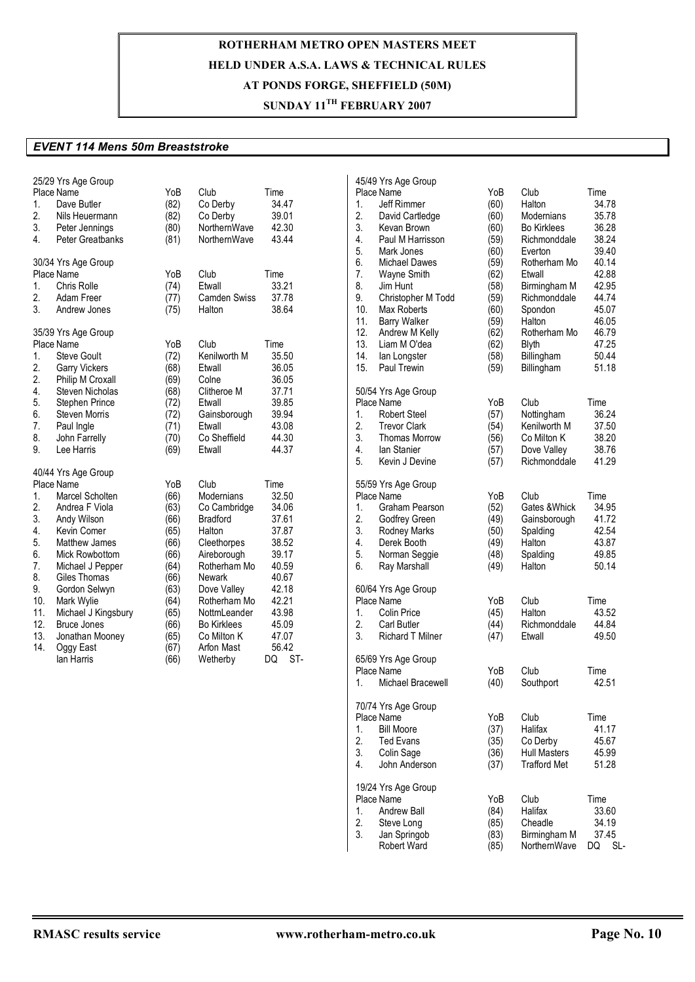## **SUNDAY 11TH FEBRUARY 2007**

#### *EVENT 114 Mens 50m Breaststroke*

| 1.<br>2.<br>3.<br>4.                                                                  | 25/29 Yrs Age Group<br>Place Name<br>Dave Butler<br>Nils Heuermann<br>Peter Jennings<br>Peter Greatbanks                                                                                                                                                                                              | YoB<br>(82)<br>(82)<br>(80)<br>(81)                                                                                         | Club<br>Co Derby<br>Co Derby<br>NorthernWave<br>NorthernWave                                                                                                                                                                                 | Time<br>34.47<br>39.01<br>42.30<br>43.44                                                                                                        | 45/4<br>Pla<br>1.<br>2.<br>3.<br>4.                                                                        |
|---------------------------------------------------------------------------------------|-------------------------------------------------------------------------------------------------------------------------------------------------------------------------------------------------------------------------------------------------------------------------------------------------------|-----------------------------------------------------------------------------------------------------------------------------|----------------------------------------------------------------------------------------------------------------------------------------------------------------------------------------------------------------------------------------------|-------------------------------------------------------------------------------------------------------------------------------------------------|------------------------------------------------------------------------------------------------------------|
| 1.<br>2.<br>3.                                                                        | 30/34 Yrs Age Group<br>Place Name<br>Chris Rolle<br>Adam Freer<br>Andrew Jones                                                                                                                                                                                                                        | YoB<br>(74)<br>(77)<br>(75)                                                                                                 | Club<br>Etwall<br><b>Camden Swiss</b><br>Halton                                                                                                                                                                                              | Time<br>33.21<br>37.78<br>38.64                                                                                                                 | 5.<br>6.<br>7.<br>8.<br>9.<br>10.                                                                          |
| 1.<br>2.<br>2.<br>4.<br>5.<br>6.<br>7.<br>8.<br>9.                                    | 35/39 Yrs Age Group<br>Place Name<br><b>Steve Goult</b><br>Garry Vickers<br>Philip M Croxall<br><b>Steven Nicholas</b><br>Stephen Prince<br><b>Steven Morris</b><br>Paul Ingle<br>John Farrelly<br>Lee Harris                                                                                         | YoB<br>(72)<br>(68)<br>(69)<br>(68)<br>(72)<br>(72)<br>(71)<br>(70)<br>(69)                                                 | Club<br>Kenilworth M<br>Etwall<br>Colne<br>Clitheroe M<br>Etwall<br>Gainsborough<br>Etwall<br>Co Sheffield<br>Etwall                                                                                                                         | Time<br>35.50<br>36.05<br>36.05<br>37.71<br>39.85<br>39.94<br>43.08<br>44.30<br>44.37                                                           | 11.<br>12.<br>13.<br>14.<br>15.<br>50/5<br>Pla<br>1.<br>2.<br>3.<br>4.                                     |
| 1.<br>2.<br>3.<br>4.<br>5.<br>6.<br>7.<br>8.<br>9.<br>10.<br>11.<br>12.<br>13.<br>14. | 40/44 Yrs Age Group<br>Place Name<br>Marcel Scholten<br>Andrea F Viola<br>Andy Wilson<br>Kevin Comer<br>Matthew James<br>Mick Rowbottom<br>Michael J Pepper<br>Giles Thomas<br>Gordon Selwyn<br>Mark Wylie<br>Michael J Kingsbury<br><b>Bruce Jones</b><br>Jonathan Mooney<br>Oggy East<br>lan Harris | YoB<br>(66)<br>(63)<br>(66)<br>(65)<br>(66)<br>(66)<br>(64)<br>(66)<br>(63)<br>(64)<br>(65)<br>(66)<br>(65)<br>(67)<br>(66) | Club<br><b>Modernians</b><br>Co Cambridge<br><b>Bradford</b><br>Halton<br>Cleethorpes<br>Aireborough<br>Rotherham Mo<br>Newark<br>Dove Valley<br>Rotherham Mo<br>NottmLeander<br><b>Bo Kirklees</b><br>Co Milton K<br>Arfon Mast<br>Wetherby | Time<br>32.50<br>34.06<br>37.61<br>37.87<br>38.52<br>39.17<br>40.59<br>40.67<br>42.18<br>42.21<br>43.98<br>45.09<br>47.07<br>56.42<br>ST-<br>DQ | 5.<br>55/5<br>Pla<br>1.<br>2.<br>3.<br>4.<br>5.<br>6.<br>60/6<br>Pla<br>1.<br>2.<br>3.<br>65/6<br>Pla<br>1 |

|     | 45/49 Yrs Age Group     |      |                     |           |
|-----|-------------------------|------|---------------------|-----------|
|     | Place Name              | YoB  | Club                | Time      |
| 1.  | Jeff Rimmer             | (60) | Halton              | 34.78     |
| 2.  | David Cartledge         | (60) | Modernians          | 35.78     |
| 3.  | Kevan Brown             | (60) | <b>Bo Kirklees</b>  | 36.28     |
|     |                         |      |                     |           |
| 4.  | Paul M Harrisson        | (59) | Richmonddale        | 38.24     |
| 5.  | Mark Jones              | (60) | Everton             | 39.40     |
| 6.  | Michael Dawes           | (59) | Rotherham Mo        | 40.14     |
| 7.  | Wayne Smith             | (62) | Etwall              | 42.88     |
| 8.  | Jim Hunt                | (58) | Birmingham M        | 42.95     |
| 9.  | Christopher M Todd      | (59) | Richmonddale        | 44.74     |
| 10. | Max Roberts             | (60) | Spondon             | 45.07     |
| 11. | <b>Barry Walker</b>     | (59) | Halton              | 46.05     |
| 12. | Andrew M Kelly          | (62) | Rotherham Mo        | 46.79     |
| 13. | Liam M O'dea            |      |                     | 47.25     |
|     |                         | (62) | <b>Blyth</b>        |           |
| 14. | lan Longster            | (58) | Billingham          | 50.44     |
| 15. | Paul Trewin             | (59) | Billingham          | 51.18     |
|     | 50/54 Yrs Age Group     |      |                     |           |
|     | Place Name              | YoB  | Club                | Time      |
| 1.  | <b>Robert Steel</b>     | (57) | Nottingham          | 36.24     |
| 2.  | <b>Trevor Clark</b>     | (54) | Kenilworth M        | 37.50     |
| 3.  | <b>Thomas Morrow</b>    | (56) | Co Milton K         | 38.20     |
| 4.  | lan Stanier             | (57) | Dove Valley         | 38.76     |
| 5.  | Kevin J Devine          | (57) | Richmonddale        | 41.29     |
|     |                         |      |                     |           |
|     | 55/59 Yrs Age Group     |      |                     |           |
|     | Place Name              | YoB  | Club                | Time      |
| 1.  | Graham Pearson          | (52) | Gates & Whick       | 34.95     |
| 2.  | Godfrey Green           | (49) | Gainsborough        | 41.72     |
| 3.  | <b>Rodney Marks</b>     | (50) | Spalding            | 42.54     |
| 4.  | Derek Booth             | (49) | Halton              | 43.87     |
| 5.  | Norman Seggie           | (48) | Spalding            | 49.85     |
| 6.  | Ray Marshall            | (49) | Halton              | 50.14     |
|     |                         |      |                     |           |
|     | 60/64 Yrs Age Group     |      |                     |           |
|     | Place Name              | YoB  | Club                | Time      |
| 1.  | Colin Price             | (45) | Halton              | 43.52     |
| 2.  | Carl Butler             | (44) | Richmonddale        | 44.84     |
| 3.  | <b>Richard T Milner</b> | (47) | Etwall              | 49.50     |
|     | 65/69 Yrs Age Group     |      |                     |           |
|     | Place Name              | YoB  | Club                | Time      |
| 1.  | Michael Bracewell       | (40) |                     | 42.51     |
|     |                         |      | Southport           |           |
|     | 70/74 Yrs Age Group     |      |                     |           |
|     | Place Name              | YoB  | Club                | Time      |
| 1.  | <b>Bill Moore</b>       | (37) | Halifax             | 41.17     |
| 2.  | <b>Ted Evans</b>        | (35) | Co Derby            | 45.67     |
| 3.  | Colin Sage              | (36) | <b>Hull Masters</b> | 45.99     |
| 4.  | John Anderson           | (37) | Trafford Met        | 51.28     |
|     | 19/24 Yrs Age Group     |      |                     |           |
|     | Place Name              | YoB  | Club                | Time      |
| 1.  | Andrew Ball             | (84) | Halifax             | 33.60     |
| 2.  | Steve Long              | (85) | Cheadle             | 34.19     |
| 3.  | Jan Springob            | (83) | Birmingham M        | 37.45     |
|     | <b>Robert Ward</b>      | (85) | NorthernWave        | SL-<br>DQ |
|     |                         |      |                     |           |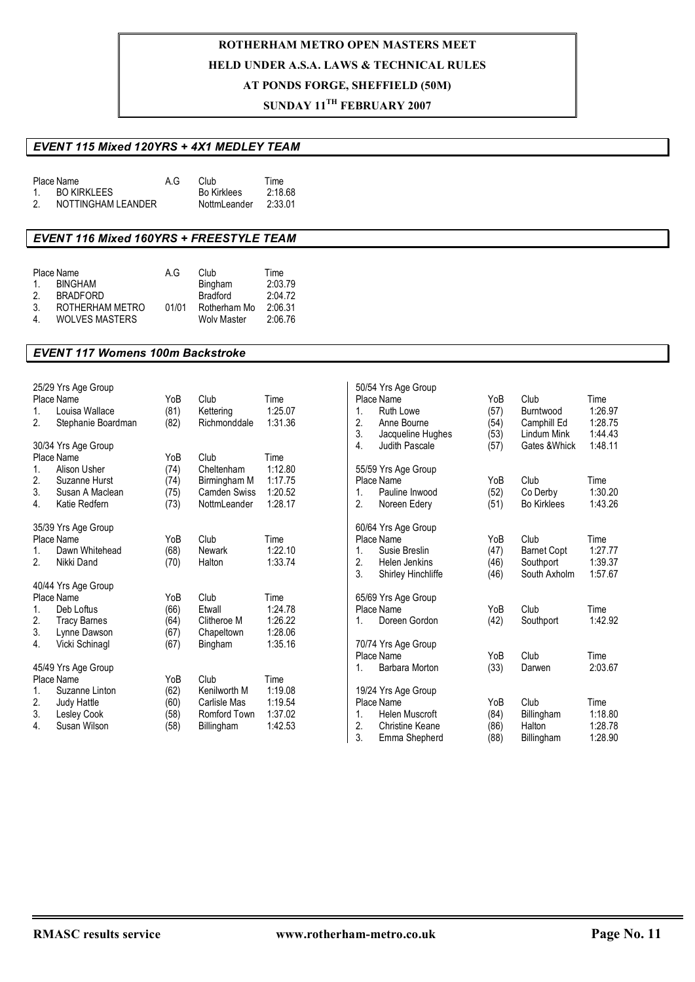### **SUNDAY 11TH FEBRUARY 2007**

### *EVENT 115 Mixed 120YRS + 4X1 MEDLEY TEAM*

|        | Place Name         | A.G | Club               | Time    |
|--------|--------------------|-----|--------------------|---------|
| $\sim$ | BO KIRKLEES        |     | <b>Bo Kirklees</b> | 2:18.68 |
| 2.     | NOTTINGHAM LEANDER |     | NottmLeander       | 2:33.01 |

### *EVENT 116 Mixed 160YRS + FREESTYLE TEAM*

|    | Place Name            | A G   | Club         | Time    |
|----|-----------------------|-------|--------------|---------|
| 1  | <b>BINGHAM</b>        |       | Bingham      | 2:03.79 |
| 2  | <b>BRADFORD</b>       |       | Bradford     | 2:04.72 |
| 3. | ROTHERHAM METRO       | 01/01 | Rotherham Mo | 2:06.31 |
| 4  | <b>WOLVES MASTERS</b> |       | Wolv Master  | 2:06.76 |

#### *EVENT 117 Womens 100m Backstroke*

|             | 25/29 Yrs Age Group |      |                     |         |    | 50/54 Yrs Age Group   |      |                    |         |
|-------------|---------------------|------|---------------------|---------|----|-----------------------|------|--------------------|---------|
|             | Place Name          | YoB  | Club                | Time    |    | Place Name            | YoB  | Club               | Time    |
| $1_{\cdot}$ | Louisa Wallace      | (81) | Kettering           | 1:25.07 | 1. | Ruth Lowe             | (57) | Burntwood          | 1:26.97 |
| 2.          | Stephanie Boardman  | (82) | Richmonddale        | 1:31.36 | 2. | Anne Bourne           | (54) | Camphill Ed        | 1:28.75 |
|             |                     |      |                     |         | 3. | Jacqueline Hughes     | (53) | Lindum Mink        | 1:44.43 |
|             | 30/34 Yrs Age Group |      |                     |         | 4. | Judith Pascale        | (57) | Gates & Whick      | 1:48.11 |
|             | Place Name          | YoB  | Club                | Time    |    |                       |      |                    |         |
| 1.          | Alison Usher        | (74) | Cheltenham          | 1:12.80 |    | 55/59 Yrs Age Group   |      |                    |         |
| 2.          | Suzanne Hurst       | (74) | Birmingham M        | 1:17.75 |    | Place Name            | YoB  | Club               | Time    |
| 3.          | Susan A Maclean     | (75) | <b>Camden Swiss</b> | 1:20.52 | 1. | Pauline Inwood        | (52) | Co Derby           | 1:30.20 |
| 4.          | Katie Redfern       | (73) | NottmLeander        | 1:28.17 | 2. | Noreen Edery          | (51) | <b>Bo Kirklees</b> | 1:43.26 |
|             |                     |      |                     |         |    |                       |      |                    |         |
|             | 35/39 Yrs Age Group |      |                     |         |    | 60/64 Yrs Age Group   |      |                    |         |
|             | Place Name          | YoB  | Club                | Time    |    | Place Name            | YoB  | Club               | Time    |
| 1.          | Dawn Whitehead      | (68) | Newark              | 1:22.10 | 1. | Susie Breslin         | (47) | <b>Barnet Copt</b> | 1:27.77 |
| 2.          | Nikki Dand          | (70) | Halton              | 1:33.74 | 2. | <b>Helen Jenkins</b>  | (46) | Southport          | 1:39.37 |
|             |                     |      |                     |         | 3. | Shirley Hinchliffe    | (46) | South Axholm       | 1:57.67 |
|             | 40/44 Yrs Age Group |      |                     |         |    |                       |      |                    |         |
|             | Place Name          | YoB  | Club                | Time    |    | 65/69 Yrs Age Group   |      |                    |         |
| 1.          | Deb Loftus          | (66) | Etwall              | 1:24.78 |    | Place Name            | YoB  | Club               | Time    |
| 2.          | <b>Tracy Barnes</b> | (64) | Clitheroe M         | 1:26.22 | 1. | Doreen Gordon         | (42) | Southport          | 1:42.92 |
| 3.          | Lynne Dawson        | (67) | Chapeltown          | 1:28.06 |    |                       |      |                    |         |
| 4.          | Vicki Schinagl      | (67) | Bingham             | 1:35.16 |    | 70/74 Yrs Age Group   |      |                    |         |
|             |                     |      |                     |         |    | Place Name            | YoB  | Club               | Time    |
|             | 45/49 Yrs Age Group |      |                     |         | 1. | Barbara Morton        | (33) | Darwen             | 2:03.67 |
|             | Place Name          | YoB  | Club                | Time    |    |                       |      |                    |         |
| 1.          | Suzanne Linton      |      | Kenilworth M        | 1:19.08 |    |                       |      |                    |         |
|             |                     | (62) |                     |         |    | 19/24 Yrs Age Group   |      |                    |         |
| 2.          | Judy Hattle         | (60) | Carlisle Mas        | 1:19.54 |    | Place Name            | YoB  | Club               | Time    |
| 3.          | Lesley Cook         | (58) | Romford Town        | 1:37.02 | 1. | <b>Helen Muscroft</b> | (84) | Billingham         | 1:18.80 |
| 4.          | Susan Wilson        | (58) | Billingham          | 1:42.53 | 2. | Christine Keane       | (86) | Halton             | 1:28.78 |
|             |                     |      |                     |         | 3. | Emma Shepherd         | (88) | Billingham         | 1:28.90 |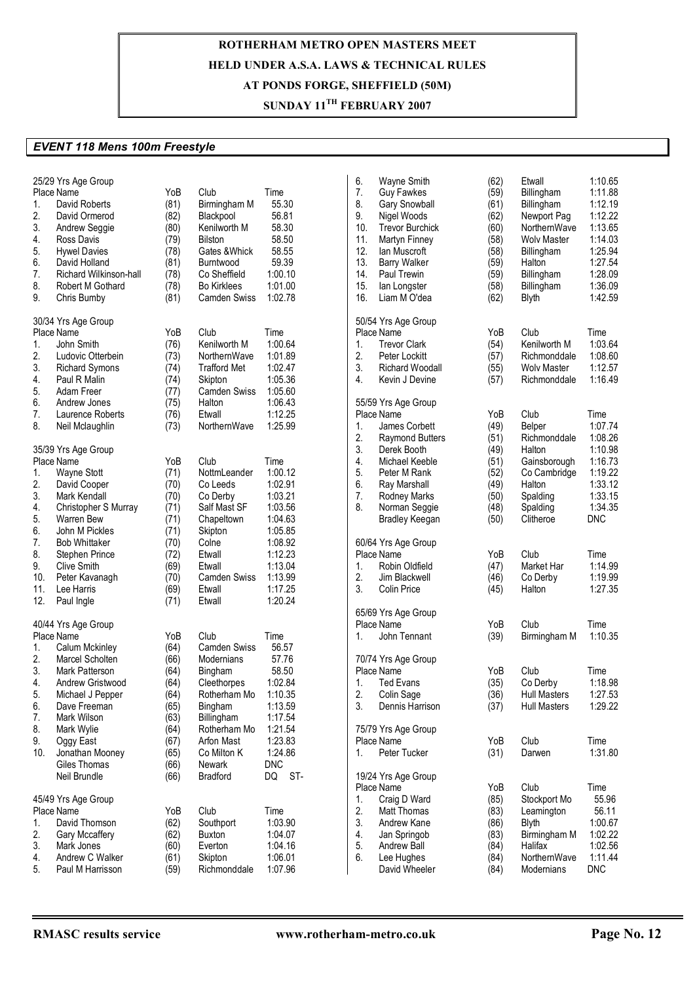## **SUNDAY 11TH FEBRUARY 2007**

### *EVENT 118 Mens 100m Freestyle*

| 1.<br>2.<br>3.<br>4.<br>5.<br>6.<br>7.<br>8.<br>9. | 25/29 Yrs Age Group<br>Place Name<br>David Roberts<br>David Ormerod<br><b>Andrew Seggie</b><br>Ross Davis<br><b>Hywel Davies</b><br>David Holland<br>Richard Wilkinson-hall<br>Robert M Gothard<br>Chris Bumby | YoB<br>(81)<br>(82)<br>(80)<br>(79)<br>(78)<br>(81)<br>(78)<br>(78)<br>(81) | Club<br>Birmingham M<br>Blackpool<br>Kenilworth M<br>Bilston<br>Gates & Whick<br>Burntwood<br>Co Sheffield<br><b>Bo Kirklees</b><br><b>Camden Swiss</b> | Time<br>55.30<br>56.81<br>58.30<br>58.50<br>58.55<br>59.39<br>1:00.10<br>1:01.00<br>1:02.78 | 6.<br>7.<br>8.<br>9.<br>10.<br>11.<br>12.<br>13.<br>14.<br>15.<br>16. | <b>Wayne Smith</b><br><b>Guy Fawkes</b><br>Gary Snowball<br>Nigel Woods<br><b>Trevor Burchick</b><br>Martyn Finney<br>lan Muscroft<br><b>Barry Walker</b><br>Paul Trewin<br>lan Longster<br>Liam M O'dea | (62)<br>(59)<br>(61)<br>(62)<br>(60)<br>(58)<br>(58)<br>(59)<br>(59)<br>(58)<br>(62) | Etwall<br>Billingham<br>Billingham<br>Newport Pag<br>NorthernWave<br><b>Wolv Master</b><br>Billingham<br>Halton<br>Billingham<br>Billingham<br><b>Blyth</b> | 1:10.65<br>1:11.88<br>1:12.19<br>1:12.22<br>1:13.65<br>1:14.03<br>1:25.94<br>1:27.54<br>1:28.09<br>1:36.09<br>1:42.59 |
|----------------------------------------------------|----------------------------------------------------------------------------------------------------------------------------------------------------------------------------------------------------------------|-----------------------------------------------------------------------------|---------------------------------------------------------------------------------------------------------------------------------------------------------|---------------------------------------------------------------------------------------------|-----------------------------------------------------------------------|----------------------------------------------------------------------------------------------------------------------------------------------------------------------------------------------------------|--------------------------------------------------------------------------------------|-------------------------------------------------------------------------------------------------------------------------------------------------------------|-----------------------------------------------------------------------------------------------------------------------|
| 1.<br>2.<br>3.<br>4.<br>5.                         | 30/34 Yrs Age Group<br>Place Name<br>John Smith<br>Ludovic Otterbein<br><b>Richard Symons</b><br>Paul R Malin<br>Adam Freer                                                                                    | YoB<br>(76)<br>(73)<br>(74)<br>(74)<br>(77)                                 | Club<br>Kenilworth M<br>NorthernWave<br><b>Trafford Met</b><br>Skipton<br><b>Camden Swiss</b>                                                           | Time<br>1:00.64<br>1:01.89<br>1:02.47<br>1:05.36<br>1:05.60                                 | 1.<br>2.<br>3.<br>4.                                                  | 50/54 Yrs Age Group<br>Place Name<br><b>Trevor Clark</b><br>Peter Lockitt<br><b>Richard Woodall</b><br>Kevin J Devine                                                                                    | YoB<br>(54)<br>(57)<br>(55)<br>(57)                                                  | Club<br>Kenilworth M<br>Richmonddale<br><b>Wolv Master</b><br>Richmonddale                                                                                  | Time<br>1:03.64<br>1:08.60<br>1:12.57<br>1:16.49                                                                      |
| 6.<br>7.<br>8.                                     | Andrew Jones<br>Laurence Roberts<br>Neil Mclaughlin<br>35/39 Yrs Age Group                                                                                                                                     | (75)<br>(76)<br>(73)                                                        | Halton<br>Etwall<br>NorthernWave                                                                                                                        | 1:06.43<br>1:12.25<br>1:25.99                                                               | 1.<br>2.<br>3.                                                        | 55/59 Yrs Age Group<br>Place Name<br>James Corbett<br><b>Raymond Butters</b><br>Derek Booth                                                                                                              | YoB<br>(49)<br>(51)<br>(49)                                                          | Club<br>Belper<br>Richmonddale<br>Halton                                                                                                                    | Time<br>1:07.74<br>1:08.26<br>1:10.98                                                                                 |
| 1.<br>2.<br>3.<br>4.<br>5.                         | Place Name<br>Wayne Stott<br>David Cooper<br>Mark Kendall<br>Christopher S Murray<br><b>Warren Bew</b>                                                                                                         | YoB<br>(71)<br>(70)<br>(70)<br>(71)<br>(71)                                 | Club<br>NottmLeander<br>Co Leeds<br>Co Derby<br>Salf Mast SF<br>Chapeltown                                                                              | Time<br>1:00.12<br>1:02.91<br>1:03.21<br>1:03.56<br>1:04.63                                 | 4.<br>5.<br>6.<br>7.<br>8.                                            | Michael Keeble<br>Peter M Rank<br>Ray Marshall<br><b>Rodney Marks</b><br>Norman Seggie<br><b>Bradley Keegan</b>                                                                                          | (51)<br>(52)<br>(49)<br>(50)<br>(48)<br>(50)                                         | Gainsborough<br>Co Cambridge<br>Halton<br>Spalding<br>Spalding<br>Clitheroe                                                                                 | 1:16.73<br>1:19.22<br>1:33.12<br>1:33.15<br>1:34.35<br><b>DNC</b>                                                     |
| 6.<br>7.<br>8.<br>9.<br>10.<br>11.                 | John M Pickles<br><b>Bob Whittaker</b><br>Stephen Prince<br><b>Clive Smith</b><br>Peter Kavanagh<br>Lee Harris                                                                                                 | (71)<br>(70)<br>(72)<br>(69)<br>(70)<br>(69)                                | Skipton<br>Colne<br>Etwall<br>Etwall<br><b>Camden Swiss</b><br>Etwall                                                                                   | 1:05.85<br>1:08.92<br>1:12.23<br>1:13.04<br>1:13.99<br>1:17.25                              | 1.<br>2.<br>3.                                                        | 60/64 Yrs Age Group<br>Place Name<br>Robin Oldfield<br>Jim Blackwell<br>Colin Price                                                                                                                      | YoB<br>(47)<br>(46)<br>(45)                                                          | Club<br>Market Har<br>Co Derby<br>Halton                                                                                                                    | Time<br>1:14.99<br>1:19.99<br>1:27.35                                                                                 |
| 12.<br>1.                                          | Paul Ingle<br>40/44 Yrs Age Group<br>Place Name<br>Calum Mckinley                                                                                                                                              | (71)<br>YoB<br>(64)                                                         | Etwall<br>Club<br>Camden Swiss                                                                                                                          | 1:20.24<br>Time<br>56.57                                                                    | 1.                                                                    | 65/69 Yrs Age Group<br>Place Name<br>John Tennant                                                                                                                                                        | YoB<br>(39)                                                                          | Club<br>Birmingham M                                                                                                                                        | Time<br>1:10.35                                                                                                       |
| 2.<br>3.<br>4.<br>5.<br>6.                         | Marcel Scholten<br>Mark Patterson<br>Andrew Gristwood<br>Michael J Pepper<br>Dave Freeman                                                                                                                      | (66)<br>(64)<br>(64)<br>(64)<br>(65)                                        | Modernians<br>Bingham<br>Cleethorpes<br>Rotherham Mo 1:10.35<br>Bingham                                                                                 | 57.76<br>58.50<br>1:02.84<br>1:13.59                                                        | 1.<br>2.<br>3.                                                        | 70/74 Yrs Age Group<br>Place Name<br><b>Ted Evans</b><br>Colin Sage<br>Dennis Harrison                                                                                                                   | YoB<br>(35)<br>(36)<br>(37)                                                          | Club<br>Co Derby<br><b>Hull Masters</b><br><b>Hull Masters</b>                                                                                              | Time<br>1:18.98<br>1:27.53<br>1:29.22                                                                                 |
| 7.<br>8.<br>9.<br>10.                              | Mark Wilson<br>Mark Wylie<br>Oggy East<br>Jonathan Mooney<br>Giles Thomas<br>Neil Brundle                                                                                                                      | (63)<br>(64)<br>(67)<br>(65)<br>(66)<br>(66)                                | Billingham<br>Rotherham Mo<br>Arfon Mast<br>Co Milton K<br>Newark<br>Bradford                                                                           | 1:17.54<br>1:21.54<br>1:23.83<br>1:24.86<br><b>DNC</b><br>ST-<br>DQ                         | 1.                                                                    | 75/79 Yrs Age Group<br>Place Name<br>Peter Tucker<br>19/24 Yrs Age Group                                                                                                                                 | YoB<br>(31)                                                                          | Club<br>Darwen                                                                                                                                              | Time<br>1:31.80                                                                                                       |
| 1.<br>2.<br>3.<br>4.<br>5.                         | 45/49 Yrs Age Group<br>Place Name<br>David Thomson<br>Gary Mccaffery<br>Mark Jones<br>Andrew C Walker<br>Paul M Harrisson                                                                                      | YoB<br>(62)<br>(62)<br>(60)<br>(61)<br>(59)                                 | Club<br>Southport<br>Buxton<br>Everton<br>Skipton<br>Richmonddale                                                                                       | Time<br>1:03.90<br>1:04.07<br>1:04.16<br>1:06.01<br>1:07.96                                 | 1.<br>2.<br>3.<br>4.<br>5.<br>6.                                      | Place Name<br>Craig D Ward<br>Matt Thomas<br>Andrew Kane<br>Jan Springob<br>Andrew Ball<br>Lee Hughes<br>David Wheeler                                                                                   | YoB<br>(85)<br>(83)<br>(86)<br>(83)<br>(84)<br>(84)<br>(84)                          | Club<br>Stockport Mo<br>Leamington<br><b>Blyth</b><br>Birmingham M<br>Halifax<br>NorthernWave<br>Modernians                                                 | Time<br>55.96<br>56.11<br>1:00.67<br>1:02.22<br>1:02.56<br>1:11.44<br><b>DNC</b>                                      |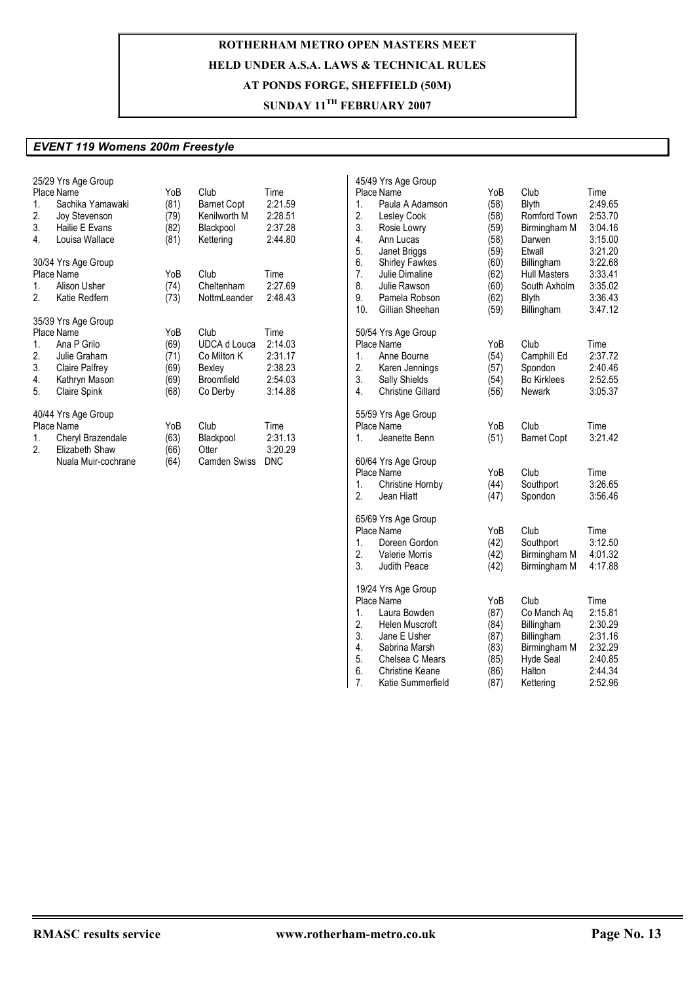## **SUNDAY 11TH FEBRUARY 2007**

### *EVENT 119 Womens 200m Freestyle*

| 1.<br>2.<br>3.<br>4.       | 25/29 Yrs Age Group<br>Place Name<br>Sachika Yamawaki<br><b>Joy Stevenson</b><br>Hailie E Evans<br>Louisa Wallace          | YoB<br>(81)<br>(79)<br>(82)<br>(81)         | Club<br>Barnet Copt<br>Kenilworth M<br>Blackpool<br>Kettering                  | Time<br>2:21.59<br>2:28.51<br>2:37.28<br>2:44.80            |
|----------------------------|----------------------------------------------------------------------------------------------------------------------------|---------------------------------------------|--------------------------------------------------------------------------------|-------------------------------------------------------------|
| $1_{-}$<br>2.              | 30/34 Yrs Age Group<br>Place Name<br>Alison Usher<br>Katie Redfern                                                         | YoB<br>(74)<br>(73)                         | Club<br>Cheltenham<br>NottmLeander                                             | Time<br>2:27.69<br>2:48.43                                  |
| 1.<br>2.<br>3.<br>4.<br>5. | 35/39 Yrs Age Group<br>Place Name<br>Ana P Grilo<br>Julie Graham<br>Claire Palfrey<br>Kathryn Mason<br><b>Claire Spink</b> | YoB<br>(69)<br>(71)<br>(69)<br>(69)<br>(68) | Club<br><b>UDCA d Louca</b><br>Co Milton K<br>Bexley<br>Broomfield<br>Co Derby | Time<br>2:14.03<br>2:31.17<br>2:38.23<br>2:54.03<br>3:14.88 |
| 1.<br>2.                   | 40/44 Yrs Age Group<br>Place Name<br>Cheryl Brazendale<br>Elizabeth Shaw<br>Nuala Muir-cochrane                            | YoB<br>(63)<br>(66)<br>(64)                 | Club<br>Blackpool<br>Otter<br><b>Camden Swiss</b>                              | Time<br>2:31.13<br>3:20.29<br><b>DNC</b>                    |

| 1.<br>2.<br>3.<br>4.<br>5.<br>6.<br>7.<br>8.<br>9.<br>10. | 45/49 Yrs Age Group<br>Place Name<br>Paula A Adamson<br>Lesley Cook<br>Rosie Lowry<br>Ann Lucas<br>Janet Briggs<br><b>Shirley Fawkes</b><br>Julie Dimaline<br>Julie Rawson<br>Pamela Robson<br>Gillian Sheehan | YoB<br>(58)<br>(58)<br>(59)<br>(58)<br>(59)<br>(60)<br>(62)<br>(60)<br>(62)<br>(59) | Club<br><b>Blyth</b><br>Romford Town<br>Birmingham M<br>Darwen<br>Etwall<br>Billingham<br><b>Hull Masters</b><br>South Axholm<br><b>Blyth</b><br>Billingham | Time<br>2:49.65<br>2:53.70<br>3:04.16<br>3:15.00<br>3:21.20<br>3:22.68<br>3:33.41<br>3:35.02<br>3:36.43<br>3:47.12 |
|-----------------------------------------------------------|----------------------------------------------------------------------------------------------------------------------------------------------------------------------------------------------------------------|-------------------------------------------------------------------------------------|-------------------------------------------------------------------------------------------------------------------------------------------------------------|--------------------------------------------------------------------------------------------------------------------|
| 1 <sub>1</sub><br>2.<br>3.<br>4.                          | 50/54 Yrs Age Group<br>Place Name<br>Anne Bourne<br>Karen Jennings<br>Sally Shields<br><b>Christine Gillard</b>                                                                                                | YoB<br>(54)<br>(57)<br>(54)<br>(56)                                                 | Club<br>Camphill Ed<br>Spondon<br><b>Bo Kirklees</b><br>Newark                                                                                              | Time<br>2:37.72<br>2:40.46<br>2:52.55<br>3:05.37                                                                   |
| 1.                                                        | 55/59 Yrs Age Group<br>Place Name<br>Jeanette Benn                                                                                                                                                             | YoB<br>(51)                                                                         | Club<br><b>Barnet Copt</b>                                                                                                                                  | Time<br>3:21.42                                                                                                    |
| 1.<br>2.                                                  | 60/64 Yrs Age Group<br>Place Name<br><b>Christine Hornby</b><br>Jean Hiatt                                                                                                                                     | YoB<br>(44)<br>(47)                                                                 | Club<br>Southport<br>Spondon                                                                                                                                | Time<br>3:26.65<br>3:56.46                                                                                         |
| 1.<br>2.<br>3.                                            | 65/69 Yrs Age Group<br>Place Name<br>Doreen Gordon<br><b>Valerie Morris</b><br>Judith Peace                                                                                                                    | YoB<br>(42)<br>(42)<br>(42)                                                         | Club<br>Southport<br>Birmingham M<br>Birmingham M                                                                                                           | Time<br>3:12.50<br>4:01.32<br>4:17.88                                                                              |
| 1.<br>2.<br>3.<br>4.<br>5.<br>6.<br>7.                    | 19/24 Yrs Age Group<br>Place Name<br>Laura Bowden<br><b>Helen Muscroft</b><br>Jane E Usher<br>Sabrina Marsh<br>Chelsea C Mears<br><b>Christine Keane</b><br>Katie Summerfield                                  | YoB<br>(87)<br>(84)<br>(87)<br>(83)<br>(85)<br>(86)<br>(87)                         | Club<br>Co Manch Aq<br>Billingham<br>Billingham<br>Birmingham M<br><b>Hyde Seal</b><br>Halton<br>Kettering                                                  | Time<br>2:15.81<br>2:30.29<br>2:31.16<br>2:32.29<br>2:40.85<br>2:44.34<br>2:52.96                                  |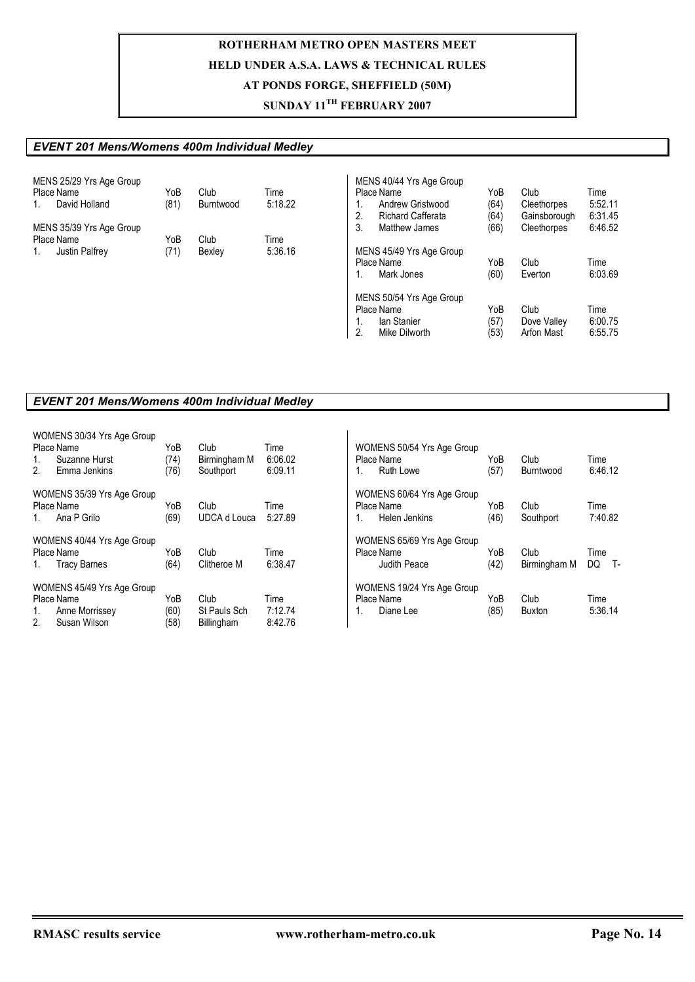## **SUNDAY 11TH FEBRUARY 2007**

### *EVENT 201 Mens/Womens 400m Individual Medley*

| MENS 25/29 Yrs Age Group    |      |           |         | MENS 40/44 Yrs Age Group       |      |              |         |
|-----------------------------|------|-----------|---------|--------------------------------|------|--------------|---------|
| Place Name                  | YoB  | Club      | Time    | Place Name                     | YoB  | Club         | Time    |
| David Holland<br>1.         | (81) | Burntwood | 5:18.22 | Andrew Gristwood               | (64) | Cleethorpes  | 5:52.11 |
|                             |      |           |         | 2.<br><b>Richard Cafferata</b> | (64) | Gainsborough | 6:31.45 |
| MENS 35/39 Yrs Age Group    |      |           |         | 3.<br>Matthew James            | (66) | Cleethorpes  | 6:46.52 |
| Place Name                  | YoB  | Club      | Time    |                                |      |              |         |
| <b>Justin Palfrey</b><br>1. | (71) | Bexley    | 5:36.16 | MENS 45/49 Yrs Age Group       |      |              |         |
|                             |      |           |         | Place Name                     | YoB  | Club         | Time    |
|                             |      |           |         | Mark Jones                     | (60) | Everton      | 6:03.69 |
|                             |      |           |         | MENS 50/54 Yrs Age Group       |      |              |         |
|                             |      |           |         | Place Name                     | YoB  | Club         | Time    |
|                             |      |           |         | lan Stanier                    | (57) | Dove Valley  | 6:00.75 |
|                             |      |           |         | 2.<br>Mike Dilworth            | (53) | Arfon Mast   | 6:55.75 |
|                             |      |           |         |                                |      |              |         |

### *EVENT 201 Mens/Womens 400m Individual Medley*

| 1.<br>2.       | WOMENS 30/34 Yrs Age Group<br>Place Name<br>Suzanne Hurst<br>Emma Jenkins | YoB<br>(74)<br>(76) | Club<br>Birmingham M<br>Southport | Time<br>6:06.02<br>6:09.11 | WOMENS 50/54 Yrs Age Group<br>Place Name<br>Ruth Lowe | YoB<br>(57) | Club<br>Burntwood | Time<br>6:46.12 |  |  |
|----------------|---------------------------------------------------------------------------|---------------------|-----------------------------------|----------------------------|-------------------------------------------------------|-------------|-------------------|-----------------|--|--|
|                | WOMENS 35/39 Yrs Age Group                                                |                     |                                   |                            | WOMENS 60/64 Yrs Age Group                            |             |                   |                 |  |  |
|                | Place Name                                                                | YoB                 | Club                              | Time                       | Place Name                                            | YoB         | Club              | Time            |  |  |
| $1_{-}$        | Ana P Grilo                                                               | (69)                | <b>UDCA d Louca</b>               | 5:27.89                    | Helen Jenkins                                         | (46)        | Southport         | 7:40.82         |  |  |
|                | WOMENS 40/44 Yrs Age Group                                                |                     |                                   |                            | WOMENS 65/69 Yrs Age Group                            |             |                   |                 |  |  |
|                | Place Name                                                                | YoB                 | Club                              | Time                       | Place Name                                            | YoB         | Club              | Time            |  |  |
| 1.             | <b>Tracy Barnes</b>                                                       | (64)                | Clitheroe M                       | 6:38.47                    | Judith Peace                                          | (42)        | Birmingham M      | DQ<br>. т.      |  |  |
|                | WOMENS 45/49 Yrs Age Group                                                |                     |                                   |                            | WOMENS 19/24 Yrs Age Group                            |             |                   |                 |  |  |
|                | Place Name                                                                | YoB                 | Club                              | Time                       | Place Name                                            | YoB         | Club              | Time            |  |  |
| 1.             | Anne Morrissey                                                            | (60)                | St Pauls Sch                      | 7:12.74                    | Diane Lee<br>1.                                       | (85)        | <b>Buxton</b>     | 5:36.14         |  |  |
| 2 <sub>1</sub> | Susan Wilson                                                              | (58)                | Billingham                        | 8:42.76                    |                                                       |             |                   |                 |  |  |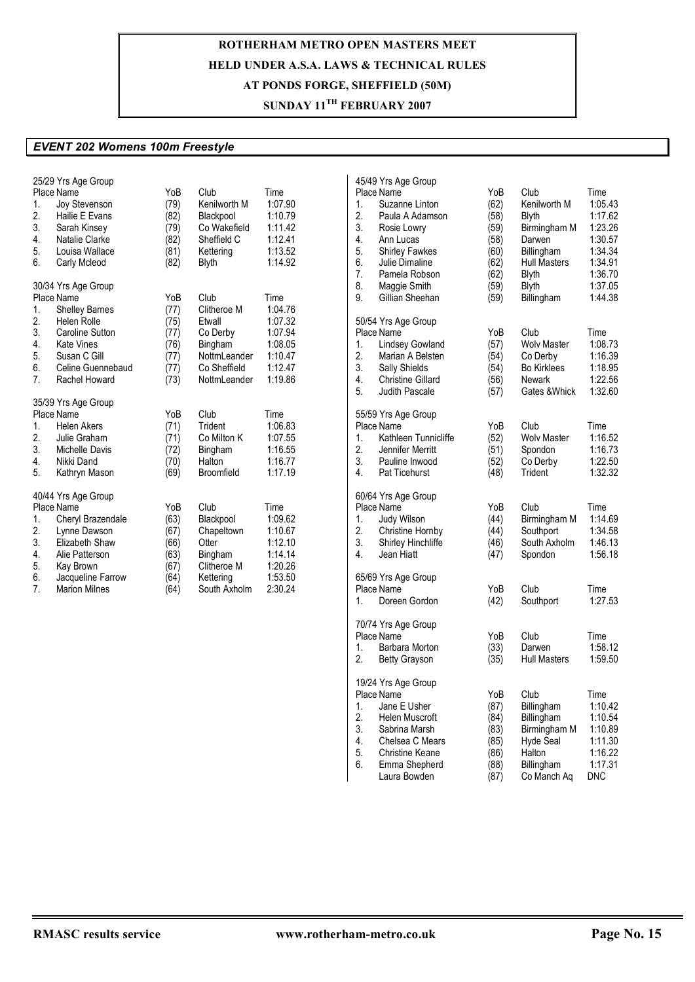## **SUNDAY 11TH FEBRUARY 2007**

### *EVENT 202 Womens 100m Freestyle*

| 1.<br>2.<br>3.<br>4.<br>5.<br>6.       | 25/29 Yrs Age Group<br>Place Name<br><b>Joy Stevenson</b><br>Hailie E Evans<br>Sarah Kinsey<br>Natalie Clarke<br>Louisa Wallace<br>Carly Mcleod                                       | YoB<br>(79)<br>(82)<br>(79)<br>(82)<br>(81)<br>(82)         | Club<br>Kenilworth M<br>Blackpool<br>Co Wakefield<br>Sheffield C<br>Kettering<br><b>Blyth</b>        | Time<br>1:07.90<br>1:10.79<br>1:11.42<br>1:12.41<br>1:13.52<br>1:14.92            |
|----------------------------------------|---------------------------------------------------------------------------------------------------------------------------------------------------------------------------------------|-------------------------------------------------------------|------------------------------------------------------------------------------------------------------|-----------------------------------------------------------------------------------|
| 1.<br>2.<br>3.<br>4.<br>5.<br>6.<br>7. | 30/34 Yrs Age Group<br>Place Name<br><b>Shelley Barnes</b><br><b>Helen Rolle</b><br><b>Caroline Sutton</b><br><b>Kate Vines</b><br>Susan C Gill<br>Celine Guennebaud<br>Rachel Howard | YoB<br>(77)<br>(75)<br>(77)<br>(76)<br>(77)<br>(77)<br>(73) | Club<br>Clitheroe M<br>Etwall<br>Co Derby<br>Bingham<br>NottmLeander<br>Co Sheffield<br>NottmLeander | Time<br>1:04.76<br>1:07.32<br>1:07.94<br>1:08.05<br>1:10.47<br>1:12.47<br>1:19.86 |
| 1.<br>2.<br>3.<br>4.<br>5.             | 35/39 Yrs Age Group<br>Place Name<br><b>Helen Akers</b><br>Julie Graham<br>Michelle Davis<br>Nikki Dand<br>Kathryn Mason                                                              | YoB<br>(71)<br>(71)<br>(72)<br>(70)<br>(69)                 | Club<br>Trident<br>Co Milton K<br>Bingham<br>Halton<br>Broomfield                                    | Time<br>1:06.83<br>1:07.55<br>1:16.55<br>1:16.77<br>1:17.19                       |
| 1.<br>2.<br>3.<br>4.<br>5.<br>6.<br>7. | 40/44 Yrs Age Group<br>Place Name<br>Cheryl Brazendale<br>Lynne Dawson<br>Elizabeth Shaw<br>Alie Patterson<br>Kay Brown<br>Jacqueline Farrow<br><b>Marion Milnes</b>                  | YoB<br>(63)<br>(67)<br>(66)<br>(63)<br>(67)<br>(64)<br>(64) | Club<br>Blackpool<br>Chapeltown<br>Otter<br>Bingham<br>Clitheroe M<br>Kettering<br>South Axholm      | Time<br>1:09.62<br>1:10.67<br>1:12.10<br>1:14.14<br>1:20.26<br>1:53.50<br>2:30.24 |

| 1.<br>2.<br>3.<br>4.<br>5.<br>6.<br>7.<br>8.<br>9. | 45/49 Yrs Age Group<br>Place Name<br>Suzanne Linton<br>Paula A Adamson<br>Rosie Lowry<br>Ann Lucas<br><b>Shirley Fawkes</b><br>Julie Dimaline<br>Pamela Robson<br>Maggie Smith<br>Gillian Sheehan | YoB<br>(62)<br>(58)<br>(59)<br>(58)<br>(60)<br>(62)<br>(62)<br>(59)<br>(59) | Club<br>Kenilworth M<br>Blyth<br>Birmingham M<br>Darwen<br>Billingham<br><b>Hull Masters</b><br>Blyth<br><b>Blyth</b><br>Billingham | Time<br>1:05.43<br>1:17.62<br>1:23.26<br>1:30.57<br>1:34.34<br>1:34.91<br>1:36.70<br>1:37.05<br>1:44.38 |
|----------------------------------------------------|---------------------------------------------------------------------------------------------------------------------------------------------------------------------------------------------------|-----------------------------------------------------------------------------|-------------------------------------------------------------------------------------------------------------------------------------|---------------------------------------------------------------------------------------------------------|
| 1.<br>2.<br>3.<br>4.<br>5.                         | 50/54 Yrs Age Group<br>Place Name<br><b>Lindsey Gowland</b><br>Marian A Belsten<br>Sally Shields<br><b>Christine Gillard</b><br><b>Judith Pascale</b>                                             | YoB<br>(57)<br>(54)<br>(54)<br>(56)<br>(57)                                 | Club<br><b>Wolv Master</b><br>Co Derby<br><b>Bo Kirklees</b><br>Newark<br>Gates &Whick                                              | Time<br>1:08.73<br>1:16.39<br>1:18.95<br>1:22.56<br>1:32.60                                             |
| 1.<br>2.<br>3.<br>4.                               | 55/59 Yrs Age Group<br>Place Name<br>Kathleen Tunnicliffe<br>Jennifer Merritt<br>Pauline Inwood<br><b>Pat Ticehurst</b>                                                                           | YoB<br>(52)<br>(51)<br>(52)<br>(48)                                         | Club<br><b>Wolv Master</b><br>Spondon<br>Co Derby<br>Trident                                                                        | Time<br>1:16.52<br>1:16.73<br>1:22.50<br>1:32.32                                                        |
| 1.<br>2.<br>3.<br>4.                               | 60/64 Yrs Age Group<br>Place Name<br>Judy Wilson<br><b>Christine Hornby</b><br><b>Shirley Hinchliffe</b><br>Jean Hiatt                                                                            | YoB<br>(44)<br>(44)<br>(46)<br>(47)                                         | Club<br>Birmingham M<br>Southport<br>South Axholm<br>Spondon                                                                        | Time<br>1:14.69<br>1:34.58<br>1:46.13<br>1:56.18                                                        |
| 1.                                                 | 65/69 Yrs Age Group<br><b>Place Name</b><br>Doreen Gordon                                                                                                                                         | YoB<br>(42)                                                                 | Club<br>Southport                                                                                                                   | Time<br>1:27.53                                                                                         |
| 1.<br>2.                                           | 70/74 Yrs Age Group<br>Place Name<br>Barbara Morton<br><b>Betty Grayson</b>                                                                                                                       | YoB<br>(33)<br>(35)                                                         | Club<br>Darwen<br><b>Hull Masters</b>                                                                                               | Time<br>1:58.12<br>1:59.50                                                                              |
| 1.<br>2.<br>3.<br>4.<br>5.<br>6.                   | 19/24 Yrs Age Group<br>Place Name<br>Jane E Usher<br>Helen Muscroft<br>Sabrina Marsh<br>Chelsea C Mears<br><b>Christine Keane</b><br>Emma Shepherd<br>Laura Bowden                                | YoB<br>(87)<br>(84)<br>(83)<br>(85)<br>(86)<br>(88)<br>(87)                 | Club<br>Billingham<br>Billingham<br>Birmingham M<br>Hyde Seal<br>Halton<br>Billingham<br>Co Manch Aq                                | Time<br>1:10.42<br>1:10.54<br>1:10.89<br>1:11.30<br>1:16.22<br>1:17.31<br>DNC                           |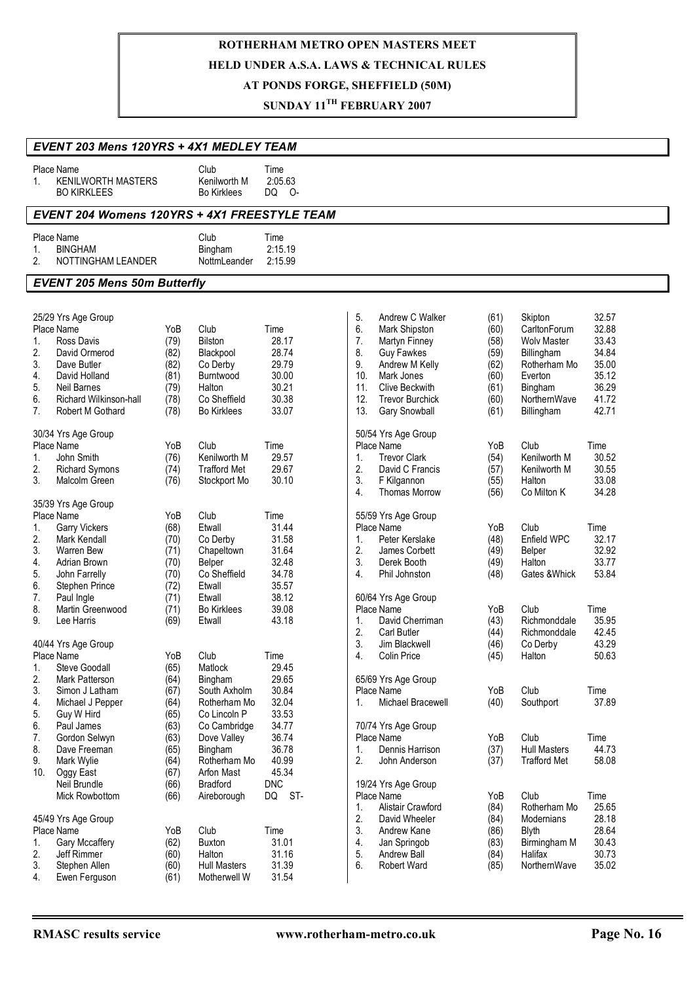# **ROTHERHAM METRO OPEN MASTERS MEET**

### **HELD UNDER A.S.A. LAWS & TECHNICAL RULES**

## **AT PONDS FORGE, SHEFFIELD (50M)**

## **SUNDAY 11TH FEBRUARY 2007**

|                                        | EVENT 203 Mens 120YRS + 4X1 MEDLEY TEAM                                                                                                                                     |                                                             |                                                                                                       |                                                                     |                                                                                                                                                                                                                                                                                                                                                                                                                                                                                                                           |  |  |  |  |
|----------------------------------------|-----------------------------------------------------------------------------------------------------------------------------------------------------------------------------|-------------------------------------------------------------|-------------------------------------------------------------------------------------------------------|---------------------------------------------------------------------|---------------------------------------------------------------------------------------------------------------------------------------------------------------------------------------------------------------------------------------------------------------------------------------------------------------------------------------------------------------------------------------------------------------------------------------------------------------------------------------------------------------------------|--|--|--|--|
| $1_{\cdot}$                            | Place Name<br><b>KENILWORTH MASTERS</b><br><b>BO KIRKLEES</b>                                                                                                               |                                                             | Club<br>Kenilworth M<br><b>Bo Kirklees</b>                                                            | Time<br>2:05.63<br>DQ O-                                            |                                                                                                                                                                                                                                                                                                                                                                                                                                                                                                                           |  |  |  |  |
|                                        | EVENT 204 Womens 120YRS + 4X1 FREESTYLE TEAM                                                                                                                                |                                                             |                                                                                                       |                                                                     |                                                                                                                                                                                                                                                                                                                                                                                                                                                                                                                           |  |  |  |  |
| 1.<br>2.                               | Place Name<br><b>BINGHAM</b><br>NOTTINGHAM LEANDER                                                                                                                          |                                                             | Club<br>Bingham<br>NottmLeander                                                                       | Time<br>2:15.19<br>2:15.99                                          |                                                                                                                                                                                                                                                                                                                                                                                                                                                                                                                           |  |  |  |  |
|                                        | <b>EVENT 205 Mens 50m Butterfly</b>                                                                                                                                         |                                                             |                                                                                                       |                                                                     |                                                                                                                                                                                                                                                                                                                                                                                                                                                                                                                           |  |  |  |  |
| 1.<br>2.<br>3.<br>4.<br>5.<br>6.<br>7. | 25/29 Yrs Age Group<br>Place Name<br>Ross Davis<br>David Ormerod<br>Dave Butler<br>David Holland<br><b>Neil Barnes</b><br><b>Richard Wilkinson-hall</b><br>Robert M Gothard | YoB<br>(79)<br>(82)<br>(82)<br>(81)<br>(79)<br>(78)<br>(78) | Club<br>Bilston<br>Blackpool<br>Co Derby<br>Burntwood<br>Halton<br>Co Sheffield<br><b>Bo Kirklees</b> | Time<br>28.17<br>28.74<br>29.79<br>30.00<br>30.21<br>30.38<br>33.07 | 5.<br>Andrew C Walker<br>32.57<br>(61)<br>Skipton<br>6.<br>32.88<br>Mark Shipston<br>CarltonForum<br>(60)<br>7.<br>(58)<br>33.43<br>Martyn Finney<br><b>Wolv Master</b><br>8.<br>34.84<br><b>Guy Fawkes</b><br>(59)<br>Billingham<br>35.00<br>9.<br>Andrew M Kelly<br>Rotherham Mo<br>(62)<br>10.<br>Mark Jones<br>(60)<br>35.12<br>Everton<br>36.29<br>11.<br>Clive Beckwith<br>(61)<br>Bingham<br>12.<br>41.72<br><b>Trevor Burchick</b><br>NorthernWave<br>(60)<br>13.<br>(61)<br>42.71<br>Gary Snowball<br>Billingham |  |  |  |  |
| 1.<br>2.<br>3.                         | 30/34 Yrs Age Group<br>Place Name<br>John Smith<br><b>Richard Symons</b><br>Malcolm Green                                                                                   | YoB<br>(76)<br>(74)<br>(76)                                 | Club<br>Kenilworth M<br><b>Trafford Met</b><br>Stockport Mo                                           | Time<br>29.57<br>29.67<br>30.10                                     | 50/54 Yrs Age Group<br>Place Name<br>YoB<br>Club<br>Time<br><b>Trevor Clark</b><br>Kenilworth M<br>30.52<br>1.<br>(54)<br>2.<br>30.55<br>David C Francis<br>Kenilworth M<br>(57)<br>3.<br>(55)<br>33.08<br>F Kilgannon<br>Halton<br>4.<br>34.28<br><b>Thomas Morrow</b><br>(56)<br>Co Milton K                                                                                                                                                                                                                            |  |  |  |  |
| 1.<br>2.<br>3.<br>4.<br>5.<br>6.<br>7. | 35/39 Yrs Age Group<br>Place Name<br><b>Garry Vickers</b><br><b>Mark Kendall</b><br>Warren Bew<br>Adrian Brown<br>John Farrelly<br>Stephen Prince<br>Paul Ingle             | YoB<br>(68)<br>(70)<br>(71)<br>(70)<br>(70)<br>(72)<br>(71) | Club<br>Etwall<br>Co Derby<br>Chapeltown<br>Belper<br>Co Sheffield<br>Etwall<br>Etwall                | Time<br>31.44<br>31.58<br>31.64<br>32.48<br>34.78<br>35.57<br>38.12 | 55/59 Yrs Age Group<br>Place Name<br>Club<br>YoB<br>Time<br>Enfield WPC<br>32.17<br>Peter Kerslake<br>(48)<br>1.<br>2.<br>(49)<br>32.92<br>James Corbett<br>Belper<br>3.<br>33.77<br>Derek Booth<br>(49)<br>Halton<br>4.<br>Phil Johnston<br>53.84<br>(48)<br>Gates & Whick<br>60/64 Yrs Age Group                                                                                                                                                                                                                        |  |  |  |  |
| 8.<br>9.<br>1.                         | Martin Greenwood<br>Lee Harris<br>40/44 Yrs Age Group<br>Place Name<br><b>Steve Goodall</b>                                                                                 | (71)<br>(69)<br>YoB<br>(65)                                 | <b>Bo Kirklees</b><br>Etwall<br>Club<br>Matlock                                                       | 39.08<br>43.18<br>Time<br>29.45                                     | Club<br>Place Name<br>YoB<br>Time<br>(43)<br>Richmonddale<br>35.95<br>1.<br>David Cherriman<br>2.<br>42.45<br><b>Carl Butler</b><br>Richmonddale<br>(44)<br>43.29<br>3.<br>Jim Blackwell<br>Co Derby<br>(46)<br>(45)<br>50.63<br>4.<br>Colin Price<br>Halton                                                                                                                                                                                                                                                              |  |  |  |  |
| 2.<br>3.<br>4.<br>5.<br>6.             | Mark Patterson<br>Simon J Latham<br>Michael J Pepper<br>Guy W Hird<br>Paul James                                                                                            | (64)<br>(67)<br>(64)<br>(65)<br>(63)                        | Bingham<br>South Axholm<br>Rotherham Mo<br>Co Lincoln P<br>Co Cambridge                               | 29.65<br>30.84<br>32.04<br>33.53<br>34.77                           | 65/69 Yrs Age Group<br>YoB<br>Club<br>Time<br>Place Name<br>Michael Bracewell<br>(40)<br>37.89<br>Southport<br>1.<br>70/74 Yrs Age Group                                                                                                                                                                                                                                                                                                                                                                                  |  |  |  |  |
| 7.<br>8.<br>9.<br>10.                  | Gordon Selwyn<br>Dave Freeman<br>Mark Wylie<br>Oggy East<br>Neil Brundle                                                                                                    | (63)<br>(65)<br>(64)<br>(67)<br>(66)                        | Dove Valley<br>Bingham<br>Rotherham Mo<br>Arfon Mast<br><b>Bradford</b>                               | 36.74<br>36.78<br>40.99<br>45.34<br><b>DNC</b>                      | Club<br>Time<br>Place Name<br>YoB<br>Dennis Harrison<br><b>Hull Masters</b><br>44.73<br>(37)<br>1.<br>2.<br>(37)<br>58.08<br>John Anderson<br><b>Trafford Met</b><br>19/24 Yrs Age Group                                                                                                                                                                                                                                                                                                                                  |  |  |  |  |
| 1.<br>2.<br>3.<br>4.                   | Mick Rowbottom<br>45/49 Yrs Age Group<br>Place Name<br>Gary Mccaffery<br>Jeff Rimmer<br>Stephen Allen<br>Ewen Ferguson                                                      | (66)<br>YoB<br>(62)<br>(60)<br>(60)<br>(61)                 | Aireborough<br>Club<br>Buxton<br>Halton<br><b>Hull Masters</b><br>Motherwell W                        | ST-<br>DQ<br>Time<br>31.01<br>31.16<br>31.39<br>31.54               | Club<br>Time<br>Place Name<br>YoB<br>25.65<br>1.<br>Alistair Crawford<br>(84)<br>Rotherham Mo<br>2.<br>28.18<br>David Wheeler<br>(84)<br>Modernians<br>3.<br>28.64<br>Andrew Kane<br>(86)<br>Blyth<br>4.<br>30.43<br>Jan Springob<br>(83)<br>Birmingham M<br>30.73<br>5.<br>Andrew Ball<br>(84)<br>Halifax<br>6.<br>35.02<br><b>Robert Ward</b><br>(85)<br>NorthernWave                                                                                                                                                   |  |  |  |  |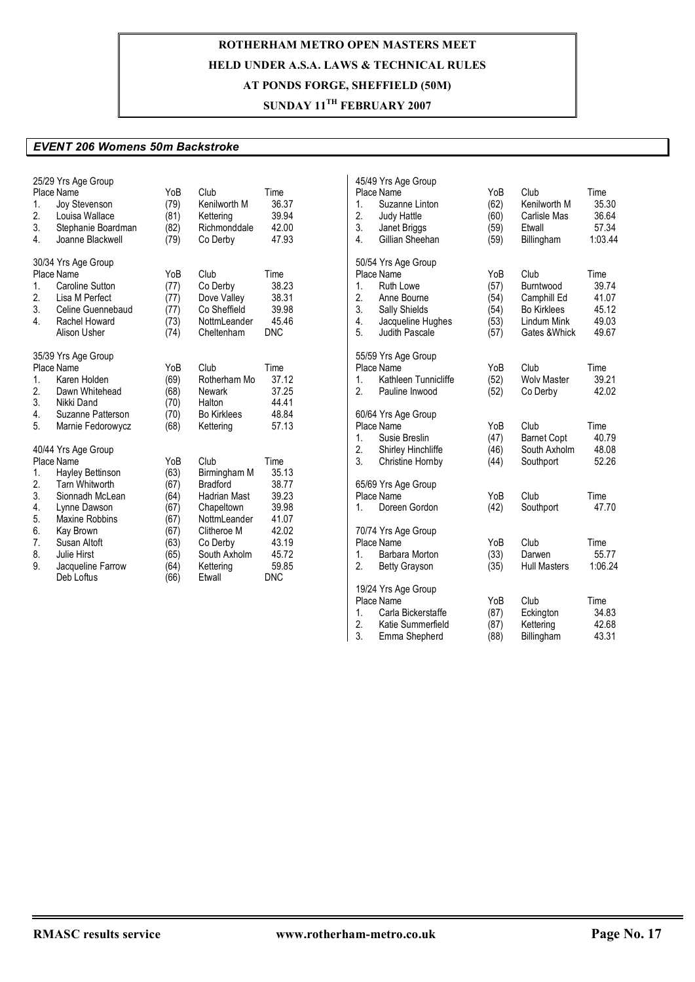## **SUNDAY 11TH FEBRUARY 2007**

#### *EVENT 206 Womens 50m Backstroke*

| 25/29 Yrs Age Group<br>Place Name<br>1.<br>Joy Stevenson<br>2.<br>Louisa Wallace<br>3.<br>Stephanie Boardman<br>4.<br>Joanne Blackwell                               | YoB<br>(79)<br>(81)<br>(82)<br>(79)         | Club<br>Kenilworth M<br>Kettering<br>Richmonddale<br>Co Derby                        | Time<br>36.37<br>39.94<br>42.00<br>47.93               | 45/49 Yrs Age Group<br>Place Name<br>Suzanne Linton<br>1.<br>2.<br>Judy Hattle<br>3.<br>Janet Briggs<br>4.<br>Gillian Sheehan                              | YoB<br>(62)<br>(60)<br>(59)<br>(59)         | Club<br>Kenilworth M<br>Carlisle Mas<br>Etwall<br>Billingham                           | Time<br>35.30<br>36.64<br>57.34<br>1:03.44        |
|----------------------------------------------------------------------------------------------------------------------------------------------------------------------|---------------------------------------------|--------------------------------------------------------------------------------------|--------------------------------------------------------|------------------------------------------------------------------------------------------------------------------------------------------------------------|---------------------------------------------|----------------------------------------------------------------------------------------|---------------------------------------------------|
| 30/34 Yrs Age Group<br>Place Name<br><b>Caroline Sutton</b><br>$1_{\cdot}$<br>2.<br>Lisa M Perfect<br>3.<br>Celine Guennebaud<br>4.<br>Rachel Howard<br>Alison Usher | YoB<br>(77)<br>(77)<br>(77)<br>(73)<br>(74) | Club<br>Co Derby<br>Dove Valley<br>Co Sheffield<br>NottmLeander<br>Cheltenham        | Time<br>38.23<br>38.31<br>39.98<br>45.46<br><b>DNC</b> | 50/54 Yrs Age Group<br>Place Name<br>Ruth Lowe<br>1.<br>2.<br>Anne Bourne<br>3.<br>Sally Shields<br>4.<br>Jacqueline Hughes<br>5.<br><b>Judith Pascale</b> | YoB<br>(57)<br>(54)<br>(54)<br>(53)<br>(57) | Club<br>Burntwood<br>Camphill Ed<br><b>Bo Kirklees</b><br>Lindum Mink<br>Gates & Whick | Time<br>39.74<br>41.07<br>45.12<br>49.03<br>49.67 |
| 35/39 Yrs Age Group<br>Place Name<br>1 <sub>1</sub><br>Karen Holden<br>2.<br>Dawn Whitehead<br>3.<br>Nikki Dand                                                      | YoB<br>(69)<br>(68)<br>(70)                 | Club<br>Rotherham Mo<br><b>Newark</b><br>Halton                                      | Time<br>37.12<br>37.25<br>44.41                        | 55/59 Yrs Age Group<br>Place Name<br>Kathleen Tunnicliffe<br>1.<br>2.<br>Pauline Inwood                                                                    | YoB<br>(52)<br>(52)                         | Club<br><b>Wolv Master</b><br>Co Derby                                                 | Time<br>39.21<br>42.02                            |
| 4.<br>Suzanne Patterson<br>5.<br>Marnie Fedorowycz<br>40/44 Yrs Age Group<br>Place Name                                                                              | (70)<br>(68)<br>YoB                         | <b>Bo Kirklees</b><br>Kettering<br>Club                                              | 48.84<br>57.13<br>Time                                 | 60/64 Yrs Age Group<br>Place Name<br>Susie Breslin<br>1.<br>2.<br>Shirley Hinchliffe<br>3.<br>Christine Hornby                                             | YoB<br>(47)<br>(46)<br>(44)                 | Club<br><b>Barnet Copt</b><br>South Axholm<br>Southport                                | Time<br>40.79<br>48.08<br>52.26                   |
| 1.<br>Hayley Bettinson<br>2.<br><b>Tarn Whitworth</b><br>3.<br>Sionnadh McLean<br>4.<br>Lynne Dawson<br>Maxine Robbins                                               | (63)<br>(67)<br>(64)<br>(67)                | Birmingham M<br><b>Bradford</b><br><b>Hadrian Mast</b><br>Chapeltown<br>NottmLeander | 35.13<br>38.77<br>39.23<br>39.98                       | 65/69 Yrs Age Group<br>Place Name<br>Doreen Gordon<br>1.                                                                                                   | YoB<br>(42)                                 | Club<br>Southport                                                                      | Time<br>47.70                                     |
| 5.<br>6.<br>Kay Brown<br>7.<br>Susan Altoft<br>8.<br>Julie Hirst<br>9.<br>Jacqueline Farrow                                                                          | (67)<br>(67)<br>(63)<br>(65)<br>(64)        | Clitheroe M<br>Co Derby<br>South Axholm<br>Kettering                                 | 41.07<br>42.02<br>43.19<br>45.72<br>59.85              | 70/74 Yrs Age Group<br>Place Name<br>1.<br>Barbara Morton<br>2.<br><b>Betty Grayson</b>                                                                    | YoB<br>(33)<br>(35)                         | Club<br>Darwen<br><b>Hull Masters</b>                                                  | Time<br>55.77<br>1:06.24                          |
| Deb Loftus                                                                                                                                                           | (66)                                        | Etwall                                                                               | <b>DNC</b>                                             | 19/24 Yrs Age Group<br>Place Name<br>Carla Bickerstaffe<br>1.<br>2.<br>Katie Summerfield<br>3.<br>Emma Shepherd                                            | YoB<br>(87)<br>(87)<br>(88)                 | Club<br>Eckington<br>Kettering<br>Billingham                                           | Time<br>34.83<br>42.68<br>43.31                   |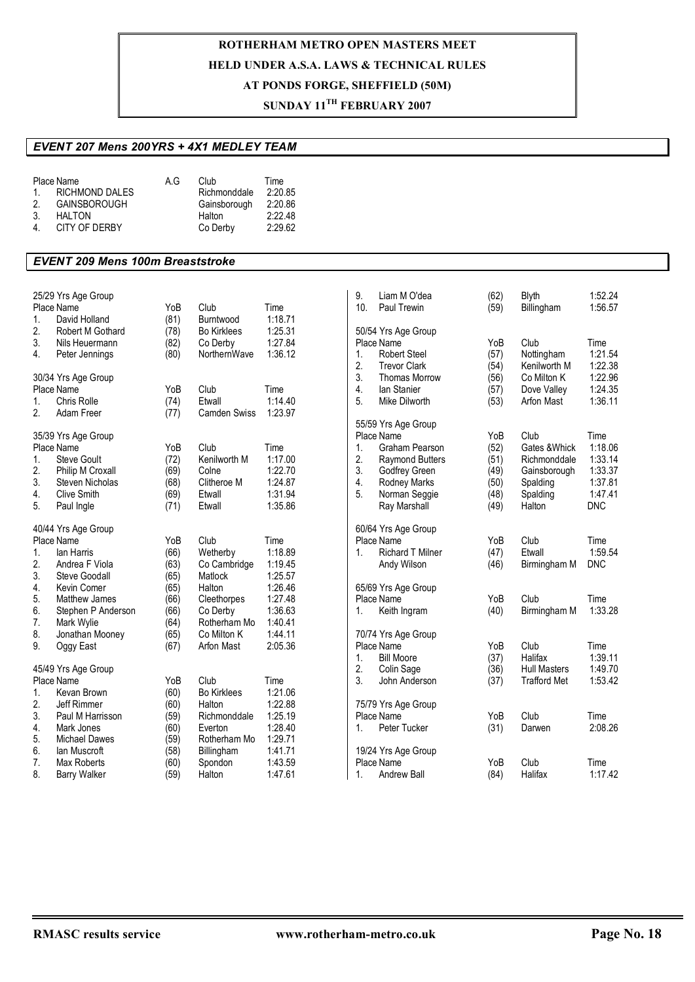## **SUNDAY 11TH FEBRUARY 2007**

### *EVENT 207 Mens 200YRS + 4X1 MEDLEY TEAM*

|                | Place Name          | A G | Club         | Time    |
|----------------|---------------------|-----|--------------|---------|
| $\mathbf{1}$   | RICHMOND DALES      |     | Richmonddale | 2:20.85 |
| 2              | <b>GAINSBOROUGH</b> |     | Gainsborough | 2:20.86 |
| 3.             | HAI TON             |     | Halton       | 2:22.48 |
| $\overline{4}$ | CITY OF DERBY       |     | Co Derby     | 2:29.62 |

#### *EVENT 209 Mens 100m Breaststroke*

|          | 25/29 Yrs Age Group<br>Place Name | YoB          | Club                     |                    | 9.<br>10.        | Liam M O'dea<br>Paul Trewin       | (62) | Blyth               | 1:52.24<br>1:56.57    |
|----------|-----------------------------------|--------------|--------------------------|--------------------|------------------|-----------------------------------|------|---------------------|-----------------------|
| 1.       | David Holland                     | (81)         | Burntwood                | Time<br>1:18.71    |                  |                                   | (59) | Billingham          |                       |
| 2.       | Robert M Gothard                  | (78)         | <b>Bo Kirklees</b>       | 1:25.31            |                  | 50/54 Yrs Age Group               |      |                     |                       |
| 3.       | Nils Heuermann                    | (82)         | Co Derby                 | 1:27.84            |                  | Place Name                        | YoB  | Club                | Time                  |
| 4.       | Peter Jennings                    | (80)         | NorthernWave             | 1:36.12            | 1.               | <b>Robert Steel</b>               | (57) | Nottingham          | 1:21.54               |
|          |                                   |              |                          |                    | 2.               | <b>Trevor Clark</b>               | (54) | Kenilworth M        | 1:22.38               |
|          | 30/34 Yrs Age Group               |              |                          |                    | 3.               | <b>Thomas Morrow</b>              | (56) | Co Milton K         | 1:22.96               |
|          | Place Name                        | YoB          | Club                     | Time               | $\overline{4}$ . | lan Stanier                       | (57) | Dove Valley         | 1:24.35               |
| 1.       | Chris Rolle                       | (74)         | Etwall                   | 1:14.40            | 5.               | Mike Dilworth                     | (53) | Arfon Mast          | 1:36.11               |
| 2.       | Adam Freer                        | (77)         | <b>Camden Swiss</b>      | 1:23.97            |                  |                                   |      |                     |                       |
|          |                                   |              |                          |                    |                  | 55/59 Yrs Age Group               |      |                     |                       |
|          | 35/39 Yrs Age Group               |              |                          |                    |                  | Place Name                        | YoB  | Club                | Time                  |
|          | Place Name                        | YoB          | Club                     | Time               | 1.               | <b>Graham Pearson</b>             | (52) | Gates & Whick       | 1:18.06               |
| 1.       | Steve Goult                       | (72)         | Kenilworth M             | 1:17.00            | 2.               | Raymond Butters                   | (51) | Richmonddale        | 1:33.14               |
| 2.       | Philip M Croxall                  | (69)         | Colne                    | 1:22.70            | 3.               | Godfrey Green                     | (49) | Gainsborough        | 1:33.37               |
| 3.       | Steven Nicholas                   | (68)         | Clitheroe M              | 1:24.87            | 4.               | <b>Rodney Marks</b>               | (50) | Spalding            | 1:37.81               |
| 4.       | <b>Clive Smith</b>                | (69)         | Etwall                   | 1:31.94            | 5.               | Norman Seggie                     | (48) | Spalding            | 1:47.41               |
| 5.       | Paul Ingle                        | (71)         | Etwall                   | 1:35.86            |                  | Ray Marshall                      | (49) | Halton              | <b>DNC</b>            |
|          |                                   |              |                          |                    |                  |                                   |      |                     |                       |
|          | 40/44 Yrs Age Group               |              |                          |                    |                  | 60/64 Yrs Age Group               |      |                     |                       |
|          | Place Name                        | YoB          | Club                     | Time               |                  | Place Name                        | YoB  | Club                | Time                  |
| 1.       | lan Harris<br>Andrea F Viola      | (66)         | Wetherby                 | 1:18.89<br>1:19.45 | 1.               | <b>Richard T Milner</b>           | (47) | Etwall              | 1:59.54<br><b>DNC</b> |
| 2.<br>3. |                                   | (63)         | Co Cambridge             |                    |                  | Andy Wilson                       | (46) | Birmingham M        |                       |
|          | Steve Goodall                     | (65)         | Matlock                  | 1:25.57            |                  |                                   |      |                     |                       |
| 4.<br>5. | Kevin Comer<br>Matthew James      | (65)         | Halton                   | 1:26.46<br>1:27.48 |                  | 65/69 Yrs Age Group<br>Place Name | YoB  | Club                | Time                  |
|          |                                   | (66)         | Cleethorpes              | 1:36.63            |                  |                                   |      |                     |                       |
| 6.<br>7. | Stephen P Anderson                | (66)<br>(64) | Co Derby<br>Rotherham Mo | 1:40.41            | 1.               | Keith Ingram                      | (40) | Birmingham M        | 1:33.28               |
| 8.       | Mark Wylie<br>Jonathan Mooney     | (65)         | Co Milton K              | 1:44.11            |                  | 70/74 Yrs Age Group               |      |                     |                       |
| 9.       | Oggy East                         | (67)         | Arfon Mast               | 2:05.36            |                  | Place Name                        | YoB  | Club                | Time                  |
|          |                                   |              |                          |                    | 1.               | <b>Bill Moore</b>                 | (37) | Halifax             | 1:39.11               |
|          | 45/49 Yrs Age Group               |              |                          |                    | 2.               | Colin Sage                        | (36) | <b>Hull Masters</b> | 1:49.70               |
|          | Place Name                        | YoB          | Club                     | Time               | 3.               | John Anderson                     | (37) | <b>Trafford Met</b> | 1:53.42               |
| 1.       | Kevan Brown                       | (60)         | <b>Bo Kirklees</b>       | 1:21.06            |                  |                                   |      |                     |                       |
| 2.       | Jeff Rimmer                       | (60)         | Halton                   | 1:22.88            |                  | 75/79 Yrs Age Group               |      |                     |                       |
| 3.       | Paul M Harrisson                  | (59)         | Richmonddale             | 1:25.19            |                  | Place Name                        | YoB  | Club                | Time                  |
| 4.       | Mark Jones                        | (60)         | Everton                  | 1:28.40            | 1.               | Peter Tucker                      | (31) | Darwen              | 2:08.26               |
| 5.       | <b>Michael Dawes</b>              | (59)         | Rotherham Mo             | 1:29.71            |                  |                                   |      |                     |                       |
| 6.       | lan Muscroft                      | (58)         | Billingham               | 1:41.71            |                  | 19/24 Yrs Age Group               |      |                     |                       |
| 7.       | Max Roberts                       | (60)         | Spondon                  | 1:43.59            |                  | Place Name                        | YoB  | Club                | Time                  |
| 8.       | <b>Barry Walker</b>               | (59)         | Halton                   | 1:47.61            | 1.               | <b>Andrew Ball</b>                | (84) | Halifax             | 1:17.42               |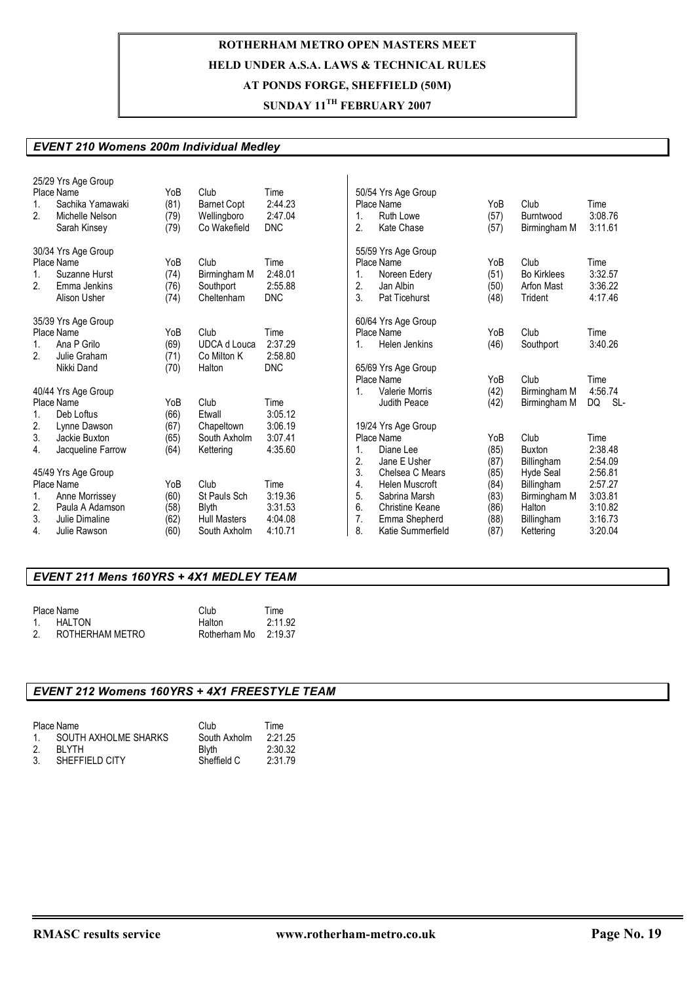### **SUNDAY 11TH FEBRUARY 2007**

#### *EVENT 210 Womens 200m Individual Medley*

| 1.<br>2.             | 25/29 Yrs Age Group<br>Place Name<br>Sachika Yamawaki<br>Michelle Nelson<br>Sarah Kinsey                 | YoB<br>(81)<br>(79)<br>(79)         | Club<br><b>Barnet Copt</b><br>Wellingboro<br>Co Wakefield                   | Time<br>2:44.23<br>2:47.04<br><b>DNC</b>         | 1.<br>2.                         | 50/54 Yrs Age Group<br>Place Name<br>Ruth Lowe<br>Kate Chase                                                       | YoB<br>(57)<br>(57)                          | Club<br>Burntwood<br>Birmingham M                                            | Time<br>3:08.76<br>3:11.61                                     |
|----------------------|----------------------------------------------------------------------------------------------------------|-------------------------------------|-----------------------------------------------------------------------------|--------------------------------------------------|----------------------------------|--------------------------------------------------------------------------------------------------------------------|----------------------------------------------|------------------------------------------------------------------------------|----------------------------------------------------------------|
| 1.<br>2.             | 30/34 Yrs Age Group<br>Place Name<br>Suzanne Hurst<br>Emma Jenkins<br>Alison Usher                       | YoB<br>(74)<br>(76)<br>(74)         | Club<br>Birmingham M<br>Southport<br>Cheltenham                             | Time<br>2:48.01<br>2:55.88<br><b>DNC</b>         | 2.<br>3.                         | 55/59 Yrs Age Group<br>Place Name<br>Noreen Edery<br>Jan Albin<br>Pat Ticehurst                                    | YoB<br>(51)<br>(50)<br>(48)                  | Club<br><b>Bo Kirklees</b><br>Arfon Mast<br>Trident                          | Time<br>3:32.57<br>3:36.22<br>4:17.46                          |
| 1.<br>2.             | 35/39 Yrs Age Group<br>Place Name<br>Ana P Grilo<br>Julie Graham<br>Nikki Dand                           | YoB<br>(69)<br>(71)<br>(70)         | Club<br><b>UDCA</b> d Louca<br>Co Milton K<br>Halton                        | Time<br>2:37.29<br>2:58.80<br><b>DNC</b>         | 1.                               | 60/64 Yrs Age Group<br>Place Name<br><b>Helen Jenkins</b><br>65/69 Yrs Age Group                                   | YoB<br>(46)                                  | Club<br>Southport                                                            | Time<br>3:40.26                                                |
|                      | 40/44 Yrs Age Group<br>Place Name                                                                        | YoB                                 | Club                                                                        | Time                                             | 1.                               | Place Name<br>Valerie Morris<br>Judith Peace                                                                       | YoB<br>(42)<br>(42)                          | Club<br>Birmingham M<br>Birmingham M                                         | Time<br>4:56.74<br>DQ<br>SL-                                   |
| 1.<br>2.<br>3.<br>4. | Deb Loftus<br>Lynne Dawson<br>Jackie Buxton<br>Jacqueline Farrow                                         | (66)<br>(67)<br>(65)<br>(64)        | Etwall<br>Chapeltown<br>South Axholm<br>Kettering                           | 3:05.12<br>3:06.19<br>3:07.41<br>4:35.60         | 1.<br>2.                         | 19/24 Yrs Age Group<br>Place Name<br>Diane Lee<br>Jane E Usher                                                     | YoB<br>(85)<br>(87)                          | Club<br><b>Buxton</b><br>Billingham                                          | Time<br>2:38.48<br>2:54.09                                     |
| 1.<br>2.<br>3.<br>4. | 45/49 Yrs Age Group<br>Place Name<br>Anne Morrissev<br>Paula A Adamson<br>Julie Dimaline<br>Julie Rawson | YoB<br>(60)<br>(58)<br>(62)<br>(60) | Club<br>St Pauls Sch<br><b>Blyth</b><br><b>Hull Masters</b><br>South Axholm | Time<br>3:19.36<br>3:31.53<br>4:04.08<br>4:10.71 | 3.<br>4.<br>5.<br>6.<br>7.<br>8. | Chelsea C Mears<br><b>Helen Muscroft</b><br>Sabrina Marsh<br>Christine Keane<br>Emma Shepherd<br>Katie Summerfield | (85)<br>(84)<br>(83)<br>(86)<br>(88)<br>(87) | Hyde Seal<br>Billingham<br>Birmingham M<br>Halton<br>Billingham<br>Kettering | 2:56.81<br>2:57.27<br>3:03.81<br>3:10.82<br>3:16.73<br>3:20.04 |

### *EVENT 211 Mens 160YRS + 4X1 MEDLEY TEAM*

|    | Place Name      | Club         | Time    |
|----|-----------------|--------------|---------|
|    | 1. HALTON       | Halton       | 2:11.92 |
| 2. | ROTHERHAM METRO | Rotherham Mo | 2:19.37 |

#### *EVENT 212 Womens 160YRS + 4X1 FREESTYLE TEAM*

|        | Place Name           | Club         | Time    |
|--------|----------------------|--------------|---------|
| $\sim$ | SOUTH AXHOLME SHARKS | South Axholm | 2:21.25 |
| -2.    | RI YTH               | <b>Blyth</b> | 2:30.32 |
| -3.    | SHEFFIELD CITY       | Sheffield C  | 2:31.79 |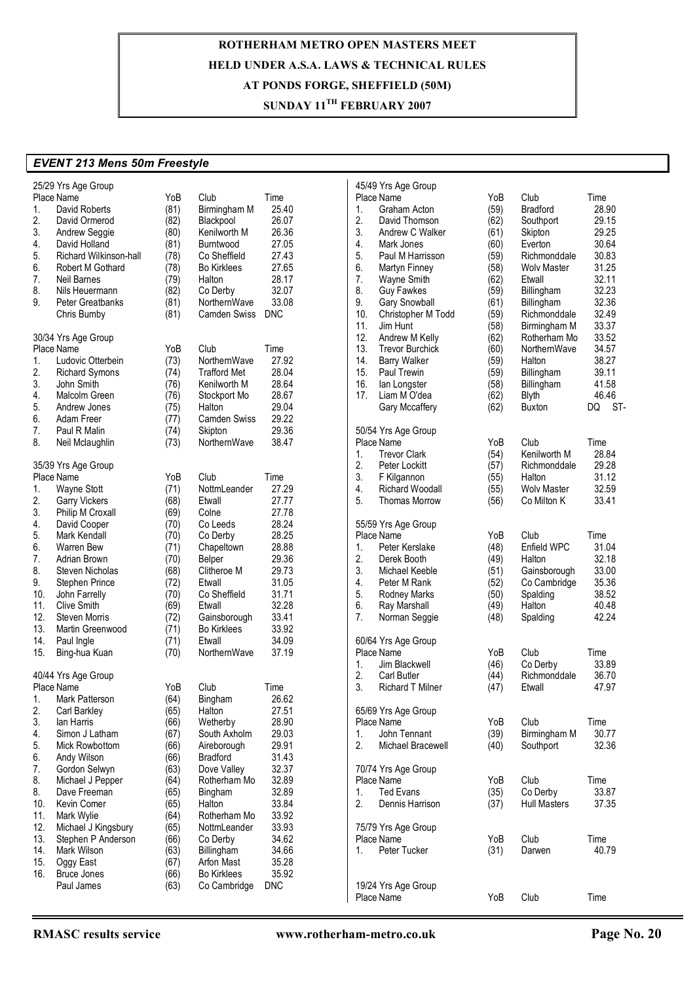### **SUNDAY 11TH FEBRUARY 2007**

#### *EVENT 213 Mens 50m Freestyle*

|          | 25/29 Yrs Age Group     |      |                     |            | 45/49 Yrs Age Group                                        |                      |
|----------|-------------------------|------|---------------------|------------|------------------------------------------------------------|----------------------|
|          | Place Name              | YoB  | Club                | Time       | YoB<br>Club<br>Place Name                                  | Time                 |
| 1.       | David Roberts           | (81) | Birmingham M        | 25.40      | (59)<br><b>Bradford</b><br>1.<br>Graham Acton              | 28.90                |
| 2.       | David Ormerod           | (82) | Blackpool           | 26.07      | 2.<br>David Thomson<br>(62)<br>Southport                   | 29.15                |
| 3.       | Andrew Seggie           | (80) | Kenilworth M        | 26.36      | 3.<br>Andrew C Walker<br>(61)<br>Skipton                   | 29.25                |
| 4.       | David Holland           | (81) | Burntwood           | 27.05      | 4.<br>Mark Jones<br>(60)<br>Everton                        | 30.64                |
| 5.       | Richard Wilkinson-hall  | (78) | Co Sheffield        | 27.43      | 5.<br>Paul M Harrisson<br>(59)<br>Richmonddale             | 30.83                |
| 6.       | Robert M Gothard        | (78) | <b>Bo Kirklees</b>  | 27.65      | 6.<br>(58)<br>Martyn Finney<br><b>Wolv Master</b>          | 31.25                |
| 7.       | <b>Neil Barnes</b>      | (79) | Halton              | 28.17      | 7.<br>(62)<br>Wayne Smith<br>Etwall                        | 32.11                |
| 8.       | Nils Heuermann          | (82) | Co Derby            | 32.07      | 8.<br><b>Guy Fawkes</b><br>(59)<br>Billingham              | 32.23                |
| 9.       | <b>Peter Greatbanks</b> | (81) | NorthernWave        | 33.08      | 9.<br><b>Gary Snowball</b><br>(61)<br>Billingham           | 32.36                |
|          | Chris Bumby             | (81) | <b>Camden Swiss</b> | <b>DNC</b> | 10.<br>(59)<br>Christopher M Todd<br>Richmonddale          | 32.49                |
|          |                         |      |                     |            | 11.<br>Jim Hunt<br>(58)<br>Birmingham M                    | 33.37                |
|          | 30/34 Yrs Age Group     |      |                     |            | 12.<br>(62)<br>Andrew M Kelly<br>Rotherham Mo              | 33.52                |
|          | Place Name              | YoB  | Club                | Time       | 13.<br><b>Trevor Burchick</b><br>(60)<br>NorthernWave      | 34.57                |
| 1.       | Ludovic Otterbein       | (73) | NorthernWave        | 27.92      | 14.<br><b>Barry Walker</b><br>(59)<br>Halton               | 38.27                |
| 2.       | <b>Richard Symons</b>   | (74) | <b>Trafford Met</b> | 28.04      | 15.<br>Paul Trewin<br>(59)<br>Billingham                   | 39.11                |
| 3.       | John Smith              | (76) | Kenilworth M        | 28.64      | 16.<br>(58)<br>lan Longster<br>Billingham                  | 41.58                |
| 4.       | Malcolm Green           |      |                     | 28.67      | 17.<br>Liam M O'dea                                        | 46.46                |
| 5.       |                         | (76) | Stockport Mo        | 29.04      | (62)<br><b>Blyth</b>                                       |                      |
|          | Andrew Jones            | (75) | Halton              |            | (62)<br>Gary Mccaffery<br><b>Buxton</b>                    | $\ddot{\cdot}$<br>DQ |
| 6.       | Adam Freer              | (77) | Camden Swiss        | 29.22      |                                                            |                      |
| 7.       | Paul R Malin            | (74) | Skipton             | 29.36      | 50/54 Yrs Age Group                                        |                      |
| 8.       | Neil Mclaughlin         | (73) | NorthernWave        | 38.47      | Club<br>Place Name<br>YoB                                  | Time                 |
|          |                         |      |                     |            | <b>Trevor Clark</b><br>Kenilworth M<br>1.<br>(54)          | 28.84                |
|          | 35/39 Yrs Age Group     |      |                     |            | 2.<br>Peter Lockitt<br>(57)<br>Richmonddale                | 29.28                |
|          | Place Name              | YoB  | Club                | Time       | 3.<br>(55)<br>F Kilgannon<br>Halton                        | 31.12                |
| 1.       | Wayne Stott             | (71) | NottmLeander        | 27.29      | 4.<br><b>Richard Woodall</b><br><b>Wolv Master</b><br>(55) | 32.59                |
| 2.       | <b>Garry Vickers</b>    | (68) | Etwall              | 27.77      | 5.<br><b>Thomas Morrow</b><br>(56)<br>Co Milton K          | 33.41                |
| 3.       | Philip M Croxall        | (69) | Colne               | 27.78      |                                                            |                      |
| 4.       | David Cooper            | (70) | Co Leeds            | 28.24      | 55/59 Yrs Age Group                                        |                      |
| 5.       | Mark Kendall            | (70) | Co Derby            | 28.25      | Place Name<br>YoB<br>Club                                  | Time                 |
| 6.       | Warren Bew              | (71) | Chapeltown          | 28.88      | (48)<br>Enfield WPC<br>1.<br>Peter Kerslake                | 31.04                |
| 7.       | Adrian Brown            | (70) | Belper              | 29.36      | 2.<br>Derek Booth<br>(49)<br>Halton                        | 32.18                |
| 8.       | Steven Nicholas         | (68) | Clitheroe M         | 29.73      | 3.<br>Michael Keeble<br>(51)<br>Gainsborough               | 33.00                |
| 9.       | Stephen Prince          | (72) | Etwall              | 31.05      | 4.<br>(52)<br>Peter M Rank<br>Co Cambridge                 | 35.36                |
| 10.      | John Farrelly           | (70) | Co Sheffield        | 31.71      | 5.<br>Rodney Marks<br>(50)<br>Spalding                     | 38.52                |
| 11.      | <b>Clive Smith</b>      | (69) | Etwall              | 32.28      | 6.<br>Halton<br>Ray Marshall<br>(49)                       | 40.48                |
| 12.      | <b>Steven Morris</b>    | (72) | Gainsborough        | 33.41      | 7.<br>Norman Seggie<br>(48)<br>Spalding                    | 42.24                |
| 13.      | Martin Greenwood        | (71) | <b>Bo Kirklees</b>  | 33.92      |                                                            |                      |
| 14.      | Paul Ingle              | (71) | Etwall              | 34.09      | 60/64 Yrs Age Group                                        |                      |
| 15.      | Bing-hua Kuan           | (70) | NorthernWave        | 37.19      | Place Name<br>Club<br>YoB                                  | Time                 |
|          |                         |      |                     |            | Co Derby<br>1.<br>Jim Blackwell<br>(46)                    | 33.89                |
|          | 40/44 Yrs Age Group     |      |                     |            | 2.<br>(44)<br><b>Carl Butler</b><br>Richmonddale           | 36.70                |
|          | Place Name              | YoB  | Club                | Time       | 3.<br><b>Richard T Milner</b><br>Etwall<br>(47)            | 47.97                |
| 1.       | Mark Patterson          | (64) | Bingham             | 26.62      |                                                            |                      |
| 2.       | Carl Barkley            | (65) | Halton              | 27.51      | 65/69 Yrs Age Group                                        |                      |
| 3.       | lan Harris              | (66) | Wetherby            | 28.90      | Club<br>Place Name<br>YoB                                  | Time                 |
| 4.       | Simon J Latham          | (67) | South Axholm        | 29.03      | John Tennant<br>(39)<br>Birmingham M<br>1.                 | 30.77                |
| 5.       | Mick Rowbottom          | (66) | Aireborough         | 29.91      | 2.<br>Michael Bracewell<br>(40)<br>Southport               | 32.36                |
| 6.       | Andy Wilson             | (66) | <b>Bradford</b>     | 31.43      |                                                            |                      |
|          |                         | (63) | Dove Valley         | 32.37      |                                                            |                      |
| 7.<br>8. | Gordon Selwyn           |      |                     |            | 70/74 Yrs Age Group<br>Club                                |                      |
|          | Michael J Pepper        | (64) | Rotherham Mo        | 32.89      | YoB<br>Place Name                                          | Time                 |
| 8.       | Dave Freeman            | (65) | Bingham             | 32.89      | <b>Ted Evans</b><br>(35)<br>Co Derby<br>1.                 | 33.87                |
| 10.      | Kevin Comer             | (65) | Halton              | 33.84      | 2.<br>Dennis Harrison<br>(37)<br><b>Hull Masters</b>       | 37.35                |
| 11.      | Mark Wylie              | (64) | Rotherham Mo        | 33.92      |                                                            |                      |
| 12.      | Michael J Kingsbury     | (65) | NottmLeander        | 33.93      | 75/79 Yrs Age Group                                        |                      |
| 13.      | Stephen P Anderson      | (66) | Co Derby            | 34.62      | Club<br>YoB<br>Place Name                                  | Time                 |
| 14.      | Mark Wilson             | (63) | Billingham          | 34.66      | Peter Tucker<br>(31)<br>Darwen<br>1.                       | 40.79                |
| 15.      | Oggy East               | (67) | Arfon Mast          | 35.28      |                                                            |                      |
| 16.      | <b>Bruce Jones</b>      | (66) | <b>Bo Kirklees</b>  | 35.92      |                                                            |                      |
|          | Paul James              | (63) | Co Cambridge        | <b>DNC</b> | 19/24 Yrs Age Group                                        |                      |
|          |                         |      |                     |            | Club<br>Place Name<br>YoB                                  | Time                 |

 $(62)$  Buxton DQ ST-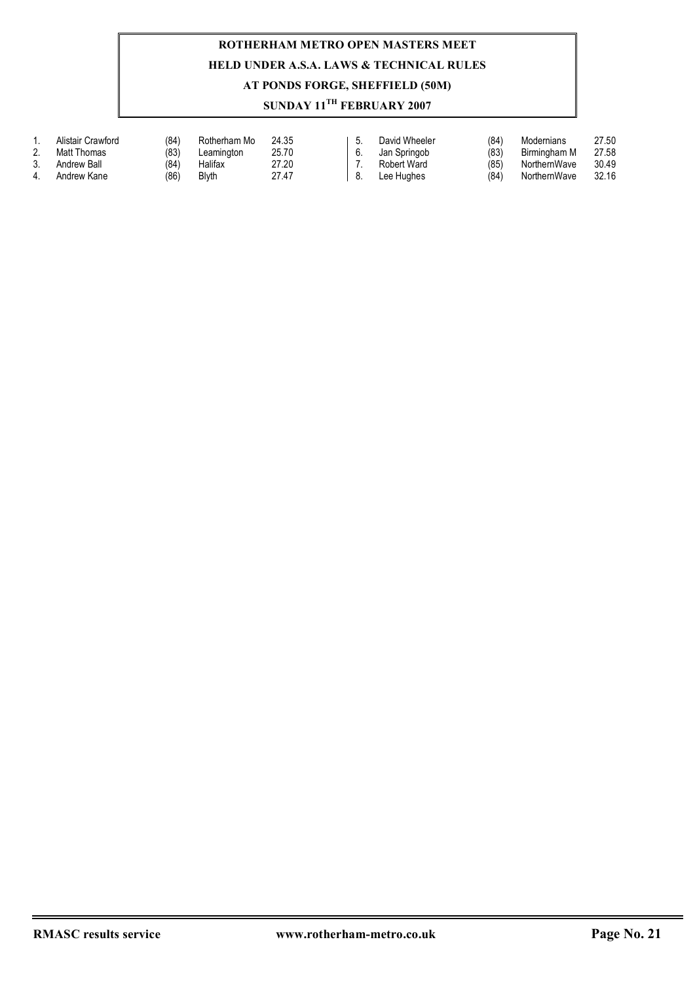|          | Alistair Crawford | (84) | Rotherham Mo | 24.35 | David Wheeler | (84) | Modernians   | 27.50 |
|----------|-------------------|------|--------------|-------|---------------|------|--------------|-------|
| <u>.</u> | Matt Thomas       | (83  | Leamington   | 25.70 | Jan Springob  | (83) | Birmingham M | 27.58 |
|          | Andrew Ball       | (84  | Halifax      | 27.20 | Robert Ward   | (85) | NorthernWave | 30.49 |
|          | Andrew Kane       | (86) | Blvth        | 27.47 | Lee Hughes    | (84` | NorthernWave | 32.16 |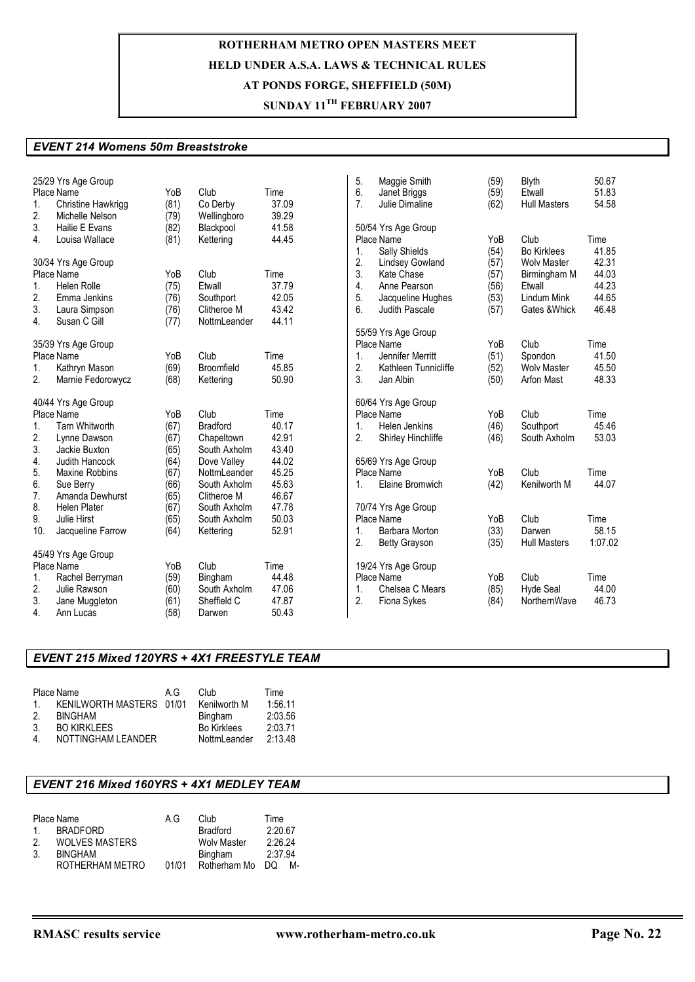### **SUNDAY 11TH FEBRUARY 2007**

#### *EVENT 214 Womens 50m Breaststroke*

| 1.<br>2.<br>3. | 25/29 Yrs Age Group<br>Place Name<br>Christine Hawkrigg<br>Michelle Nelson<br>Hailie E Evans | YoB<br>(81)<br>(79)<br>(82) | Club<br>Co Derby<br>Wellingboro<br>Blackpool | Time<br>37.09<br>39.29<br>41.58 | 5.<br>6.<br>$\overline{7}$ . | Maggie Smith<br>Janet Briggs<br>Julie Dimaline<br>50/54 Yrs Age Group | (59)<br>(59)<br>(62) | <b>Blyth</b><br>Etwall<br><b>Hull Masters</b> | 50.67<br>51.83<br>54.58 |
|----------------|----------------------------------------------------------------------------------------------|-----------------------------|----------------------------------------------|---------------------------------|------------------------------|-----------------------------------------------------------------------|----------------------|-----------------------------------------------|-------------------------|
| 4.             | Louisa Wallace                                                                               | (81)                        | Kettering                                    | 44.45                           |                              | Place Name                                                            | YoB                  | Club                                          | Time<br>41.85           |
|                | 30/34 Yrs Age Group                                                                          |                             |                                              |                                 | $\mathbf{1}$ .<br>2.         | Sally Shields<br><b>Lindsey Gowland</b>                               | (54)<br>(57)         | <b>Bo Kirklees</b><br><b>Wolv Master</b>      | 42.31                   |
|                | Place Name                                                                                   | YoB                         | Club                                         | Time                            | 3.                           | Kate Chase                                                            | (57)                 | Birmingham M                                  | 44.03                   |
| $\mathbf{1}$ . | <b>Helen Rolle</b>                                                                           | (75)                        | Etwall                                       | 37.79                           | 4.                           | Anne Pearson                                                          | (56)                 | Etwall                                        | 44.23                   |
| 2.             | Emma Jenkins                                                                                 | (76)                        | Southport                                    | 42.05                           | 5.                           | Jacqueline Hughes                                                     | (53)                 | <b>Lindum Mink</b>                            | 44.65                   |
| 3.             | Laura Simpson                                                                                | (76)                        | Clitheroe M                                  | 43.42                           | 6.                           | Judith Pascale                                                        | (57)                 | Gates & Whick                                 | 46.48                   |
| 4.             | Susan C Gill                                                                                 | (77)                        | NottmLeander                                 | 44.11                           |                              |                                                                       |                      |                                               |                         |
|                | 35/39 Yrs Age Group                                                                          |                             |                                              |                                 |                              | 55/59 Yrs Age Group<br>Place Name                                     | YoB                  | Club                                          | Time                    |
|                | Place Name                                                                                   | YoB                         | Club                                         | Time                            | 1.                           | Jennifer Merritt                                                      | (51)                 | Spondon                                       | 41.50                   |
| 1.             | Kathryn Mason                                                                                | (69)                        | Broomfield                                   | 45.85                           | 2.                           | Kathleen Tunnicliffe                                                  | (52)                 | <b>Wolv Master</b>                            | 45.50                   |
| 2.             | Marnie Fedorowycz                                                                            | (68)                        | Kettering                                    | 50.90                           | 3.                           | Jan Albin                                                             | (50)                 | Arfon Mast                                    | 48.33                   |
|                |                                                                                              |                             |                                              |                                 |                              |                                                                       |                      |                                               |                         |
|                | 40/44 Yrs Age Group                                                                          |                             |                                              |                                 |                              | 60/64 Yrs Age Group                                                   |                      |                                               |                         |
|                | Place Name                                                                                   | YoB                         | Club                                         | Time                            |                              | Place Name                                                            | YoB                  | Club                                          | Time                    |
| 1.             | <b>Tarn Whitworth</b>                                                                        | (67)                        | <b>Bradford</b>                              | 40.17                           | 1.                           | <b>Helen Jenkins</b>                                                  | (46)                 | Southport                                     | 45.46                   |
| 2.             | Lynne Dawson                                                                                 | (67)                        | Chapeltown                                   | 42.91                           | 2.                           | Shirley Hinchliffe                                                    | (46)                 | South Axholm                                  | 53.03                   |
| 3.             | Jackie Buxton                                                                                | (65)                        | South Axholm                                 | 43.40                           |                              |                                                                       |                      |                                               |                         |
| 4.             | Judith Hancock                                                                               | (64)                        | Dove Valley                                  | 44.02                           |                              | 65/69 Yrs Age Group                                                   |                      |                                               |                         |
| 5.             | <b>Maxine Robbins</b>                                                                        | (67)                        | NottmLeander                                 | 45.25                           |                              | Place Name                                                            | YoB                  | Club                                          | Time                    |
| 6.             | Sue Berry                                                                                    | (66)                        | South Axholm                                 | 45.63                           | 1.                           | Elaine Bromwich                                                       | (42)                 | Kenilworth M                                  | 44.07                   |
| 7.             | Amanda Dewhurst                                                                              | (65)                        | Clitheroe M                                  | 46.67                           |                              |                                                                       |                      |                                               |                         |
| 8.             | <b>Helen Plater</b>                                                                          | (67)                        | South Axholm                                 | 47.78                           |                              | 70/74 Yrs Age Group                                                   |                      |                                               |                         |
| 9.             | Julie Hirst                                                                                  | (65)                        | South Axholm                                 | 50.03                           |                              | Place Name                                                            | YoB                  | Club                                          | Time                    |
| 10.            | Jacqueline Farrow                                                                            | (64)                        | Kettering                                    | 52.91                           | 1.<br>2.                     | Barbara Morton<br><b>Betty Grayson</b>                                | (33)<br>(35)         | Darwen<br><b>Hull Masters</b>                 | 58.15<br>1:07.02        |
|                | 45/49 Yrs Age Group                                                                          |                             |                                              |                                 |                              |                                                                       |                      |                                               |                         |
|                | Place Name                                                                                   | YoB                         | Club                                         | Time                            |                              | 19/24 Yrs Age Group                                                   |                      |                                               |                         |
| 1.             | Rachel Berryman                                                                              | (59)                        | Bingham                                      | 44.48                           |                              | Place Name                                                            | YoB                  | Club                                          | Time                    |
| 2.             | Julie Rawson                                                                                 | (60)                        | South Axholm                                 | 47.06                           | 1.                           | Chelsea C Mears                                                       | (85)                 | <b>Hyde Seal</b>                              | 44.00                   |
| 3.             | Jane Muggleton                                                                               | (61)                        | Sheffield C                                  | 47.87                           | 2.                           | Fiona Sykes                                                           | (84)                 | NorthernWave                                  | 46.73                   |
| 4.             | Ann Lucas                                                                                    | (58)                        | Darwen                                       | 50.43                           |                              |                                                                       |                      |                                               |                         |

#### *EVENT 215 Mixed 120YRS + 4X1 FREESTYLE TEAM*

### *EVENT 216 Mixed 160YRS + 4X1 MEDLEY TEAM*

| 1.<br>2. | Place Name<br><b>BRADFORD</b><br><b>WOLVES MASTERS</b> | A G   | Club<br><b>Bradford</b><br>Woly Master | Time<br>2:20.67<br>2:26.24 |    |
|----------|--------------------------------------------------------|-------|----------------------------------------|----------------------------|----|
| 3.       | <b>BINGHAM</b>                                         |       | Bingham                                | 2:37.94                    |    |
|          | ROTHERHAM METRO                                        | 01/01 | Rotherham Mo DQ                        |                            | M- |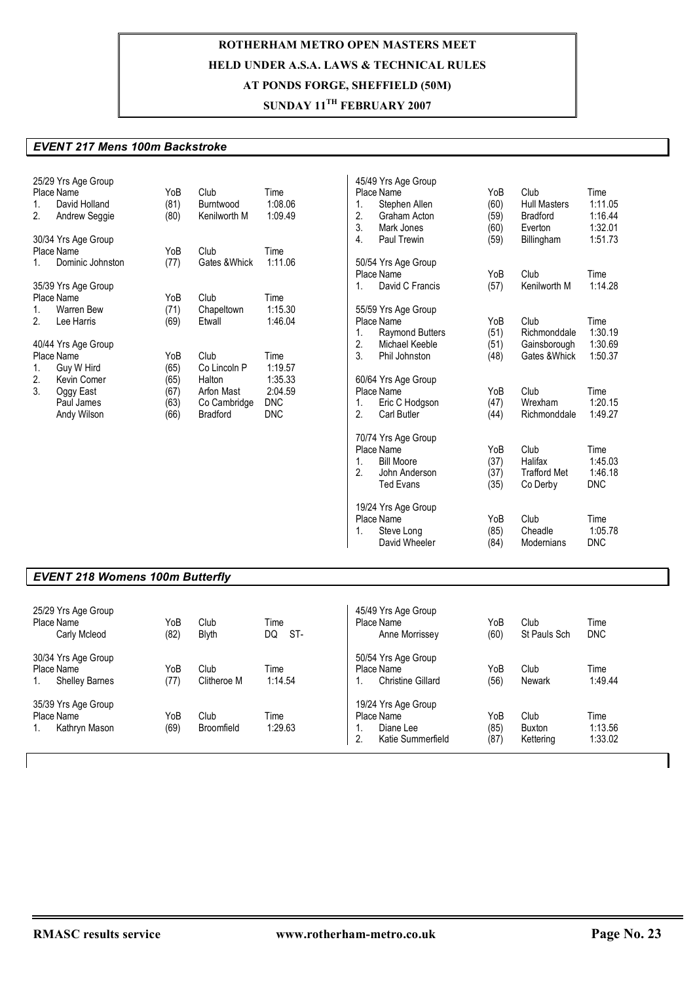## **SUNDAY 11TH FEBRUARY 2007**

#### *EVENT 217 Mens 100m Backstroke*

|             | 25/29 Yrs Age Group<br>Place Name | YoB  | Club            | Time       |    | 45/49 Yrs Age Group<br>Place Name | YoB  | Club                | Time       |
|-------------|-----------------------------------|------|-----------------|------------|----|-----------------------------------|------|---------------------|------------|
| 1.          | David Holland                     | (81) | Burntwood       | 1:08.06    | 1. | Stephen Allen                     | (60) | <b>Hull Masters</b> | 1:11.05    |
| 2.          | Andrew Seggie                     | (80) | Kenilworth M    | 1:09.49    | 2. | Graham Acton                      | (59) | <b>Bradford</b>     | 1:16.44    |
|             |                                   |      |                 |            | 3. | Mark Jones                        | (60) | Everton             | 1:32.01    |
|             | 30/34 Yrs Age Group               |      |                 |            | 4. | Paul Trewin                       | (59) | Billingham          | 1:51.73    |
|             | Place Name                        | YoB  | Club            | Time       |    |                                   |      |                     |            |
| $1_{-}$     | Dominic Johnston                  | (77) | Gates & Whick   | 1:11.06    |    | 50/54 Yrs Age Group               |      |                     |            |
|             |                                   |      |                 |            |    | Place Name                        | YoB  | Club                | Time       |
|             |                                   |      |                 |            | 1. | David C Francis                   |      |                     | 1:14.28    |
|             | 35/39 Yrs Age Group<br>Place Name | YoB  | Club            | Time       |    |                                   | (57) | Kenilworth M        |            |
|             |                                   |      |                 |            |    |                                   |      |                     |            |
| $1_{\cdot}$ | <b>Warren Bew</b>                 | (71) | Chapeltown      | 1:15.30    |    | 55/59 Yrs Age Group               |      |                     |            |
| 2.          | Lee Harris                        | (69) | Etwall          | 1:46.04    |    | Place Name                        | YoB  | Club                | Time       |
|             |                                   |      |                 |            | 1. | <b>Raymond Butters</b>            | (51) | Richmonddale        | 1:30.19    |
|             | 40/44 Yrs Age Group               |      |                 |            | 2. | Michael Keeble                    | (51) | Gainsborough        | 1:30.69    |
|             | Place Name                        | YoB  | Club            | Time       | 3. | Phil Johnston                     | (48) | Gates & Whick       | 1:50.37    |
| 1.          | Guy W Hird                        | (65) | Co Lincoln P    | 1:19.57    |    |                                   |      |                     |            |
| 2.          | Kevin Comer                       | (65) | Halton          | 1:35.33    |    | 60/64 Yrs Age Group               |      |                     |            |
| 3.          | Oggy East                         | (67) | Arfon Mast      | 2:04.59    |    | Place Name                        | YoB  | Club                | Time       |
|             | Paul James                        | (63) | Co Cambridge    | <b>DNC</b> | 1. | Eric C Hodgson                    | (47) | Wrexham             | 1:20.15    |
|             | Andy Wilson                       | (66) | <b>Bradford</b> | <b>DNC</b> | 2. | Carl Butler                       | (44) | Richmonddale        | 1:49.27    |
|             |                                   |      |                 |            |    | 70/74 Yrs Age Group               |      |                     |            |
|             |                                   |      |                 |            |    | Place Name                        | YoB  | Club                | Time       |
|             |                                   |      |                 |            | 1. | <b>Bill Moore</b>                 | (37) | Halifax             | 1:45.03    |
|             |                                   |      |                 |            | 2. | John Anderson                     | (37) | <b>Trafford Met</b> | 1:46.18    |
|             |                                   |      |                 |            |    | <b>Ted Evans</b>                  | (35) | Co Derby            | <b>DNC</b> |
|             |                                   |      |                 |            |    |                                   |      |                     |            |
|             |                                   |      |                 |            |    | 19/24 Yrs Age Group               |      |                     |            |
|             |                                   |      |                 |            |    | Place Name                        | YoB  | Club                | Time       |
|             |                                   |      |                 |            | 1. | Steve Long                        | (85) | Cheadle             | 1:05.78    |
|             |                                   |      |                 |            |    | David Wheeler                     | (84) | <b>Modernians</b>   | <b>DNC</b> |
|             |                                   |      |                 |            |    |                                   |      |                     |            |

### *EVENT 218 Womens 100m Butterfly*

| 25/29 Yrs Age Group<br>Place Name<br>Carly Mcleod          | YoB<br>(82) | Club<br>Blyth       | Time<br>DQ<br>ST- | 45/49 Yrs Age Group<br>Place Name<br>Anne Morrissey                             | YoB<br>(60)         | Club<br>St Pauls Sch               | Time<br><b>DNC</b>         |
|------------------------------------------------------------|-------------|---------------------|-------------------|---------------------------------------------------------------------------------|---------------------|------------------------------------|----------------------------|
| 30/34 Yrs Age Group<br>Place Name<br><b>Shelley Barnes</b> | YoB<br>(77) | Club<br>Clitheroe M | Time<br>1:14.54   | 50/54 Yrs Age Group<br>Place Name<br><b>Christine Gillard</b><br>ι.             | YoB<br>(56)         | Club<br>Newark                     | Time<br>1:49.44            |
| 35/39 Yrs Age Group<br>Place Name<br>Kathryn Mason         | YoB<br>(69) | Club<br>Broomfield  | Time<br>1:29.63   | 19/24 Yrs Age Group<br>Place Name<br>Diane Lee<br>.,<br>2.<br>Katie Summerfield | YoB<br>(85)<br>(87) | Club<br><b>Buxton</b><br>Kettering | Time<br>1:13.56<br>1:33.02 |